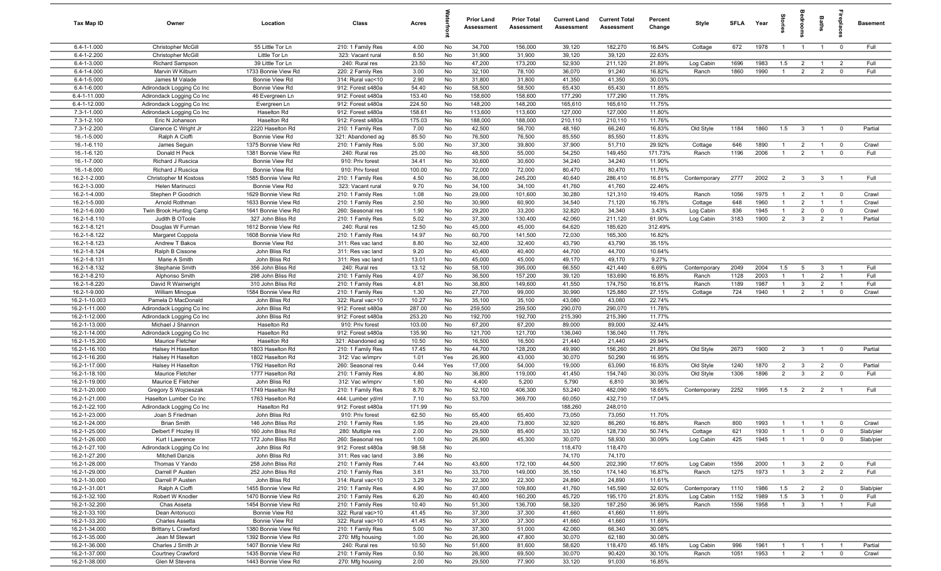| Tax Map ID                             | Owner                                                  | Location                                   | Class                                  | Acres           |          | <b>Prior Land</b><br>Assessment | <b>Prior Total</b><br>Assessment | <b>Current Land</b><br>Assessment | <b>Current Total</b><br>Assessment | Percent<br>Change | Style                | <b>SFLA</b> | Year         | tories                           |                                  | Baths                            | epla                          | <b>Basement</b>    |
|----------------------------------------|--------------------------------------------------------|--------------------------------------------|----------------------------------------|-----------------|----------|---------------------------------|----------------------------------|-----------------------------------|------------------------------------|-------------------|----------------------|-------------|--------------|----------------------------------|----------------------------------|----------------------------------|-------------------------------|--------------------|
| $6.4 - 1 - 1.000$                      | Christopher McGill                                     | 55 Little Tor Ln                           | 210: 1 Family Res                      | 4.00            | No       | 34,700                          | 156,000                          | 39,120                            | 182,270                            | 16.84%            | Cottage              | 672         | 1978         | $\overline{1}$                   | $\overline{1}$                   | $\overline{1}$                   | $\mathbf 0$                   | Full               |
| 6.4-1-2.200                            | Christopher McGill                                     | Little Tor Ln                              | 323: Vacant rural                      | 8.50            | No       | 31,900                          | 31,900                           | 39,120                            | 39,120                             | 22.63%            |                      |             |              |                                  |                                  |                                  |                               |                    |
| $6.4 - 1 - 3.000$                      | <b>Richard Sampson</b>                                 | 39 Little Tor Ln                           | 240: Rural res                         | 23.50           | No       | 47,200                          | 173,200                          | 52,930                            | 211,120                            | 21.89%            | Log Cabin            | 1696        | 1983         | 1.5                              | $\overline{2}$                   | $\overline{1}$                   | $\overline{2}$                | Full               |
| $6.4 - 1 - 4.000$<br>$6.4 - 1 - 5.000$ | Marvin W Kilburn                                       | 1733 Bonnie View Rd                        | 220: 2 Family Res                      | 3.00            | No       | 32,100                          | 78,100                           | 36,070<br>41,350                  | 91,240<br>41,350                   | 16.82%<br>30.03%  | Ranch                | 1860        | 1990         | $\overline{1}$                   | 2                                | $\overline{2}$                   | $\mathbf 0$                   | Full               |
| $6.4 - 1 - 6.000$                      | James M Valade<br>Adirondack Logging Co Inc            | Bonnie View Rd<br>Bonnie View Rd           | 314: Rural vac<10<br>912: Forest s480a | 2.90<br>54.40   | No<br>No | 31,800<br>58,500                | 31,800<br>58,500                 | 65,430                            | 65,430                             | 11.85%            |                      |             |              |                                  |                                  |                                  |                               |                    |
| 6.4-1-11.000                           | Adirondack Logging Co Inc                              | 46 Evergreen Ln                            | 912: Forest s480a                      | 153.40          | No       | 158,600                         | 158,600                          | 177,290                           | 177,290                            | 11.78%            |                      |             |              |                                  |                                  |                                  |                               |                    |
| 6.4-1-12.000                           | Adirondack Logging Co Inc                              | Evergreen Ln                               | 912: Forest s480a                      | 224.50          | No       | 148,200                         | 148,200                          | 165,610                           | 165,610                            | 11.75%            |                      |             |              |                                  |                                  |                                  |                               |                    |
| 7.3-1-1.000                            | Adirondack Logging Co Inc                              | Haselton Rd                                | 912: Forest s480a                      | 158.61          | No       | 113,600                         | 113,600                          | 127,000                           | 127,000                            | 11.80%            |                      |             |              |                                  |                                  |                                  |                               |                    |
| 7.3-1-2.100                            | Eric N Johanson                                        | Haselton Rd                                | 912: Forest s480a                      | 175.03          | No       | 188,000                         | 188,000                          | 210,110                           | 210,110                            | 11.76%            |                      |             |              |                                  |                                  |                                  |                               |                    |
| 7.3-1-2.200                            | Clarence C Wright Jr                                   | 2220 Haselton Rd                           | 210: 1 Family Res                      | 7.00            | No       | 42,500                          | 56,700                           | 48,160                            | 66,240                             | 16.83%            | Old Style            | 1184        | 1860         | 1.5                              | $\mathbf{3}$                     | $\overline{1}$                   | $\mathbf 0$                   | Partial            |
| 16.-1-5.000                            | Ralph A Cioffi                                         | Bonnie View Rd                             | 321: Abandoned ag                      | 85.50           | No       | 76,500                          | 76,500                           | 85,550                            | 85,550                             | 11.83%            |                      |             |              |                                  |                                  |                                  |                               |                    |
| 16.-1-6.110                            | James Seguin                                           | 1375 Bonnie View Rd                        | 210: 1 Family Res                      | 5.00            | No       | 37,300                          | 39,800                           | 37,900                            | 51,710                             | 29.92%            | Cottage              | 646         | 1890         | $\mathbf{1}$                     | $\overline{2}$                   | $\overline{1}$                   | $\mathbf 0$                   | Crawl              |
| 16.-1-6.120                            | Donald H Peck                                          | 1381 Bonnie View Rd                        | 240: Rural res                         | 25.00           | No       | 48,500                          | 55,000                           | 54,250                            | 149,450                            | 171.73%           | Ranch                | 1196        | 2006         | $\overline{1}$                   | 2                                | $\overline{1}$                   | $\mathbf 0$                   | Full               |
| 16.-1-7.000                            | Richard J Ruscica                                      | Bonnie View Rd                             | 910: Priv forest                       | 34.41           | No       | 30,600                          | 30,600                           | 34,240                            | 34,240                             | 11.90%            |                      |             |              |                                  |                                  |                                  |                               |                    |
| 16.-1-8.000                            | Richard J Ruscica                                      | Bonnie View Rd                             | 910: Priv forest                       | 100.00          | No       | 72,000                          | 72,000                           | 80,470                            | 80,470                             | 11.76%            |                      |             |              |                                  |                                  |                                  |                               |                    |
| 16.2-1-2.000                           | Christopher M Kostoss                                  | 1585 Bonnie View Rd                        | 210: 1 Family Res                      | 4.50            | No       | 36,000                          | 245,200                          | 40,640                            | 286,410                            | 16.81%            | Contemporary         | 2777        | 2002         | $\overline{2}$                   | $\mathbf{3}$                     | $\mathbf{3}$                     |                               | Full               |
| 16.2-1-3.000<br>16.2-1-4.000           | Helen Marinucci                                        | Bonnie View Rd<br>1629 Bonnie View Rd      | 323: Vacant rural                      | 9.70<br>1.08    | No<br>No | 34,100<br>29,000                | 34,100<br>101,600                | 41,760<br>30,280                  | 41,760<br>121,310                  | 22.46%<br>19.40%  |                      | 1056        | 1975         | $\overline{1}$                   |                                  | $\overline{1}$                   | $\overline{\mathbf{0}}$       | Crawl              |
| 16.2-1-5.000                           | Stephen P Goodrich<br>Arnold Rothman                   | 1633 Bonnie View Rd                        | 210: 1 Family Res<br>210: 1 Family Res | 2.50            | No       | 30,900                          | 60,900                           | 34,540                            | 71,120                             | 16.78%            | Ranch<br>Cottage     | 648         | 1960         | $\overline{1}$                   | $\overline{2}$<br>$\overline{2}$ | $\overline{1}$                   | $\overline{1}$                | Crawl              |
| 16.2-1-6.000                           | Twin Brook Hunting Camp                                | 1641 Bonnie View Rd                        | 260: Seasonal res                      | 1.90            | No       | 29,200                          | 33,200                           | 32,820                            | 34,340                             | 3.43%             | Log Cabin            | 836         | 1945         | $\overline{1}$                   | $\overline{2}$                   | $\mathbf 0$                      | $\mathbf 0$                   | Crawl              |
| 16.2-1-8.110                           | Judith B OToole                                        | 327 John Bliss Rd                          | 210: 1 Family Res                      | 5.02            | No       | 37,300                          | 130,400                          | 42,060                            | 211,120                            | 61.90%            | Log Cabin            | 3183        | 1900         | $\overline{2}$                   | $\mathbf{3}$                     | $\overline{2}$                   |                               | Partial            |
| 16.2-1-8.121                           | Douglas W Furman                                       | 1612 Bonnie View Rd                        | 240: Rural res                         | 12.50           | No       | 45,000                          | 45,000                           | 64,620                            | 185,620                            | 312.49%           |                      |             |              |                                  |                                  |                                  |                               |                    |
| 16.2-1-8.122                           | Margaret Coppola                                       | 1608 Bonnie View Rd                        | 210: 1 Family Res                      | 14.97           | No       | 60,700                          | 141,500                          | 72,030                            | 165,300                            | 16.82%            |                      |             |              |                                  |                                  |                                  |                               |                    |
| 16.2-1-8.123                           | Andrew T Bakos                                         | Bonnie View Rd                             | 311: Res vac land                      | 8.80            | No       | 32,400                          | 32,400                           | 43,790                            | 43,790                             | 35.15%            |                      |             |              |                                  |                                  |                                  |                               |                    |
| 16.2-1-8.124                           | Ralph B Cissone                                        | John Bliss Rd                              | 311: Res vac land                      | 9.20            | No       | 40,400                          | 40,400                           | 44,700                            | 44,700                             | 10.64%            |                      |             |              |                                  |                                  |                                  |                               |                    |
| 16.2-1-8.131                           | Marie A Smith                                          | John Bliss Rd                              | 311: Res vac land                      | 13.01           | No       | 45,000                          | 45,000                           | 49,170                            | 49,170                             | 9.27%             |                      |             |              |                                  |                                  |                                  |                               |                    |
| 16.2-1-8.132                           | Stephanie Smith                                        | 356 John Bliss Rd                          | 240: Rural res                         | 13.12           | No       | 58,100                          | 395,000                          | 66,550                            | 421,440                            | 6.69%             | Contemporary         | 2049        | 2004         | 1.5                              | 5                                | $\mathbf{3}$                     |                               | Full               |
| 16.2-1-8.210                           | Alphonso Smith                                         | 298 John Bliss Rd                          | 210: 1 Family Res                      | 4.07            | No       | 36,500                          | 157,200                          | 39,120                            | 183,690                            | 16.85%            | Ranch                | 1128        | 2003         |                                  | $\overline{1}$                   | $\overline{2}$                   |                               | Full               |
| 16.2-1-8.220                           | David R Wainwright                                     | 310 John Bliss Rd                          | 210: 1 Family Res                      | 4.81            | No       | 36,800                          | 149,600                          | 41,550                            | 174,750                            | 16.81%            | Ranch                | 1189        | 1987         | $\overline{1}$                   | $\mathbf{3}$                     | $\overline{2}$                   |                               | Full               |
| 16.2-1-9.000                           | William Minogue                                        | 1584 Bonnie View Rd                        | 210: 1 Family Res                      | 1.30            | No       | 27,700                          | 99,000                           | 30,990                            | 125,880                            | 27.15%            | Cottage              | 724         | 1940         | $\mathbf{1}$                     | $\overline{2}$                   | $\overline{1}$                   | $\mathbf 0$                   | Crawl              |
| 16.2-1-10.003<br>16.2-1-11.000         | Pamela D MacDonald                                     | John Bliss Rd<br>John Bliss Rd             | 322: Rural vac>10<br>912: Forest s480a | 10.27<br>287.00 | No<br>No | 35,100<br>259,500               | 35,100<br>259,500                | 43,080<br>290,070                 | 43,080<br>290,070                  | 22.74%<br>11.78%  |                      |             |              |                                  |                                  |                                  |                               |                    |
| 16.2-1-12.000                          | Adirondack Logging Co Inc<br>Adirondack Logging Co Inc | John Bliss Rd                              | 912: Forest s480a                      | 253.20          | No       | 192,700                         | 192,700                          | 215,390                           | 215,390                            | 11.77%            |                      |             |              |                                  |                                  |                                  |                               |                    |
| 16.2-1-13.000                          | Michael J Shannon                                      | Haselton Rd                                | 910: Priv forest                       | 103.00          | No       | 67,200                          | 67,200                           | 89,000                            | 89,000                             | 32.44%            |                      |             |              |                                  |                                  |                                  |                               |                    |
| 16.2-1-14.000                          | Adirondack Logging Co Inc                              | Haselton Rd                                | 912: Forest s480a                      | 135.90          | No       | 121,700                         | 121,700                          | 136,040                           | 136,040                            | 11.78%            |                      |             |              |                                  |                                  |                                  |                               |                    |
| 16.2-1-15.200                          | Maurice Fletcher                                       | Haselton Rd                                | 321: Abandoned ag                      | 10.50           | No       | 16,500                          | 16,500                           | 21,440                            | 21,440                             | 29.94%            |                      |             |              |                                  |                                  |                                  |                               |                    |
| 16.2-1-16.100                          | Halsey H Haselton                                      | 1803 Haselton Rd                           | 210: 1 Family Res                      | 17.45           | No       | 44,700                          | 128,200                          | 49,990                            | 156,260                            | 21.89%            | Old Style            | 2673        | 1900         | $\overline{2}$                   | $\overline{3}$                   | $\overline{1}$                   | $\mathbf 0$                   | Partial            |
| 16.2-1-16.200                          | Halsey H Haselton                                      | 1802 Haselton Rd                           | 312: Vac w/imprv                       | 1.01            | Yes      | 26,900                          | 43,000                           | 30,070                            | 50,290                             | 16.95%            |                      |             |              |                                  |                                  |                                  |                               |                    |
| 16.2-1-17.000                          | Halsey H Haselton                                      | 1792 Haselton Rd                           | 260: Seasonal res                      | 0.44            | Yes      | 17,000                          | 54,000                           | 19,000                            | 63,090                             | 16.83%            | Old Style            | 1240        | 1870         | $\overline{2}$                   | $\overline{3}$                   | $\overline{2}$                   | $\mathbf 0$                   | Partial            |
| 16.2-1-18.100                          | Maurice Fletcher                                       | 1777 Haselton Rd                           | 210: 1 Family Res                      | 4.80            | No       | 36,800                          | 119,000                          | 41,450                            | 154,740                            | 30.03%            | Old Style            | 1306        | 1896         | $\overline{2}$                   | $\mathbf{3}$                     | $\overline{2}$                   | $\mathbf 0$                   | Full               |
| 16.2-1-19.000                          | Maurice E Fletcher                                     | John Bliss Rd                              | 312: Vac w/imprv                       | 1.60            | No       | 4,400                           | 5,200                            | 5,790                             | 6,810                              | 30.96%            |                      |             |              |                                  |                                  |                                  |                               |                    |
| 16.2-1-20.000                          | Gregory S Wojcieszak                                   | 1749 Haselton Rd                           | 210: 1 Family Res                      | 8.70            | No       | 52,100                          | 406,300                          | 53,240                            | 482,090                            | 18.65%            | Contemporary         | 2252        | 1995         | 1.5                              | $\overline{2}$                   | $\overline{2}$                   |                               | Full               |
| 16.2-1-21.000                          | Haselton Lumber Co Inc                                 | 1763 Haselton Rd                           | 444: Lumber yd/ml                      | 7.10            | No       | 53,700                          | 369,700                          | 60,050                            | 432,710                            | 17.04%            |                      |             |              |                                  |                                  |                                  |                               |                    |
| 16.2-1-22.100                          | Adirondack Logging Co Inc                              | Haselton Rd                                | 912: Forest s480a                      | 171.99          | No       |                                 |                                  | 188,260                           | 248,010                            |                   |                      |             |              |                                  |                                  |                                  |                               |                    |
| 16.2-1-23.000                          | Joan S Friedman                                        | John Bliss Rd                              | 910: Priv forest                       | 62.50           | No       | 65,400                          | 65,400                           | 73,050                            | 73,050                             | 11.70%            |                      |             |              |                                  |                                  |                                  |                               |                    |
| 16.2-1-24.000<br>16.2-1-25.000         | <b>Brian Smith</b><br>Delbert F Hozley III             | 146 John Bliss Rd<br>160 John Bliss Rd     | 210: 1 Family Res<br>280: Multiple res | 1.95<br>2.00    | No<br>No | 29,400<br>29,500                | 73,800<br>85,400                 | 32,920<br>33,120                  | 86,260<br>128,730                  | 16.88%<br>50.74%  | Ranch                | 800<br>621  | 1993<br>1930 | $\overline{1}$                   | $\overline{1}$                   | $\mathbf{0}$                     | $\mathbf 0$                   | Crawl<br>Slab/pier |
| 16.2-1-26.000                          | Kurt I Lawrence                                        | 172 John Bliss Rd                          | 260: Seasonal res                      | 1.00            | No       | 26,900                          | 45,300                           | 30,070                            | 58,930                             | 30.09%            | Cottage<br>Log Cabin | 425         | 1945         | $\overline{1}$                   | $\overline{1}$                   | $\mathbf 0$                      | $\mathbf 0$                   | Slab/pier          |
| 16.2-1-27.100                          | Adirondack Logging Co Inc                              | John Bliss Rd                              | 912: Forest s480a                      | 98.58           | No       |                                 |                                  | 118,470                           | 118,470                            |                   |                      |             |              |                                  |                                  |                                  |                               |                    |
| 16.2-1-27.200                          | <b>Mitchell Danzis</b>                                 | John Bliss Rd                              | 311: Res vac land                      | 3.86            | No       |                                 |                                  | 74,170                            | 74,170                             |                   |                      |             |              |                                  |                                  |                                  |                               |                    |
| 16.2-1-28.000                          | Thomas V Yando                                         | 258 John Bliss Rd                          | 210: 1 Family Res                      | 7.44            | No       | 43,600                          | 172,100                          | 44,500                            | 202,390                            | 17.60%            | Log Cabin            | 1556        | 2000         | $\overline{1}$                   | $\mathbf{3}$                     | $\overline{2}$                   | $\mathbf 0$                   | Full               |
| 16.2-1-29.000                          | Darrell P Austen                                       | 252 John Bliss Rd                          | 210: 1 Family Res                      | 3.61            | No       | 33,700                          | 149,000                          | 35,150                            | 174,140                            | 16.87%            | Ranch                | 1275        | 1973         | $\overline{1}$                   | $\mathbf{3}$                     | $\overline{2}$                   | $\overline{2}$                | Full               |
| 16.2-1-30.000                          | Darrell P Austen                                       | John Bliss Rd                              | 314: Rural vac<10                      | 3.29            | No       | 22,300                          | 22,300                           | 24,890                            | 24,890                             | 11.61%            |                      |             |              |                                  |                                  |                                  |                               |                    |
| 16.2-1-31.001                          | Ralph A Cioffi                                         | 1455 Bonnie View Rd                        | 210: 1 Family Res                      | 4.90            | No       | 37,000                          | 109,800                          | 41,760                            | 145,590                            | 32.60%            | Contemporary         | 1110        | 1986         | 1.5                              | $\overline{2}$                   | $\overline{2}$                   | $\overline{\mathbf{0}}$       | Slab/pier          |
| 16.2-1-32.100                          | Robert W Knodler                                       | 1470 Bonnie View Rd                        | 210: 1 Family Res                      | 6.20            | No       | 40,400                          | 160,200                          | 45,720                            | 195,170                            | 21.83%            | Log Cabin            | 1152        | 1989         | 1.5                              | $\mathbf{3}$                     | $\overline{1}$                   | $\mathbf 0$                   | Full               |
| 16.2-1-32.200                          | Chas Asseta                                            | 1454 Bonnie View Rd                        | 210: 1 Family Res                      | 10.40           | No       | 51,300                          | 136,700                          | 58,320                            | 187,250                            | 36.98%            | Ranch                | 1556        | 1958         | $\overline{1}$                   | $\mathbf{3}$                     | $\overline{1}$                   | $\overline{1}$                | Full               |
| 16.2-1-33.100                          | Dean Antonucci                                         | Bonnie View Rd                             | 322: Rural vac>10                      | 41.45           | No       | 37,300                          | 37,300                           | 41,660                            | 41,660                             | 11.69%            |                      |             |              |                                  |                                  |                                  |                               |                    |
| 16.2-1-33.200                          | <b>Charles Assetta</b>                                 | Bonnie View Rd                             | 322: Rural vac>10                      | 41.45           | No       | 37,300                          | 37,300                           | 41,660                            | 41,660                             | 11.69%            |                      |             |              |                                  |                                  |                                  |                               |                    |
| 16.2-1-34.000                          | Brittany L Crawford                                    | 1380 Bonnie View Rd                        | 210: 1 Family Res                      | 5.00            | No       | 37,300                          | 51,000                           | 42,060                            | 66,340                             | 30.08%            |                      |             |              |                                  |                                  |                                  |                               |                    |
| 16.2-1-35.000                          | Jean M Stewart                                         | 1392 Bonnie View Rd                        | 270: Mfg housing                       | 1.00            | No       | 26,900                          | 47,800                           | 30,070                            | 62,180                             | 30.08%            |                      |             |              |                                  |                                  |                                  |                               |                    |
| 16.2-1-36.000<br>16.2-1-37.000         | Charles J Smith Jr<br>Courtney Crawford                | 1407 Bonnie View Rd<br>1435 Bonnie View Rd | 240: Rural res                         | 10.50<br>0.50   | No<br>No | 51,600<br>26,900                | 81,600<br>69,500                 | 58,620<br>30,070                  | 118,470<br>90,420                  | 45.18%<br>30.10%  | Log Cabin<br>Ranch   | 996<br>1051 | 1961<br>1953 | $\overline{1}$<br>$\overline{1}$ | $\overline{1}$<br>$\overline{2}$ | $\overline{1}$<br>$\overline{1}$ | $\overline{1}$<br>$\mathbf 0$ | Partial<br>Crawl   |
| 16.2-1-38.000                          | Glen M Stevens                                         | 1443 Bonnie View Rd                        | 210: 1 Family Res<br>270: Mfg housing  | 2.00            | No       | 29,500                          | 77,900                           | 33,120                            | 91,030                             | 16.85%            |                      |             |              |                                  |                                  |                                  |                               |                    |
|                                        |                                                        |                                            |                                        |                 |          |                                 |                                  |                                   |                                    |                   |                      |             |              |                                  |                                  |                                  |                               |                    |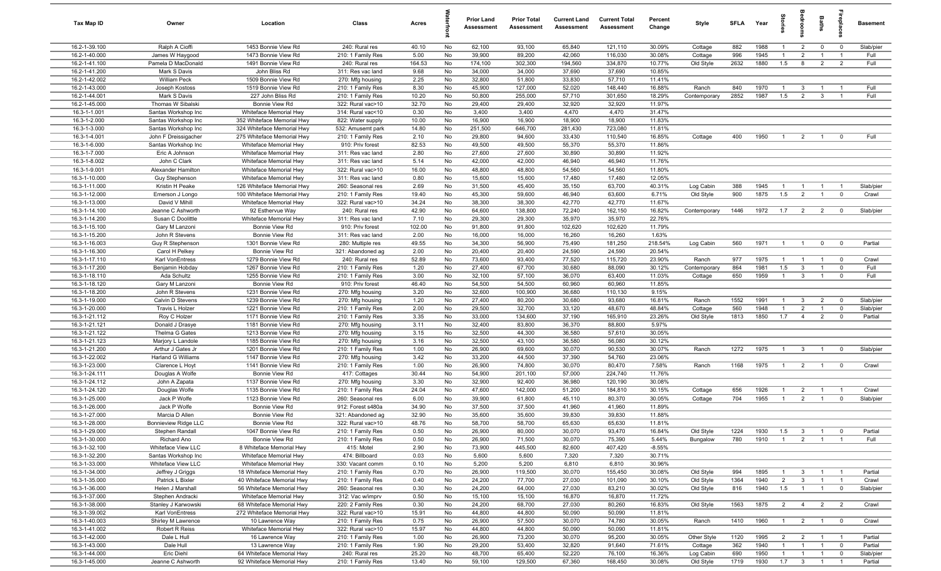| Tax Map ID                     | Owner                                 | Location                                             | Class                                  | Acres          |          | <b>Prior Land</b><br>Assessment | <b>Prior Total</b><br>Assessment | <b>Current Land</b><br>Assessment | <b>Current Total</b><br>Assessment | Percent<br>Change | Style                | <b>SFLA</b> | Year         | ğ                                | droom                          | Baths                            | <u>ep</u> la               | <b>Basement</b>      |
|--------------------------------|---------------------------------------|------------------------------------------------------|----------------------------------------|----------------|----------|---------------------------------|----------------------------------|-----------------------------------|------------------------------------|-------------------|----------------------|-------------|--------------|----------------------------------|--------------------------------|----------------------------------|----------------------------|----------------------|
| 16.2-1-39.100                  | Ralph A Cioffi                        | 1453 Bonnie View Rd                                  | 240: Rural res                         | 40.10          | No       | 62,100                          | 93,100                           | 65,840                            | 121,110                            | 30.09%            | Cottage              | 882         | 1988         | $\overline{1}$                   | $\overline{2}$                 | $\mathbf 0$                      | $\mathbf 0$                | Slab/pier            |
| 16.2-1-40.000                  | James W Haygood                       | 1473 Bonnie View Rd                                  | 210: 1 Family Res                      | 5.00           | No       | 39,900                          | 89,200                           | 42,060                            | 116,030                            | 30.08%            | Cottage              | 996         | 1945         | $\overline{1}$                   | $\overline{2}$                 | $\overline{1}$                   | $\overline{1}$             | Full                 |
| 16.2-1-41.100                  | Pamela D MacDonald                    | 1491 Bonnie View Rd                                  | 240: Rural res                         | 164.53         | No       | 174,100                         | 302,300                          | 194,560                           | 334,870                            | 10.77%            | Old Style            | 2632        | 1880         | 1.5                              | 8                              | $\overline{2}$                   | $\overline{2}$             | Full                 |
| 16.2-1-41.200                  | Mark S Davis                          | John Bliss Rd                                        | 311: Res vac land                      | 9.68           | No       | 34,000                          | 34,000                           | 37,690                            | 37,690                             | 10.85%            |                      |             |              |                                  |                                |                                  |                            |                      |
| 16.2-1-42.002<br>16.2-1-43.000 | <b>William Peck</b><br>Joseph Kostoss | 1509 Bonnie View Rd<br>1519 Bonnie View Rd           | 270: Mfg housing<br>210: 1 Family Res  | 2.25<br>8.30   | No<br>No | 32,800<br>45,900                | 51,800<br>127,000                | 33,830<br>52,020                  | 57,710<br>148,440                  | 11.41%<br>16.88%  | Ranch                | 840         | 1970         | $\mathbf{1}$                     | $\mathbf{3}$                   |                                  | - 1                        | Full                 |
| 16.2-1-44.001                  | Mark S Davis                          | 227 John Bliss Rd                                    | 210: 1 Family Res                      | 10.20          | No       | 50,800                          | 255,000                          | 57,710                            | 301,650                            | 18.29%            | Contemporary         | 2852        | 1987         | 1.5                              | 2                              | $\mathbf{3}$                     | $\overline{1}$             | Full                 |
| 16.2-1-45.000                  | Thomas W Sibalski                     | Bonnie View Rd                                       | 322: Rural vac>10                      | 32.70          | No       | 29,400                          | 29,400                           | 32,920                            | 32,920                             | 11.97%            |                      |             |              |                                  |                                |                                  |                            |                      |
| 16.3-1-1.001                   | Santas Workshop Inc                   | Whiteface Memorial Hwy                               | 314: Rural vac<10                      | 0.30           | No       | 3,400                           | 3,400                            | 4,470                             | 4,470                              | 31.47%            |                      |             |              |                                  |                                |                                  |                            |                      |
| 16.3-1-2.000                   | Santas Workshop Inc                   | 352 Whiteface Memorial Hwy                           | 822: Water supply                      | 10.00          | No       | 16,900                          | 16,900                           | 18,900                            | 18,900                             | 11.83%            |                      |             |              |                                  |                                |                                  |                            |                      |
| 16.3-1-3.000                   | Santas Workshop Inc                   | 324 Whiteface Memorial Hwy                           | 532: Amusemt park                      | 14.80          | No       | 251,500                         | 646,700                          | 281,430                           | 723,080                            | 11.81%            |                      |             |              |                                  |                                |                                  |                            |                      |
| 16.3-1-4.001                   | John F Dreissigacher                  | 275 Whiteface Memorial Hwy                           | 210: 1 Family Res                      | 2.10           | No       | 29,800                          | 94,600                           | 33,430                            | 110,540                            | 16.85%            | Cottage              | 400         | 1950         | $\overline{1}$                   | $\overline{2}$                 | $\overline{1}$                   | $^{\circ}$                 | Full                 |
| 16.3-1-6.000                   | Santas Workshop Inc                   | Whiteface Memorial Hwy                               | 910: Priv forest                       | 82.53          | No       | 49,500                          | 49,500                           | 55,370                            | 55,370                             | 11.86%            |                      |             |              |                                  |                                |                                  |                            |                      |
| 16.3-1-7.000                   | Eric A Johnson                        | Whiteface Memorial Hwy                               | 311: Res vac land                      | 2.80           | No       | 27,600                          | 27,600                           | 30,890                            | 30,890                             | 11.92%            |                      |             |              |                                  |                                |                                  |                            |                      |
| 16.3-1-8.002                   | John C Clark                          | Whiteface Memorial Hwy                               | 311: Res vac land                      | 5.14           | No       | 42,000                          | 42,000                           | 46,940                            | 46,940                             | 11.76%            |                      |             |              |                                  |                                |                                  |                            |                      |
| 16.3-1-9.001                   | Alexander Hamilton                    | Whiteface Memorial Hwy                               | 322: Rural vac>10                      | 16.00          | No       | 48,800                          | 48,800                           | 54,560                            | 54,560                             | 11.80%            |                      |             |              |                                  |                                |                                  |                            |                      |
| 16.3-1-10.000                  | Guy Stephenson                        | Whiteface Memorial Hwy                               | 311: Res vac land                      | 0.80           | No       | 15,600                          | 15,600                           | 17,480                            | 17,480                             | 12.05%            |                      |             |              |                                  |                                |                                  |                            |                      |
| 16.3-1-11.000<br>16.3-1-12.000 | Kristin H Peake                       | 126 Whiteface Memorial Hwy                           | 260: Seasonal res                      | 2.69           | No<br>No | 31,500<br>45,300                | 45,400<br>59,600                 | 35,150<br>46,940                  | 63,700<br>63,600                   | 40.31%<br>6.71%   | Log Cabin            | 388<br>900  | 1945<br>1875 | $\mathbf{1}$<br>1.5              | $\overline{1}$                 |                                  | - 1<br>$\mathbf 0$         | Slab/pier<br>Crawl   |
| 16.3-1-13.000                  | Emerson J Longo<br>David V Mihill     | 100 Whiteface Memorial Hwy<br>Whiteface Memorial Hwy | 210: 1 Family Res<br>322: Rural vac>10 | 19.40<br>34.24 | No       | 38,300                          | 38,300                           | 42,770                            | 42,770                             | 11.67%            | Old Style            |             |              |                                  | $\overline{2}$                 |                                  |                            |                      |
| 16.3-1-14.100                  | Jeanne C Ashworth                     | 92 Esthervue Way                                     | 240: Rural res                         | 42.90          | No       | 64,600                          | 138,800                          | 72,240                            | 162,150                            | 16.82%            | Contemporary         | 1446        | 1972         | 1.7                              | $\overline{2}$                 | $\overline{2}$                   | $\mathbf 0$                | Slab/pier            |
| 16.3-1-14.200                  | Susan C Doolittle                     | Whiteface Memorial Hwy                               | 311: Res vac land                      | 7.10           | No       | 29,300                          | 29,300                           | 35,970                            | 35,970                             | 22.76%            |                      |             |              |                                  |                                |                                  |                            |                      |
| 16.3-1-15.100                  | Gary M Lanzoni                        | Bonnie View Rd                                       | 910: Priv forest                       | 102.00         | No       | 91,800                          | 91,800                           | 102,620                           | 102,620                            | 11.79%            |                      |             |              |                                  |                                |                                  |                            |                      |
| 16.3-1-15.200                  | John R Stevens                        | Bonnie View Rd                                       | 311: Res vac land                      | 2.00           | No       | 16,000                          | 16,000                           | 16,260                            | 16,260                             | 1.63%             |                      |             |              |                                  |                                |                                  |                            |                      |
| 16.3-1-16.003                  | Guy R Stephenson                      | 1301 Bonnie View Rd                                  | 280: Multiple res                      | 49.55          | No       | 34,300                          | 56,900                           | 75,490                            | 181,250                            | 218.54%           | Log Cabin            | 560         | 1971         | $\overline{1}$                   | $\overline{1}$                 | $\mathbf 0$                      | $\mathbf 0$                | Partial              |
| 16.3-1-16.300                  | Carol H Pelkey                        | Bonnie View Rd                                       | 321: Abandoned ag                      | 2.00           | No       | 20,400                          | 20,400                           | 24,590                            | 24,590                             | 20.54%            |                      |             |              |                                  |                                |                                  |                            |                      |
| 16.3-1-17.110                  | Karl VonEntress                       | 1279 Bonnie View Rd                                  | 240: Rural res                         | 52.89          | No       | 73,600                          | 93,400                           | 77,520                            | 115,720                            | 23.90%            | Ranch                | 977         | 1975         | $\mathbf{1}$                     | $\overline{1}$                 | $\overline{1}$                   | $\overline{0}$             | Crawl                |
| 16.3-1-17.200                  | Benjamin Hobday                       | 1267 Bonnie View Rd                                  | 210: 1 Family Res                      | 1.20           | No       | 27,400                          | 67,700                           | 30,680                            | 88,090                             | 30.12%            | Contemporary         | 864         | 1981         | 1.5                              | $\mathbf{3}$                   |                                  | $\mathbf 0$                | Full                 |
| 16.3-1-18.110                  | Ada Schultz                           | 1255 Bonnie View Rd                                  | 210: 1 Family Res                      | 3.00           | No       | 32,100                          | 57,100                           | 36,070                            | 63,400                             | 11.03%            | Cottage              | 650         | 1959         | $\mathbf{1}$                     | $\mathbf{3}$                   | $\overline{1}$                   | $\mathbf 0$                | Full                 |
| 16.3-1-18.120                  | Gary M Lanzoni                        | Bonnie View Rd                                       | 910: Priv forest                       | 46.40          | No       | 54,500                          | 54,500                           | 60,960                            | 60,960                             | 11.85%            |                      |             |              |                                  |                                |                                  |                            |                      |
| 16.3-1-18.200                  | John R Stevens                        | 1231 Bonnie View Rd                                  | 270: Mfg housing                       | 3.20           | No       | 32,600                          | 100,900                          | 36,680                            | 110,130                            | 9.15%             |                      |             |              |                                  |                                |                                  |                            |                      |
| 16.3-1-19.000<br>16.3-1-20.000 | Calvin D Stevens<br>Travis L Holzer   | 1239 Bonnie View Rd<br>1221 Bonnie View Rd           | 270: Mfg housing                       | 1.20<br>2.00   | No<br>No | 27,400<br>29,500                | 80,200<br>32,700                 | 30,680<br>33,120                  | 93,680<br>48,670                   | 16.81%<br>48.84%  | Ranch                | 1552<br>560 | 1991<br>1948 | $\overline{1}$<br>$\overline{1}$ | $\mathbf{3}$<br>$\overline{2}$ | $\overline{2}$<br>$\overline{1}$ | $\mathbf 0$<br>$\mathbf 0$ | Slab/pier            |
| 16.3-1-21.112                  | Roy C Holzer                          | 1171 Bonnie View Rd                                  | 210: 1 Family Res<br>210: 1 Family Res | 3.35           | No       | 33,000                          | 134,600                          | 37,190                            | 165,910                            | 23.26%            | Cottage<br>Old Style | 1813        | 1850         | 1.7                              | $\overline{4}$                 | $\overline{2}$                   | $\mathbf 0$                | Slab/pier<br>Partial |
| 16.3-1-21.121                  | Donald J Drasye                       | 1181 Bonnie View Rd                                  | 270: Mfg housing                       | 3.11           | No       | 32,400                          | 83,800                           | 36,370                            | 88,800                             | 5.97%             |                      |             |              |                                  |                                |                                  |                            |                      |
| 16.3-1-21.122                  | Thelma G Gates                        | 1213 Bonnie View Rd                                  | 270: Mfg housing                       | 3.15           | No       | 32,500                          | 44,300                           | 36,580                            | 57,610                             | 30.05%            |                      |             |              |                                  |                                |                                  |                            |                      |
| 16.3-1-21.123                  | Marjory L Landole                     | 1185 Bonnie View Rd                                  | 270: Mfg housing                       | 3.16           | No       | 32,500                          | 43,100                           | 36,580                            | 56,080                             | 30.12%            |                      |             |              |                                  |                                |                                  |                            |                      |
| 16.3-1-21.200                  | Arthur J Gates Jr                     | 1201 Bonnie View Rd                                  | 210: 1 Family Res                      | 1.00           | No       | 26,900                          | 69,600                           | 30,070                            | 90,530                             | 30.07%            | Ranch                | 1272        | 1975         | $\overline{1}$                   | $\mathbf{3}$                   | $\overline{1}$                   | $^{\circ}$                 | Slab/pier            |
| 16.3-1-22.002                  | Harland G Williams                    | 1147 Bonnie View Rd                                  | 270: Mfg housing                       | 3.42           | No       | 33,200                          | 44,500                           | 37,390                            | 54,760                             | 23.06%            |                      |             |              |                                  |                                |                                  |                            |                      |
| 16.3-1-23.000                  | Clarence L Hoyt                       | 1141 Bonnie View Rd                                  | 210: 1 Family Res                      | 1.00           | No       | 26,900                          | 74,800                           | 30,070                            | 80,470                             | 7.58%             | Ranch                | 1168        | 1975         | $\overline{1}$                   | $\overline{2}$                 | $\overline{1}$                   | $^{\circ}$                 | Crawl                |
| 16.3-1-24.111                  | Douglas A Wolfe                       | Bonnie View Rd                                       | 417: Cottages                          | 30.44          | No       | 54,900                          | 201,100                          | 57,000                            | 224,740                            | 11.76%            |                      |             |              |                                  |                                |                                  |                            |                      |
| 16.3-1-24.112                  | John A Zapata                         | 1137 Bonnie View Rd                                  | 270: Mfg housing                       | 3.30           | No       | 32,900                          | 92,400                           | 36,980                            | 120,190                            | 30.08%            |                      |             |              |                                  |                                |                                  |                            |                      |
| 16.3-1-24.120                  | Douglas Wolfe                         | 1135 Bonnie View Rd                                  | 210: 1 Family Res                      | 24.04          | No       | 47,600                          | 142,000                          | 51,200                            | 184,810                            | 30.15%            | Cottage              | 656         | 1926         | $\mathbf{1}$                     | $\overline{2}$                 |                                  |                            | Crawl                |
| 16.3-1-25.000                  | Jack P Wolfe                          | 1123 Bonnie View Rd                                  | 260: Seasonal res                      | 6.00           | No       | 39,900                          | 61,800                           | 45,110                            | 80,370                             | 30.05%            | Cottage              | 704         | 1955         | $\mathbf{1}$                     | $\overline{2}$                 |                                  | $\mathbf 0$                | Slab/pier            |
| 16.3-1-26.000<br>16.3-1-27.000 | Jack P Wolfe<br>Marcia D Allen        | Bonnie View Rd<br>Bonnie View Rd                     | 912: Forest s480a                      | 34.90<br>32.90 | No<br>No | 37,500<br>35,600                | 37,500<br>35,600                 | 41,960<br>39,830                  | 41,960<br>39,830                   | 11.89%<br>11.88%  |                      |             |              |                                  |                                |                                  |                            |                      |
| 16.3-1-28.000                  | Bonnieview Ridge LLC                  | Bonnie View Rd                                       | 321: Abandoned ag<br>322: Rural vac>10 | 48.76          | No       | 58,700                          | 58,700                           | 65,630                            | 65,630                             | 11.81%            |                      |             |              |                                  |                                |                                  |                            |                      |
| 16.3-1-29.000                  | Stephen Randall                       | 1047 Bonnie View Rd                                  | 210: 1 Family Res                      | 0.50           | No       | 26,900                          | 80,000                           | 30,070                            | 93,470                             | 16.84%            | Old Style            | 1224        | 1930         | 1.5                              | $\mathbf{3}$                   | $\overline{1}$                   | $\overline{0}$             | Partial              |
| 16.3-1-30.000                  | Richard Ano                           | Bonnie View Rd                                       | 210: 1 Family Res                      | 0.50           | No       | 26,900                          | 71,500                           | 30,070                            | 75,390                             | 5.44%             | Bungalow             | 780         | 1910         | $\overline{1}$                   | $\overline{2}$                 | $\overline{1}$                   | $\overline{1}$             | Full                 |
| 16.3-1-32.100                  | Whiteface View LLC                    | 8 Whiteface Memorial Hwy                             | 415: Motel                             | 2.90           | No       | 73,900                          | 445,500                          | 82,600                            | 407,420                            | $-8.55%$          |                      |             |              |                                  |                                |                                  |                            |                      |
| 16.3-1-32.200                  | Santas Workshop Inc                   | Whiteface Memorial Hwy                               | 474: Billboard                         | 0.03           | No       | 5,600                           | 5,600                            | 7,320                             | 7,320                              | 30.71%            |                      |             |              |                                  |                                |                                  |                            |                      |
| 16.3-1-33.000                  | Whiteface View LLC                    | Whiteface Memorial Hwy                               | 330: Vacant comm                       | 0.10           | No       | 5,200                           | 5,200                            | 6,810                             | 6,810                              | 30.96%            |                      |             |              |                                  |                                |                                  |                            |                      |
| 16.3-1-34.000                  | Jeffrey J Griggs                      | 18 Whiteface Memorial Hwy                            | 210: 1 Family Res                      | 0.70           | No       | 26,900                          | 119,500                          | 30,070                            | 155,450                            | 30.08%            | Old Style            | 994         | 1895         | $\mathbf{1}$                     | $\mathbf{3}$                   | $\overline{1}$                   | - 1                        | Partial              |
| 16.3-1-35.000                  | Patrick L Bixler                      | 40 Whiteface Memorial Hwy                            | 210: 1 Family Res                      | 0.40           | No       | 24,200                          | 77,700                           | 27,030                            | 101,090                            | 30.10%            | Old Style            | 1364        | 1940         | $\overline{2}$                   | $\mathbf{3}$                   |                                  | $\overline{1}$             | Crawl                |
| 16.3-1-36.000                  | Helen J Marshall                      | 56 Whiteface Memorial Hwy                            | 260: Seasonal res                      | 0.30           | No       | 24,200                          | 64,000                           | 27,030                            | 83,210                             | 30.02%            | Old Style            | 816         | 1940         | 1.5                              | $\overline{1}$                 | $\overline{1}$                   | $\overline{\mathbf{0}}$    | Slab/pier            |
| 16.3-1-37.000                  | Stephen Andracki                      | Whiteface Memorial Hwy                               | 312: Vac w/imprv                       | 0.50           | No       | 15,100                          | 15,100                           | 16,870                            | 16,870                             | 11.72%            |                      |             |              |                                  |                                |                                  |                            |                      |
| 16.3-1-38.000                  | Stanley J Karwowski                   | 68 Whiteface Memorial Hwy                            | 220: 2 Family Res                      | 0.30           | No       | 24,200                          | 68,700                           | 27,030                            | 80,260                             | 16.83%            | Old Style            | 1563        | 1875         | $\overline{2}$                   | $\overline{4}$                 | $\overline{2}$                   | $\overline{\mathbf{2}}$    | Crawl                |
| 16.3-1-39.002                  | Karl VonEntress                       | 272 Whiteface Memorial Hwy                           | 322: Rural vac>10                      | 15.91          | No       | 44,800                          | 44,800                           | 50,090                            | 50,090                             | 11.81%            |                      |             |              |                                  |                                |                                  |                            |                      |
| 16.3-1-40.003<br>16.3-1-41.002 | Shirley M Lawrence<br>Robert R Reiss  | 10 Lawrence Way<br>Whiteface Memorial Hwy            | 210: 1 Family Res<br>322: Rural vac>10 | 0.75<br>15.97  | No<br>No | 26,900<br>44,800                | 57,500<br>44,800                 | 30,070<br>50,090                  | 74,780<br>50,090                   | 30.05%<br>11.81%  | Ranch                | 1410        | 1960         | $\overline{1}$                   | 2                              | $\overline{1}$                   | $\overline{\mathbf{0}}$    | Crawl                |
| 16.3-1-42.000                  | Dale L Hull                           | 16 Lawrence Way                                      | 210: 1 Family Res                      | 1.00           | No       | 26,900                          | 73,200                           | 30,070                            | 95,200                             | 30.05%            | Other Style          | 1120        | 1995         | $\overline{2}$                   | $\overline{2}$                 | $\overline{1}$                   | $\overline{1}$             | Partial              |
| 16.3-1-43.000                  | Dale Hull                             | 13 Lawrence Way                                      | 210: 1 Family Res                      | 1.90           | No       | 29,200                          | 53,400                           | 32,820                            | 91,640                             | 71.61%            | Cottage              | 362         | 1940         | $\overline{1}$                   | $\overline{1}$                 | $\overline{1}$                   | $\overline{0}$             | Partial              |
| 16.3-1-44.000                  | Eric Diehl                            | 64 Whiteface Memorial Hwy                            | 240: Rural res                         | 25.20          | No       | 48,700                          | 65,400                           | 52,220                            | 76,100                             | 16.36%            | Log Cabin            | 690         | 1950         | $\overline{1}$                   | $\overline{1}$                 | $\mathbf{1}$                     | $\overline{\mathbf{0}}$    | Slab/pier            |
| 16.3-1-45.000                  | Jeanne C Ashworth                     | 92 Whiteface Memorial Hwy                            | 210: 1 Family Res                      | 13.40          | No       | 59,100                          | 129,500                          | 67,360                            | 168,450                            | 30.08%            | Old Style            | 1719        | 1930         | 1.7                              | $\overline{\mathbf{3}}$        | $\overline{1}$                   | $\overline{1}$             | Partial              |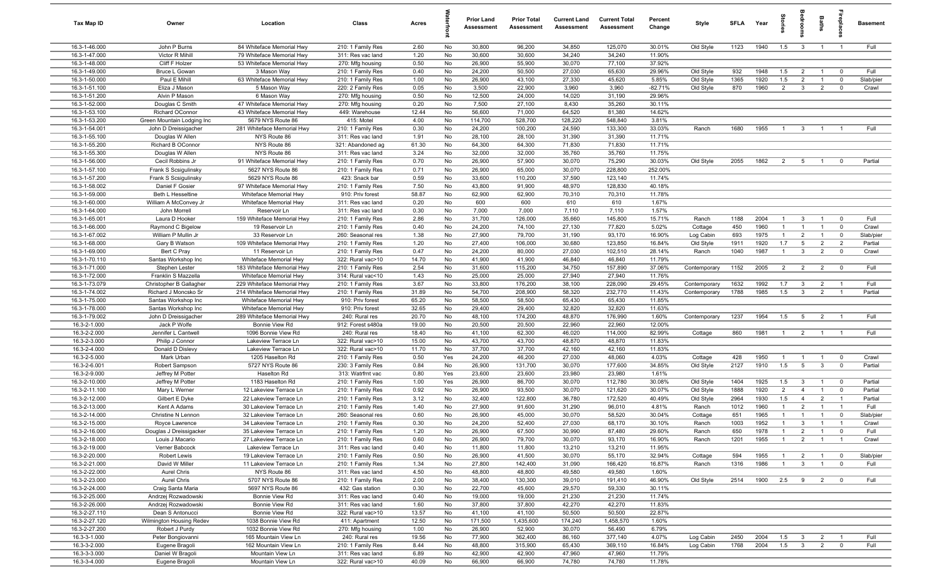| Tax Map ID                     | Owner                                      | Location                                         | Class                                  | Acres          |          | <b>Prior Land</b><br>Assessment | <b>Prior Total</b><br>Assessment | <b>Current Land</b><br><b>Assessment</b> | <b>Current Total</b><br><b>Assessment</b> | Percent<br>Change | Style                  | <b>SFI A</b> | Year         | tories                           |                                  | Baths                            | 흉                                | <b>Basement</b>   |
|--------------------------------|--------------------------------------------|--------------------------------------------------|----------------------------------------|----------------|----------|---------------------------------|----------------------------------|------------------------------------------|-------------------------------------------|-------------------|------------------------|--------------|--------------|----------------------------------|----------------------------------|----------------------------------|----------------------------------|-------------------|
| 16.3-1-46.000                  | John P Burns                               | 84 Whiteface Memorial Hwy                        | 210: 1 Family Res                      | 2.60           | No       | 30,800                          | 96,200                           | 34,850                                   | 125,070                                   | 30.01%            | Old Style              | 1123         | 1940         | 1.5                              | $\mathbf{3}$                     | $\overline{1}$                   | $\overline{1}$                   | Full              |
| 16.3-1-47.000                  | Victor R Mihill                            | 79 Whiteface Memorial Hwy                        | 311: Res vac land                      | 1.20           | No       | 30,600                          | 30,600                           | 34,240                                   | 34,240                                    | 11.90%            |                        |              |              |                                  |                                  |                                  |                                  |                   |
| 16.3-1-48.000                  | Cliff F Holzer                             | 53 Whiteface Memorial Hwy                        | 270: Mfg housing                       | 0.50           | No       | 26,900                          | 55,900                           | 30,070                                   | 77,100                                    | 37.92%            |                        |              |              |                                  |                                  |                                  |                                  |                   |
| 16.3-1-49.000<br>16.3-1-50.000 | Bruce L Gowan<br>Paul E Mihill             | 3 Mason Way<br>63 Whiteface Memorial Hwy         | 210: 1 Family Res                      | 0.40<br>1.00   | No<br>No | 24,200<br>26,900                | 50,500<br>43,100                 | 27,030<br>27,330                         | 65,630<br>45,620                          | 29.96%<br>5.85%   | Old Style              | 932<br>1365  | 1948<br>1920 | 1.5<br>1.5                       | $\overline{2}$<br>$\overline{2}$ | $\overline{1}$<br>$\overline{1}$ | $\mathbf 0$<br>$\mathbf 0$       | Full<br>Slab/pier |
| 16.3-1-51.100                  | Eliza J Mason                              | 5 Mason Way                                      | 210: 1 Family Res<br>220: 2 Family Res | 0.05           | No       | 3,500                           | 22,900                           | 3,960                                    | 3,960                                     | $-82.71%$         | Old Style<br>Old Style | 870          | 1960         | $\overline{2}$                   | 3                                | $\overline{2}$                   | $\mathbf{0}$                     | Crawl             |
| 16.3-1-51.200                  | Alvin P Mason                              | 6 Mason Way                                      | 270: Mfg housing                       | 0.50           | No       | 12,500                          | 24,000                           | 14,020                                   | 31,190                                    | 29.96%            |                        |              |              |                                  |                                  |                                  |                                  |                   |
| 16.3-1-52.000                  | Douglas C Smith                            | 47 Whiteface Memorial Hwy                        | 270: Mfg housing                       | 0.20           | No       | 7,500                           | 27,100                           | 8,430                                    | 35,260                                    | 30.11%            |                        |              |              |                                  |                                  |                                  |                                  |                   |
| 16.3-1-53.100                  | Richard OConnor                            | 43 Whiteface Memorial Hwy                        | 449: Warehouse                         | 12.44          | No       | 56,600                          | 71,000                           | 64,520                                   | 81,380                                    | 14.62%            |                        |              |              |                                  |                                  |                                  |                                  |                   |
| 16.3-1-53.200                  | Green Mountain Lodging Inc                 | 5679 NYS Route 86                                | 415: Motel                             | 4.00           | No       | 114,700                         | 528,700                          | 128,220                                  | 548,840                                   | 3.81%             |                        |              |              |                                  |                                  |                                  |                                  |                   |
| 16.3-1-54.001                  | John D Dreissigacher                       | 281 Whiteface Memorial Hwy                       | 210: 1 Family Res                      | 0.30           | No       | 24,200                          | 100,200                          | 24,590                                   | 133,300                                   | 33.03%            | Ranch                  | 1680         | 1955         | $\overline{1}$                   | $\mathbf{3}$                     | $\overline{1}$                   |                                  | Full              |
| 16.3-1-55.100                  | Douglas W Allen                            | NYS Route 86                                     | 311: Res vac land                      | 1.91           | No       | 28,100                          | 28,100                           | 31,390                                   | 31,390                                    | 11.71%            |                        |              |              |                                  |                                  |                                  |                                  |                   |
| 16.3-1-55.200                  | Richard B OConnor                          | NYS Route 86                                     | 321: Abandoned ag                      | 61.30          | No       | 64,300                          | 64,300                           | 71,830                                   | 71,830                                    | 11.71%            |                        |              |              |                                  |                                  |                                  |                                  |                   |
| 16.3-1-55.300                  | Douglas W Allen                            | NYS Route 86                                     | 311: Res vac land                      | 3.24           | No       | 32,000                          | 32,000                           | 35,760                                   | 35,760                                    | 11.75%            |                        |              |              |                                  |                                  |                                  |                                  |                   |
| 16.3-1-56.000                  | Cecil Robbins Jr                           | 91 Whiteface Memorial Hwy                        | 210: 1 Family Res                      | 0.70           | No       | 26,900                          | 57,900                           | 30,070                                   | 75,290                                    | 30.03%            | Old Style              | 2055         | 1862         | $\overline{2}$                   | 5                                | $\overline{1}$                   | $\mathbf 0$                      | Partial           |
| 16.3-1-57.100                  | Frank S Scsigulinsky                       | 5627 NYS Route 86                                | 210: 1 Family Res                      | 0.71           | No       | 26,900                          | 65,000                           | 30,070                                   | 228,800                                   | 252.00%           |                        |              |              |                                  |                                  |                                  |                                  |                   |
| 16.3-1-57.200                  | Frank S Scsigulinsky                       | 5629 NYS Route 86                                | 423: Snack bar                         | 0.59           | No       | 33,600                          | 110,200                          | 37,590                                   | 123,140                                   | 11.74%            |                        |              |              |                                  |                                  |                                  |                                  |                   |
| 16.3-1-58.002                  | Daniel F Gosier                            | 97 Whiteface Memorial Hwy                        | 210: 1 Family Res                      | 7.50           | No       | 43,800                          | 91,900                           | 48,970                                   | 128,830                                   | 40.18%            |                        |              |              |                                  |                                  |                                  |                                  |                   |
| 16.3-1-59.000<br>16.3-1-60.000 | Beth L Hesseltine<br>William A McConvey Jr | Whiteface Memorial Hwy<br>Whiteface Memorial Hwy | 910: Priv forest<br>311: Res vac land  | 58.87<br>0.20  | No<br>No | 62,900<br>600                   | 62,900<br>600                    | 70,310<br>610                            | 70,310<br>610                             | 11.78%<br>1.67%   |                        |              |              |                                  |                                  |                                  |                                  |                   |
| 16.3-1-64.000                  | John Morrell                               | Reservoir Ln                                     | 311: Res vac land                      | 0.30           | No       | 7,000                           | 7,000                            | 7,110                                    | 7,110                                     | 1.57%             |                        |              |              |                                  |                                  |                                  |                                  |                   |
| 16.3-1-65.001                  | Laura D Hooker                             | 159 Whiteface Memorial Hwy                       | 210: 1 Family Res                      | 2.86           | No       | 31,700                          | 126,000                          | 35,660                                   | 145,800                                   | 15.71%            | Ranch                  | 1188         | 2004         | $\overline{1}$                   | $\mathbf{3}$                     | $\overline{1}$                   | $\mathbf 0$                      | Full              |
| 16.3-1-66.000                  | Raymond C Bigelow                          | 19 Reservoir Ln                                  | 210: 1 Family Res                      | 0.40           | No       | 24,200                          | 74,100                           | 27,130                                   | 77,820                                    | 5.02%             | Cottage                | 450          | 1960         | $\overline{1}$                   | $\overline{1}$                   | $\overline{1}$                   | $\overline{0}$                   | Crawl             |
| 16.3-1-67.002                  | William P Mullin Jr                        | 33 Reservoir Ln                                  | 260: Seasonal res                      | 1.38           | No       | 27,900                          | 79,700                           | 31,190                                   | 93,170                                    | 16.90%            | Log Cabin              | 693          | 1975         | $\overline{1}$                   | $\overline{2}$                   | $\overline{1}$                   | $\mathbf 0$                      | Slab/pier         |
| 16.3-1-68.000                  | Gary B Watson                              | 109 Whiteface Memorial Hwy                       | 210: 1 Family Res                      | 1.20           | No       | 27,400                          | 106,000                          | 30,680                                   | 123,850                                   | 16.84%            | Old Style              | 1911         | 1920         | 1.7                              | 5                                | $\overline{2}$                   | $\overline{2}$                   | Partial           |
| 16.3-1-69.000                  | Bert C Pray                                | 11 Reservoir Ln                                  | 210: 1 Family Res                      | 0.47           | No       | 24,200                          | 80,000                           | 27,030                                   | 102,510                                   | 28.14%            | Ranch                  | 1040         | 1987         | $\overline{1}$                   | $\mathbf{3}$                     | $\overline{2}$                   | $\mathbf 0$                      | Crawl             |
| 16.3-1-70.110                  | Santas Workshop Inc                        | Whiteface Memorial Hwy                           | 322: Rural vac>10                      | 14.70          | No       | 41,900                          | 41,900                           | 46,840                                   | 46,840                                    | 11.79%            |                        |              |              |                                  |                                  |                                  |                                  |                   |
| 16.3-1-71.000                  | Stephen Lester                             | 183 Whiteface Memorial Hwy                       | 210: 1 Family Res                      | 2.54           | No       | 31,600                          | 115,200                          | 34,750                                   | 157,890                                   | 37.06%            | Contemporary           | 1152         | 2005         | $\overline{2}$                   | $\overline{2}$                   | $\overline{2}$                   | $\overline{0}$                   | Full              |
| 16.3-1-72.000                  | Franklin S Mazzella                        | Whiteface Memorial Hwy                           | 314: Rural vac<10                      | 1.43           | No       | 25,000                          | 25,000                           | 27,940                                   | 27,940                                    | 11.76%            |                        |              |              |                                  |                                  |                                  |                                  |                   |
| 16.3-1-73.079                  | Christopher B Gallagher                    | 229 Whiteface Memorial Hwy                       | 210: 1 Family Res                      | 3.67           | No       | 33,800                          | 176,200                          | 38,100                                   | 228,090                                   | 29.45%            | Contemporary           | 1632         | 1992         | 1.7                              | $\mathbf{3}$                     | $\overline{2}$                   | $\overline{1}$                   | Full              |
| 16.3-1-74.002                  | Richard J Moncsko Sr                       | 214 Whiteface Memorial Hwy                       | 210: 1 Family Res                      | 31.89          | No       | 54,700                          | 208,900                          | 58,320                                   | 232,770                                   | 11.43%            | Contemporary           | 1788         | 1985         | 1.5                              | $\mathbf{3}$                     | $\overline{2}$                   | $\overline{1}$                   | Partial           |
| 16.3-1-75.000                  | Santas Workshop Inc                        | Whiteface Memorial Hwy                           | 910: Priv forest                       | 65.20          | No       | 58,500                          | 58,500                           | 65,430                                   | 65,430                                    | 11.85%            |                        |              |              |                                  |                                  |                                  |                                  |                   |
| 16.3-1-78.000                  | Santas Workshop Inc                        | Whiteface Memorial Hwy                           | 910: Priv forest                       | 32.65          | No       | 29,400                          | 29,400                           | 32,820                                   | 32,820                                    | 11.63%            |                        |              |              |                                  |                                  |                                  |                                  |                   |
| 16.3-1-79.002<br>16.3-2-1.000  | John D Dreissigacher<br>Jack P Wolfe       | 289 Whiteface Memorial Hwy<br>Bonnie View Rd     | 240: Rural res<br>912: Forest s480a    | 20.70<br>19.00 | No<br>No | 48,100<br>20,500                | 174,200<br>20,500                | 48,870<br>22,960                         | 176,990<br>22,960                         | 1.60%<br>12.00%   | Contemporary           | 1237         | 1954         | 1.5                              | 5                                | $\overline{2}$                   | $\overline{1}$                   | Full              |
| 16.3-2-2.000                   | Jennifer L Cantwell                        | 1096 Bonnie View Rd                              | 240: Rural res                         | 18.40          | No       | 41,100                          | 62,300                           | 46,020                                   | 114,000                                   | 82.99%            | Cottage                | 860          | 1981         | $\overline{1}$                   | $\overline{2}$                   | $\overline{1}$                   | $\overline{1}$                   | Full              |
| 16.3-2-3.000                   | Philip J Connor                            | Lakeview Terrace Ln                              | 322: Rural vac>10                      | 15.00          | No       | 43,700                          | 43,700                           | 48,870                                   | 48,870                                    | 11.83%            |                        |              |              |                                  |                                  |                                  |                                  |                   |
| 16.3-2-4.000                   | Donald D Dislevy                           | Lakeview Terrace Ln                              | 322: Rural vac>10                      | 11.70          | No       | 37,700                          | 37,700                           | 42,160                                   | 42,160                                    | 11.83%            |                        |              |              |                                  |                                  |                                  |                                  |                   |
| 16.3-2-5.000                   | Mark Urban                                 | 1205 Haselton Rd                                 | 210: 1 Family Res                      | 0.50           | Yes      | 24,200                          | 46,200                           | 27,030                                   | 48,060                                    | 4.03%             | Cottage                | 428          | 1950         | $\mathbf{1}$                     | -1                               | $\overline{1}$                   | $\overline{\mathbf{0}}$          | Crawl             |
| 16.3-2-6.001                   | Robert Sampson                             | 5727 NYS Route 86                                | 230: 3 Family Res                      | 0.84           | No       | 26,900                          | 131,700                          | 30,070                                   | 177,600                                   | 34.85%            | Old Style              | 2127         | 1910         | 1.5                              | 5                                | $\mathbf{3}$                     | $\overline{0}$                   | Partial           |
| 16.3-2-9.000                   | Jeffrey M Potter                           | Haselton Rd                                      | 313: Watrfrnt vac                      | 0.80           | Yes      | 23,600                          | 23,600                           | 23,980                                   | 23,980                                    | 1.61%             |                        |              |              |                                  |                                  |                                  |                                  |                   |
| 16.3-2-10.000                  | Jeffrey M Potter                           | 1183 Haselton Rd                                 | 210: 1 Family Res                      | 1.00           | Yes      | 26,900                          | 86,700                           | 30,070                                   | 112,780                                   | 30.08%            | Old Style              | 1404         | 1925         | 1.5                              | $\mathbf{3}$                     | $\overline{1}$                   | $\overline{\mathbf{0}}$          | Partial           |
| 16.3-2-11.100                  | Mary L Werner                              | 12 Lakeview Terrace Ln                           | 210: 1 Family Res                      | 0.92           | No       | 26,900                          | 93,500                           | 30,070                                   | 121,620                                   | 30.07%            | Old Style              | 1888         | 1920         | $\overline{2}$                   | $\overline{4}$                   | $\overline{1}$                   | $\mathbf 0$                      | Partial           |
| 16.3-2-12.000                  | Gilbert E Dyke                             | 22 Lakeview Terrace Ln                           | 210: 1 Family Res                      | 3.12           | No       | 32,400                          | 122,800                          | 36,780                                   | 172,520                                   | 40.49%            | Old Style              | 2964         | 1930         | 1.5                              | $\overline{4}$                   | $\overline{2}$                   | $\overline{1}$                   | Partial           |
| 16.3-2-13.000                  | Kent A Adams                               | 30 Lakeview Terrace Ln                           | 210: 1 Family Res                      | 1.40           | No       | 27,900                          | 91,600                           | 31,290                                   | 96,010                                    | 4.81%             | Ranch                  | 1012         | 1960         | $\overline{1}$                   | $\overline{2}$                   | $\overline{1}$                   | $\overline{1}$                   | Full              |
| 16.3-2-14.000                  | Christine N Lennon                         | 32 Lakeview Terrace Ln                           | 260: Seasonal res                      | 0.60           | No       | 26,900                          | 45,000                           | 30,070                                   | 58,520                                    | 30.04%            | Cottage                | 651          | 1965         | $\overline{1}$                   | $\overline{1}$                   | $\overline{1}$                   | $\mathbf 0$                      | Slab/pier         |
| 16.3-2-15.000                  | Royce Lawrence                             | 34 Lakeview Terrace Ln                           | 210: 1 Family Res                      | 0.30           | No.      | 24,200                          | 52,400                           | 27,030                                   | 68,170                                    | 30.10%            | Ranch                  | 1003         | 1952         | $\overline{1}$                   | $\mathbf{3}$                     | $\overline{1}$                   |                                  | Crawl             |
| 16.3-2-16.000<br>16.3-2-18.000 | Douglas J Dreissigacker<br>Louis J Macario | 35 Lakeview Terrace Ln<br>27 Lakeview Terrace Ln | 210: 1 Family Res<br>210: 1 Family Res | 1.20<br>0.60   | No<br>No | 26,900<br>26,900                | 67,500<br>79,700                 | 30,990<br>30,070                         | 87,480<br>93,170                          | 29.60%<br>16.90%  | Ranch<br>Ranch         | 650<br>1201  | 1978<br>1955 | $\overline{1}$<br>$\overline{1}$ | $\overline{2}$<br>$\overline{2}$ | $\overline{1}$<br>$\overline{1}$ | $\overline{0}$<br>$\overline{1}$ | Full<br>Crawl     |
| 16.3-2-19.000                  | Verner Babcock                             | Lakeview Terrace Ln                              | 311: Res vac land                      | 0.40           | No       | 11,800                          | 11,800                           | 13,210                                   | 13,210                                    | 11.95%            |                        |              |              |                                  |                                  |                                  |                                  |                   |
| 16.3-2-20.000                  | Robert Lewis                               | 19 Lakeview Terrace Ln                           | 210: 1 Family Res                      | 0.50           | No       | 26,900                          | 41,500                           | 30,070                                   | 55,170                                    | 32.94%            | Cottage                | 594          | 1955         | $\overline{1}$                   | $\overline{2}$                   | $\overline{1}$                   | $\mathbf 0$                      | Slab/pier         |
| 16.3-2-21.000                  | David W Miller                             | 11 Lakeview Terrace Ln                           | 210: 1 Family Res                      | 1.34           | No       | 27,800                          | 142,400                          | 31,090                                   | 166,420                                   | 16.87%            | Ranch                  | 1316         | 1986         | $\overline{1}$                   | $\mathbf{3}$                     | $\overline{1}$                   | $\mathbf 0$                      | Full              |
| 16.3-2-22.000                  | Aurel Chris                                | NYS Route 86                                     | 311: Res vac land                      | 4.50           | No       | 48,800                          | 48,800                           | 49,580                                   | 49,580                                    | 1.60%             |                        |              |              |                                  |                                  |                                  |                                  |                   |
| 16.3-2-23.000                  | Aurel Chris                                | 5707 NYS Route 86                                | 210: 1 Family Res                      | 2.00           | No       | 38,400                          | 130,300                          | 39,010                                   | 191,410                                   | 46.90%            | Old Style              | 2514         | 1900         | 2.5                              | 9                                | $\overline{2}$                   | $\mathbf 0$                      | Full              |
| 16.3-2-24.000                  | Craig Santa Maria                          | 5697 NYS Route 86                                | 432: Gas station                       | 0.30           | No       | 22,700                          | 45,600                           | 29,570                                   | 59,330                                    | 30.11%            |                        |              |              |                                  |                                  |                                  |                                  |                   |
| 16.3-2-25.000                  | Andrzej Rozwadowski                        | Bonnie View Rd                                   | 311: Res vac land                      | 0.40           | No       | 19,000                          | 19,000                           | 21,230                                   | 21,230                                    | 11.74%            |                        |              |              |                                  |                                  |                                  |                                  |                   |
| 16.3-2-26.000                  | Andrzej Rozwadowski                        | Bonnie View Rd                                   | 311: Res vac land                      | 1.60           | No       | 37,800                          | 37,800                           | 42,270                                   | 42,270                                    | 11.83%            |                        |              |              |                                  |                                  |                                  |                                  |                   |
| 16.3-2-27.110                  | Dean S Antonucci                           | Bonnie View Rd                                   | 322: Rural vac>10                      | 13.57          | No       | 41,100                          | 41,100                           | 50,500                                   | 50,500                                    | 22.87%            |                        |              |              |                                  |                                  |                                  |                                  |                   |
| 16.3-2-27.120                  | Wilmington Housing Redev                   | 1038 Bonnie View Rd                              | 411: Apartment                         | 12.50          | No       | 171,500                         | 1,435,600                        | 174,240                                  | 1,458,570                                 | 1.60%             |                        |              |              |                                  |                                  |                                  |                                  |                   |
| 16.3-2-27.200                  | Robert J Purdy                             | 1032 Bonnie View Rd                              | 270: Mfg housing                       | 1.00           | No       | 26,900                          | 52,900                           | 30,070                                   | 56,490                                    | 6.79%             |                        |              |              |                                  |                                  |                                  |                                  |                   |
| 16.3-3-1.000                   | Peter Bongiovanni                          | 165 Mountain View Ln                             | 240: Rural res                         | 19.56          | No       | 77,900                          | 362,400                          | 86,160                                   | 377,140                                   | 4.07%             | Log Cabin              | 2450         | 2004         | 1.5                              | $\overline{\mathbf{3}}$          | $\overline{2}$                   | $\overline{1}$                   | Full              |
| 16.3-3-2.000                   | Eugene Bragoli                             | 162 Mountain View Ln                             | 210: 1 Family Res                      | 8.44           | No       | 48,800                          | 315,900                          | 65,430                                   | 369,110                                   | 16.84%            | Log Cabin              | 1768         | 2004         | 1.5                              | $\overline{\mathbf{3}}$          | $\overline{2}$                   | $\mathbf 0$                      | Full              |
| 16.3-3-3.000<br>16.3-3-4.000   | Daniel W Bragoli<br>Eugene Bragoli         | Mountain View Ln<br>Mountain View Ln             | 311: Res vac land<br>322: Rural vac>10 | 6.89<br>40.09  | No<br>No | 42,900<br>66,900                | 42,900<br>66,900                 | 47,960<br>74,780                         | 47,960<br>74,780                          | 11.79%<br>11.78%  |                        |              |              |                                  |                                  |                                  |                                  |                   |
|                                |                                            |                                                  |                                        |                |          |                                 |                                  |                                          |                                           |                   |                        |              |              |                                  |                                  |                                  |                                  |                   |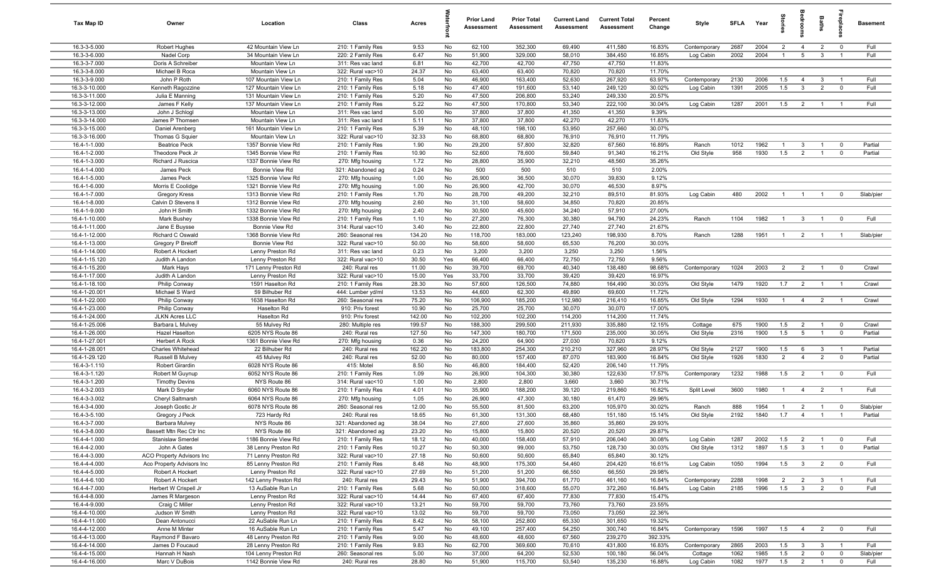| Tax Map ID                     | Owner                                     | Location                                 | Class                                  | Acres            |           | <b>Prior Land</b><br>Assessment | <b>Prior Total</b><br>Assessment | <b>Current Land</b><br>Assessment | <b>Current Total</b><br>Assessment | Percent<br>Change | Style                     | <b>SFLA</b> | Year         | Stori               | drooi                             | Baths                            | <b>G</b> bia                     | <b>Basement</b>      |
|--------------------------------|-------------------------------------------|------------------------------------------|----------------------------------------|------------------|-----------|---------------------------------|----------------------------------|-----------------------------------|------------------------------------|-------------------|---------------------------|-------------|--------------|---------------------|-----------------------------------|----------------------------------|----------------------------------|----------------------|
| 16.3-3-5.000                   | Robert Hughes                             | 42 Mountain View Ln                      | 210: 1 Family Res                      | 9.53             | No        | 62,100                          | 352,300                          | 69,490                            | 411,580                            | 16.83%            | Contemporary              | 2687        | 2004         | $\overline{2}$      | $\overline{4}$                    | $\overline{2}$                   | $\mathbf 0$                      | Full                 |
| 16.3-3-6.000                   | Nadel Corp                                | 34 Mountain View Ln                      | 220: 2 Family Res                      | 6.47             | No        | 51,900                          | 329,000                          | 58,010                            | 384,450                            | 16.85%            | Log Cabin                 | 2002        | 2004         | $\overline{1}$      | $5\overline{5}$                   | $\mathbf{3}$                     | $\overline{1}$                   | Full                 |
| 16.3-3-7.000                   | Doris A Schreiber                         | Mountain View Ln                         | 311: Res vac land                      | 6.81             | No        | 42,700                          | 42,700                           | 47,750                            | 47,750                             | 11.83%            |                           |             |              |                     |                                   |                                  |                                  |                      |
| 16.3-3-8.000<br>16.3-3-9.000   | Michael B Roca<br>John P Roth             | Mountain View Ln<br>107 Mountain View Ln | 322: Rural vac>10                      | 24.37<br>5.04    | No<br>No  | 63,400<br>46,900                | 63,400<br>163,400                | 70,820<br>52,630                  | 70,820<br>267,920                  | 11.70%<br>63.97%  |                           | 2130        | 2006         |                     | $\overline{4}$                    | 3                                |                                  | Full                 |
| 16.3-3-10.000                  | Kenneth Ragozzine                         | 127 Mountain View Ln                     | 210: 1 Family Res<br>210: 1 Family Res | 5.18             | No        | 47,400                          | 191,600                          | 53,140                            | 249,120                            | 30.02%            | Contemporary<br>Log Cabin | 1391        | 2005         | 1.5<br>1.5          | $\mathbf{3}$                      | $\overline{2}$                   | $\mathbf 0$                      | Full                 |
| 16.3-3-11.000                  | Julia E Manning                           | 131 Mountain View Ln                     | 210: 1 Family Res                      | 5.20             | No        | 47,500                          | 206,800                          | 53,240                            | 249,330                            | 20.57%            |                           |             |              |                     |                                   |                                  |                                  |                      |
| 16.3-3-12.000                  | James F Kelly                             | 137 Mountain View Ln                     | 210: 1 Family Res                      | 5.22             | No        | 47,500                          | 170,800                          | 53,340                            | 222,100                            | 30.04%            | Log Cabin                 | 1287        | 2001         | 1.5                 | $\overline{2}$                    | $\overline{1}$                   | $\overline{1}$                   | Full                 |
| 16.3-3-13.000                  | John J Schlogl                            | Mountain View Ln                         | 311: Res vac land                      | 5.00             | No        | 37,800                          | 37,800                           | 41,350                            | 41,350                             | 9.39%             |                           |             |              |                     |                                   |                                  |                                  |                      |
| 16.3-3-14.000                  | James P Thomsen                           | Mountain View Ln                         | 311: Res vac land                      | 5.11             | No        | 37,800                          | 37,800                           | 42,270                            | 42,270                             | 11.83%            |                           |             |              |                     |                                   |                                  |                                  |                      |
| 16.3-3-15.000                  | Daniel Arenberg                           | 161 Mountain View Ln                     | 210: 1 Family Res                      | 5.39             | No        | 48,100                          | 198,100                          | 53,950                            | 257,660                            | 30.07%            |                           |             |              |                     |                                   |                                  |                                  |                      |
| 16.3-3-16.000                  | Thomas G Squier                           | Mountain View Ln                         | 322: Rural vac>10                      | 32.33            | No        | 68,800                          | 68,800                           | 76,910                            | 76,910                             | 11.79%            |                           |             |              |                     |                                   |                                  |                                  |                      |
| 16.4-1-1.000                   | <b>Beatrice Peck</b>                      | 1357 Bonnie View Rd                      | 210: 1 Family Res                      | 1.90             | No        | 29,200                          | 57,800                           | 32,820                            | 67,560                             | 16.89%            | Ranch                     | 1012        | 1962         | $\mathbf{1}$        | $\mathbf{3}$                      | $\overline{1}$                   | $^{\circ}$                       | Partial              |
| 16.4-1-2.000                   | Theodore Peck Jr                          | 1345 Bonnie View Rd                      | 210: 1 Family Res                      | 10.90            | No        | 52,600                          | 78,600                           | 59,840                            | 91,340                             | 16.21%            | Old Style                 | 958         | 1930         | 1.5                 | $\overline{2}$                    | $\overline{1}$                   | $\mathbf 0$                      | Partial              |
| 16.4-1-3.000<br>16.4-1-4.000   | Richard J Ruscica<br>James Peck           | 1337 Bonnie View Rd<br>Bonnie View Rd    | 270: Mfg housing<br>321: Abandoned ag  | 1.72<br>0.24     | No<br>No  | 28,800<br>500                   | 35,900<br>500                    | 32,210<br>510                     | 48,560<br>510                      | 35.26%<br>2.00%   |                           |             |              |                     |                                   |                                  |                                  |                      |
| 16.4-1-5.000                   | James Peck                                | 1325 Bonnie View Rd                      | 270: Mfg housing                       | 1.00             | No        | 26,900                          | 36,500                           | 30,070                            | 39,830                             | 9.12%             |                           |             |              |                     |                                   |                                  |                                  |                      |
| 16.4-1-6.000                   | Morris E Coolidge                         | 1321 Bonnie View Rd                      | 270: Mfg housing                       | 1.00             | No        | 26,900                          | 42,700                           | 30,070                            | 46,530                             | 8.97%             |                           |             |              |                     |                                   |                                  |                                  |                      |
| 16.4-1-7.000                   | <b>Gregory Kress</b>                      | 1313 Bonnie View Rd                      | 210: 1 Family Res                      | 1.70             | No        | 28,700                          | 49,200                           | 32,210                            | 89,510                             | 81.93%            | Log Cabin                 | 480         | 2002         | $\overline{1}$      | $\overline{1}$                    |                                  | $^{\circ}$                       | Slab/pier            |
| 16.4-1-8.000                   | Calvin D Stevens II                       | 1312 Bonnie View Rd                      | 270: Mfg housing                       | 2.60             | No        | 31,100                          | 58,600                           | 34,850                            | 70,820                             | 20.85%            |                           |             |              |                     |                                   |                                  |                                  |                      |
| 16.4-1-9.000                   | John H Smith                              | 1332 Bonnie View Rd                      | 270: Mfg housing                       | 2.40             | No        | 30,500                          | 45,600                           | 34,240                            | 57,910                             | 27.00%            |                           |             |              |                     |                                   |                                  |                                  |                      |
| 16.4-1-10.000                  | Mark Bushey                               | 1338 Bonnie View Rd                      | 210: 1 Family Res                      | 1.10             | No        | 27,200                          | 76,300                           | 30,380                            | 94,790                             | 24.23%            | Ranch                     | 1104        | 1982         | $\overline{1}$      | $\mathbf{3}$                      | $\overline{1}$                   | $^{\circ}$                       | Full                 |
| 16.4-1-11.000                  | Jane E Buysse                             | Bonnie View Rd                           | 314: Rural vac<10                      | 3.40             | No        | 22,800                          | 22,800                           | 27,740                            | 27,740                             | 21.67%            |                           |             |              |                     |                                   |                                  |                                  |                      |
| 16.4-1-12.000                  | Richard C Oswald                          | 1368 Bonnie View Rd                      | 260: Seasonal res                      | 134.20           | No        | 118,700                         | 183,000                          | 123,240                           | 198,930                            | 8.70%             | Ranch                     | 1288        | 1951         | $\overline{1}$      | $\overline{2}$                    | $\overline{1}$                   | $\overline{1}$                   | Slab/pier            |
| 16.4-1-13.000                  | Gregory P Breloff                         | Bonnie View Rd                           | 322: Rural vac>10                      | 50.00            | No        | 58,600                          | 58,600                           | 65,530                            | 76,200<br>3,250                    | 30.03%            |                           |             |              |                     |                                   |                                  |                                  |                      |
| 16.4-1-14.000<br>16.4-1-15.120 | Robert A Hockert<br>Judith A Landon       | Lenny Preston Rd<br>Lenny Preston Rd     | 311: Res vac land<br>322: Rural vac>10 | 0.23<br>30.50    | No<br>Yes | 3,200<br>66,400                 | 3,200<br>66,400                  | 3,250<br>72,750                   | 72,750                             | 1.56%<br>9.56%    |                           |             |              |                     |                                   |                                  |                                  |                      |
| 16.4-1-15.200                  | Mark Hays                                 | 171 Lenny Preston Rd                     | 240: Rural res                         | 11.00            | No        | 39,700                          | 69,700                           | 40,340                            | 138,480                            | 98.68%            | Contemporary              | 1024        | 2003         | $\overline{2}$      | $\overline{2}$                    |                                  | $\mathbf 0$                      | Crawl                |
| 16.4-1-17.000                  | Judith A Landon                           | Lenny Preston Rd                         | 322: Rural vac>10                      | 15.00            | Yes       | 33,700                          | 33,700                           | 39,420                            | 39,420                             | 16.97%            |                           |             |              |                     |                                   |                                  |                                  |                      |
| 16.4-1-18.100                  | Philip Conway                             | 1591 Haselton Rd                         | 210: 1 Family Res                      | 28.30            | No        | 57,600                          | 126,500                          | 74,880                            | 164,490                            | 30.03%            | Old Style                 | 1479        | 1920         | 1.7                 | $\overline{2}$                    |                                  |                                  | Crawl                |
| 16.4-1-20.001                  | Michael S Ward                            | 59 Bilhuber Rd                           | 444: Lumber yd/ml                      | 13.53            | No        | 44,600                          | 62,300                           | 49,890                            | 69,600                             | 11.72%            |                           |             |              |                     |                                   |                                  |                                  |                      |
| 16.4-1-22.000                  | Philip Conway                             | 1638 Haselton Rd                         | 260: Seasonal res                      | 75.20            | No        | 106,900                         | 185,200                          | 112,980                           | 216,410                            | 16.85%            | Old Style                 | 1294        | 1930         | $\overline{1}$      | $\overline{4}$                    | $\overline{2}$                   | $\overline{1}$                   | Crawl                |
| 16.4-1-23.000                  | Philip Conway                             | Haselton Rd                              | 910: Priv forest                       | 10.90            | No        | 25,700                          | 25,700                           | 30,070                            | 30,070                             | 17.00%            |                           |             |              |                     |                                   |                                  |                                  |                      |
| 16.4-1-24.000                  | <b>JLKN Acres LLC</b>                     | Haselton Rd                              | 910: Priv forest                       | 142.00           | No        | 102,200                         | 102,200                          | 114,200                           | 114,200                            | 11.74%            |                           |             |              |                     |                                   |                                  |                                  |                      |
| 16.4-1-25.006<br>16.4-1-26.000 | Barbara L Mulvey<br>Hazel Haselton        | 55 Mulvey Rd                             | 280: Multiple res<br>240: Rural res    | 199.57<br>127.50 | No<br>No  | 188,300<br>147,300              | 299,500<br>180,700               | 211,930<br>171,500                | 335,880<br>235,000                 | 12.15%<br>30.05%  | Cottage<br>Old Style      | 675<br>2316 | 1900<br>1900 | 1.5<br>1.5          | $\overline{2}$<br>$5\overline{)}$ | $\overline{1}$<br>$\overline{1}$ | $^{\circ}$<br>$^{\circ}$         | Crawl<br>Partial     |
| 16.4-1-27.001                  | <b>Herbert A Rock</b>                     | 6205 NYS Route 86<br>1361 Bonnie View Rd | 270: Mfg housing                       | 0.36             | No        | 24,200                          | 64,900                           | 27,030                            | 70,820                             | 9.12%             |                           |             |              |                     |                                   |                                  |                                  |                      |
| 16.4-1-28.001                  | Charles Whitehead                         | 22 Bilhuber Rd                           | 240: Rural res                         | 162.20           | No        | 183,800                         | 254,300                          | 210,210                           | 327,960                            | 28.97%            | Old Style                 | 2127        | 1900         | 1.5                 | 6                                 | $\mathbf{3}$                     | $\overline{1}$                   | Partial              |
| 16.4-1-29.120                  | Russell B Mulvey                          | 45 Mulvey Rd                             | 240: Rural res                         | 52.00            | No        | 80,000                          | 157,400                          | 87,070                            | 183,900                            | 16.84%            | Old Style                 | 1926        | 1830         | $\overline{2}$      | $\overline{4}$                    | $\overline{2}$                   | $\mathbf 0$                      | Partial              |
| 16.4-3-1.110                   | Robert Girardin                           | 6028 NYS Route 86                        | 415: Motel                             | 8.50             | No        | 46,800                          | 184,400                          | 52,420                            | 206,140                            | 11.79%            |                           |             |              |                     |                                   |                                  |                                  |                      |
| 16.4-3-1.120                   | Robert M Guynup                           | 6052 NYS Route 86                        | 210: 1 Family Res                      | 1.09             | No        | 26,900                          | 104,300                          | 30,380                            | 122,630                            | 17.57%            | Contemporary              | 1232        | 1988         | 1.5                 | $\overline{2}$                    |                                  | $\overline{0}$                   | Full                 |
| 16.4-3-1.200                   | <b>Timothy Devins</b>                     | NYS Route 86                             | 314: Rural vac<10                      | 1.00             | No        | 2,800                           | 2,800                            | 3,660                             | 3,660                              | 30.71%            |                           |             |              |                     |                                   |                                  |                                  |                      |
| 16.4-3-2.003                   | Mark D Snyder                             | 6060 NYS Route 86                        | 210: 1 Family Res                      | 4.01             | No        | 35,900                          | 188,200                          | 39,120                            | 219,860                            | 16.82%            | Split Level               | 3600        | 1980         | $\overline{1}$      | $\overline{4}$                    | $\overline{2}$                   | $\overline{1}$                   | Full                 |
| 16.4-3-3.002                   | Cheryl Saltmarsh                          | 6064 NYS Route 86                        | 270: Mfg housing                       | 1.05             | No        | 26,900                          | 47,300                           | 30,180                            | 61,470                             | 29.96%            |                           |             |              |                     |                                   |                                  |                                  |                      |
| 16.4-3-4.000<br>16.4-3-5.100   | Joseph Gostic Jr                          | 6078 NYS Route 86<br>723 Hardy Rd        | 260: Seasonal res                      | 12.00<br>18.65   | No<br>No  | 55,500<br>61,300                | 81,500<br>131,300                | 63,200<br>68,480                  | 105,970<br>151,180                 | 30.02%<br>15.14%  | Ranch<br>Old Style        | 888<br>2192 | 1954<br>1840 | $\mathbf{1}$<br>1.7 | $\overline{2}$<br>$\overline{4}$  | $\overline{1}$                   | $\overline{0}$<br>$\overline{1}$ | Slab/pier<br>Partial |
| 16.4-3-7.000                   | Gregory J Peck<br>Barbara Mulvey          | NYS Route 86                             | 240: Rural res<br>321: Abandoned ag    | 38.04            | No        | 27,600                          | 27,600                           | 35,860                            | 35,860                             | 29.93%            |                           |             |              |                     |                                   |                                  |                                  |                      |
| 16.4-3-8.000                   | Bassett Mtn Rec Ctr Inc                   | NYS Route 86                             | 321: Abandoned ag                      | 23.20            | No        | 15,800                          | 15,800                           | 20,520                            | 20,520                             | 29.87%            |                           |             |              |                     |                                   |                                  |                                  |                      |
| 16.4-4-1.000                   | <b>Stanislaw Smerdel</b>                  | 1186 Bonnie View Rd                      | 210: 1 Family Res                      | 18.12            | No        | 40,000                          | 158,400                          | 57,910                            | 206,040                            | 30.08%            | Log Cabin                 | 1287        | 2002         | 1.5                 | $\overline{2}$                    | $\overline{1}$                   | $\overline{0}$                   | Full                 |
| 16.4-4-2.000                   | John A Gates                              | 38 Lenny Preston Rd                      | 210: 1 Family Res                      | 10.27            | No        | 50,300                          | 99,000                           | 53,750                            | 128,730                            | 30.03%            | Old Style                 | 1312        | 1897         | 1.5                 | $\mathbf{3}$                      | $\mathbf{1}$                     | $\mathbf 0$                      | Partial              |
| 16.4-4-3.000                   | ACO Property Advisors Inc                 | 71 Lenny Preston Rd                      | 322: Rural vac>10                      | 27.18            | No        | 50,600                          | 50,600                           | 65,840                            | 65,840                             | 30.12%            |                           |             |              |                     |                                   |                                  |                                  |                      |
| 16.4-4-4.000                   | Aco Property Advisors Inc                 | 85 Lenny Preston Rd                      | 210: 1 Family Res                      | 8.48             | No        | 48,900                          | 175,300                          | 54,460                            | 204,420                            | 16.61%            | Log Cabin                 | 1050        | 1994         | 1.5                 | $\overline{\mathbf{3}}$           | $\overline{2}$                   | $\mathbf 0$                      | Full                 |
| 16.4-4-5.000                   | Robert A Hockert                          | Lenny Preston Rd                         | 322: Rural vac>10                      | 27.69            | No        | 51,200                          | 51,200                           | 66,550                            | 66,550                             | 29.98%            |                           |             |              |                     |                                   |                                  |                                  |                      |
| 16.4-4-6.100                   | Robert A Hockert                          | 142 Lenny Preston Rd                     | 240: Rural res                         | 29.43            | No        | 51,900                          | 394,700                          | 61,770                            | 461,160                            | 16.84%            | Contemporary              | 2288        | 1998         | $\overline{2}$      | $\overline{2}$                    | $\mathbf{3}$                     | $\overline{1}$                   | Full                 |
| 16.4-4-7.000<br>16.4-4-8.000   | Herbert W Crispell Jr<br>James R Margeson | 13 AuSable Run Ln<br>Lenny Preston Rd    | 210: 1 Family Res<br>322: Rural vac>10 | 5.68<br>14.44    | No<br>No  | 50,000<br>67,400                | 318,600<br>67,400                | 55,070<br>77,830                  | 372,260<br>77,830                  | 16.84%<br>15.47%  | Log Cabin                 | 2185        | 1996         | 1.5                 | $\overline{\mathbf{3}}$           | $\overline{2}$                   | $\overline{0}$                   | Full                 |
| 16.4-4-9.000                   | Craig C Miller                            | Lenny Preston Rd                         | 322: Rural vac>10                      | 13.21            | No        | 59,700                          | 59,700                           | 73,760                            | 73,760                             | 23.55%            |                           |             |              |                     |                                   |                                  |                                  |                      |
| 16.4-4-10.000                  | Judson W Smith                            | Lenny Preston Rd                         | 322: Rural vac>10                      | 13.02            | No        | 59,700                          | 59,700                           | 73,050                            | 73,050                             | 22.36%            |                           |             |              |                     |                                   |                                  |                                  |                      |
| 16.4-4-11.000                  | Dean Antonucci                            | 22 AuSable Run Ln                        | 210: 1 Family Res                      | 8.42             | No        | 58,100                          | 252,800                          | 65,330                            | 301,650                            | 19.32%            |                           |             |              |                     |                                   |                                  |                                  |                      |
| 16.4-4-12.000                  | Anne M Minter                             | 16 AuSable Run Ln                        | 210: 1 Family Res                      | 5.47             | No        | 49,100                          | 257,400                          | 54,250                            | 300,740                            | 16.84%            | Contemporary              | 1596        | 1997         | 1.5                 | $\overline{4}$                    | 2                                | $\overline{\mathbf{0}}$          | Full                 |
| 16.4-4-13.000                  | Raymond F Bavaro                          | 48 Lenny Preston Rd                      | 210: 1 Family Res                      | 9.00             | No        | 48,600                          | 48,600                           | 67,560                            | 239,270                            | 392.33%           |                           |             |              |                     |                                   |                                  |                                  |                      |
| 16.4-4-14.000                  | James D Foucaud                           | 28 Lenny Preston Rd                      | 210: 1 Family Res                      | 9.83             | No        | 62,700                          | 369,600                          | 70,610                            | 431,800                            | 16.83%            | Contemporary              | 2865        | 2003         | 1.5                 | $\mathbf{3}$                      | $\overline{3}$                   | $\overline{1}$                   | Full                 |
| 16.4-4-15.000                  | Hannah H Nash                             | 104 Lenny Preston Rd                     | 260: Seasonal res                      | 5.00             | No        | 37,000                          | 64,200                           | 52,530                            | 100,180                            | 56.04%            | Cottage                   | 1062        | 1985         | 1.5                 | $\overline{2}$                    | $\overline{0}$                   | $\mathbf 0$                      | Slab/pier            |
| 16.4-4-16.000                  | Marc V DuBois                             | 1142 Bonnie View Rd                      | 240: Rural res                         | 28.80            | No        | 51,900                          | 115,700                          | 53,540                            | 135,230                            | 16.88%            | Log Cabin                 | 1082        | 1977         | 1.5                 | $\overline{2}$                    | $\overline{1}$                   | $\mathbf 0$                      | Full                 |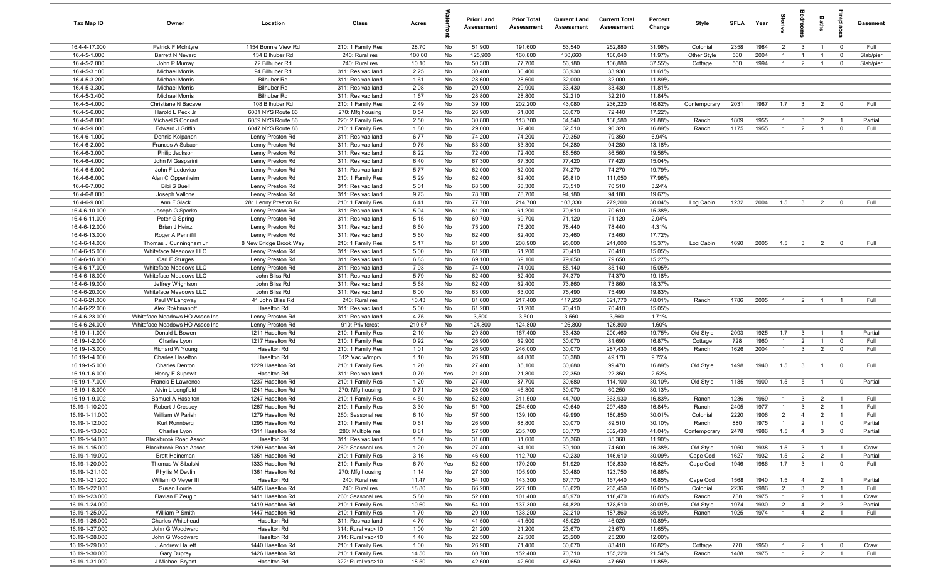| Tax Map ID                     | Owner                                  | Location                             | Class                                  | Acres        |           | <b>Prior Land</b><br>Assessment | <b>Prior Total</b><br>Assessment | <b>Current Land</b><br>Assessment | <b>Current Total</b><br>Assessment | Percent<br>Change | Style        | <b>SFLA</b> | Year | tories         | Bedroon                 | Baths          | lebia                   | <b>Basement</b> |
|--------------------------------|----------------------------------------|--------------------------------------|----------------------------------------|--------------|-----------|---------------------------------|----------------------------------|-----------------------------------|------------------------------------|-------------------|--------------|-------------|------|----------------|-------------------------|----------------|-------------------------|-----------------|
| 16.4-4-17.000                  | Patrick F McIntyre                     | 1154 Bonnie View Rd                  | 210: 1 Family Res                      | 28.70        | No        | 51,900                          | 191,600                          | 53,540                            | 252,880                            | 31.98%            | Colonial     | 2358        | 1984 | $\overline{2}$ | $\overline{\mathbf{3}}$ | $\overline{1}$ | $\overline{\mathbf{0}}$ | Full            |
| 16.4-5-1.000                   | Barrett N Nevard                       | 134 Bilhuber Rd                      | 240: Rural res                         | 100.00       | No        | 125,900                         | 160,800                          | 130,660                           | 180,040                            | 11.97%            | Other Style  | 560         | 2004 | $\overline{1}$ | $\overline{1}$          | $\overline{1}$ | $\mathbf 0$             | Slab/pier       |
| 16.4-5-2.000                   | John P Murray                          | 72 Bilhuber Rd                       | 240: Rural res                         | 10.10        | No        | 50,300                          | 77,700                           | 56,180                            | 106,880                            | 37.55%            | Cottage      | 560         | 1994 | $\overline{1}$ | $\overline{2}$          | $\overline{1}$ | $\mathbf 0$             | Slab/pier       |
| 16.4-5-3.100                   | <b>Michael Morris</b>                  | 94 Bilhuber Rd                       | 311: Res vac land                      | 2.25         | No        | 30,400                          | 30,400                           | 33,930                            | 33,930                             | 11.61%            |              |             |      |                |                         |                |                         |                 |
| 16.4-5-3.200                   | <b>Michael Morris</b>                  | Bilhuber Rd                          | 311: Res vac land                      | 1.61         | No        | 28,600                          | 28,600                           | 32,000                            | 32,000                             | 11.89%            |              |             |      |                |                         |                |                         |                 |
| 16.4-5-3.300                   | <b>Michael Morris</b>                  | Bilhuber Rd                          | 311: Res vac land                      | 2.08         | No        | 29,900                          | 29,900                           | 33,430                            | 33,430                             | 11.81%            |              |             |      |                |                         |                |                         |                 |
| 16.4-5-3.400                   | <b>Michael Morris</b>                  | Bilhuber Rd                          | 311: Res vac land                      | 1.67         | No        | 28,800                          | 28,800                           | 32,210                            | 32,210                             | 11.84%            |              |             |      |                |                         |                |                         |                 |
| 16.4-5-4.000                   | Christiane N Bacave                    | 108 Bilhuber Rd                      | 210: 1 Family Res                      | 2.49         | No        | 39,100                          | 202,200                          | 43,080                            | 236,220                            | 16.82%            | Contemporary | 2031        | 1987 | 1.7            | $\overline{\mathbf{3}}$ | $\overline{2}$ | $\mathbf 0$             | Full            |
| 16.4-5-6.000                   | Harold L Peck Jr                       | 6081 NYS Route 86                    | 270: Mfg housing                       | 0.54         | No        | 26,900                          | 61,800                           | 30,070                            | 72,440                             | 17.22%            |              |             |      |                |                         |                |                         |                 |
| 16.4-5-8.000                   | Michael S Conrad                       | 6059 NYS Route 86                    | 220: 2 Family Res                      | 2.50         | No        | 30,800                          | 113,700                          | 34,540                            | 138,580                            | 21.88%            | Ranch        | 1809        | 1955 | $\overline{1}$ | $\overline{\mathbf{3}}$ | $\overline{2}$ | $\overline{1}$          | Partial         |
| 16.4-5-9.000                   | Edward J Griffin                       | 6047 NYS Route 86                    | 210: 1 Family Res                      | 1.80         | No        | 29,000                          | 82,400                           | 32,510                            | 96,320                             | 16.89%            | Ranch        | 1175        | 1955 | $\overline{1}$ | $\overline{2}$          | $\overline{1}$ | $\mathbf 0$             | Full            |
| 16.4-6-1.000<br>16.4-6-2.000   | Dennis Kolpanen<br>Frances A Subach    | Lenny Preston Rd<br>Lenny Preston Rd | 311: Res vac land<br>311: Res vac land | 6.77<br>9.75 | No<br>No  | 74,200<br>83,300                | 74,200<br>83,300                 | 79,350<br>94,280                  | 79,350<br>94,280                   | 6.94%<br>13.18%   |              |             |      |                |                         |                |                         |                 |
| 16.4-6-3.000                   | Philip Jackson                         | Lenny Preston Rd                     | 311: Res vac land                      | 8.22         | No        | 72,400                          | 72,400                           | 86,560                            | 86,560                             | 19.56%            |              |             |      |                |                         |                |                         |                 |
| 16.4-6-4.000                   | John M Gasparini                       | Lenny Preston Rd                     | 311: Res vac land                      | 6.40         | No        | 67,300                          | 67,300                           | 77,420                            | 77,420                             | 15.04%            |              |             |      |                |                         |                |                         |                 |
| 16.4-6-5.000                   | John F Ludovico                        | Lenny Preston Rd                     | 311: Res vac land                      | 5.77         | No        | 62,000                          | 62,000                           | 74,270                            | 74,270                             | 19.79%            |              |             |      |                |                         |                |                         |                 |
| 16.4-6-6.000                   | Alan C Oppenheim                       | Lenny Preston Rd                     | 210: 1 Family Res                      | 5.29         | No        | 62,400                          | 62,400                           | 95,810                            | 111,050                            | 77.96%            |              |             |      |                |                         |                |                         |                 |
| 16.4-6-7.000                   | <b>Bibi S Buell</b>                    | Lenny Preston Rd                     | 311: Res vac land                      | 5.01         | No        | 68,300                          | 68,300                           | 70,510                            | 70,510                             | 3.24%             |              |             |      |                |                         |                |                         |                 |
| 16.4-6-8.000                   | Joseph Vallone                         | Lenny Preston Rd                     | 311: Res vac land                      | 9.73         | No        | 78,700                          | 78,700                           | 94,180                            | 94,180                             | 19.67%            |              |             |      |                |                         |                |                         |                 |
| 16.4-6-9.000                   | Ann F Slack                            | 281 Lenny Preston Rd                 | 210: 1 Family Res                      | 6.41         | No        | 77,700                          | 214,700                          | 103,330                           | 279,200                            | 30.04%            | Log Cabin    | 1232        | 2004 | 1.5            | $\overline{\mathbf{3}}$ | $\overline{2}$ | $\mathbf 0$             | Full            |
| 16.4-6-10.000                  | Joseph G Sporko                        | Lenny Preston Rd                     | 311: Res vac land                      | 5.04         | No        | 61,200                          | 61,200                           | 70,610                            | 70,610                             | 15.38%            |              |             |      |                |                         |                |                         |                 |
| 16.4-6-11.000                  | Peter G Spring                         | Lenny Preston Rd                     | 311: Res vac land                      | 5.15         | No        | 69,700                          | 69,700                           | 71,120                            | 71,120                             | 2.04%             |              |             |      |                |                         |                |                         |                 |
| 16.4-6-12.000                  | Brian J Heinz                          | Lenny Preston Rd                     | 311: Res vac land                      | 6.60         | No        | 75,200                          | 75,200                           | 78,440                            | 78,440                             | 4.31%             |              |             |      |                |                         |                |                         |                 |
| 16.4-6-13.000                  | Roger A Pennifill                      | Lenny Preston Rd                     | 311: Res vac land                      | 5.60         | No        | 62,400                          | 62,400                           | 73,460                            | 73,460                             | 17.72%            |              |             |      |                |                         |                |                         |                 |
| 16.4-6-14.000                  | Thomas J Cunningham Jr                 | 8 New Bridge Brook Way               | 210: 1 Family Res                      | 5.17         | No        | 61,200                          | 208,900                          | 95,000                            | 241,000                            | 15.37%            | Log Cabin    | 1690        | 2005 | 1.5            | $\mathbf{3}$            | $\overline{2}$ | $\mathbf 0$             | Full            |
| 16.4-6-15.000                  | Whiteface Meadows LLC                  | Lenny Preston Rd                     | 311: Res vac land                      | 5.00         | No        | 61,200                          | 61,200                           | 70,410                            | 70,410                             | 15.05%            |              |             |      |                |                         |                |                         |                 |
| 16.4-6-16.000                  | Carl E Sturges                         | Lenny Preston Rd                     | 311: Res vac land                      | 6.83         | No        | 69,100                          | 69,100                           | 79,650                            | 79,650                             | 15.27%            |              |             |      |                |                         |                |                         |                 |
| 16.4-6-17.000                  | Whiteface Meadows LLC                  | Lenny Preston Rd                     | 311: Res vac land                      | 7.93         | No        | 74,000                          | 74,000                           | 85,140                            | 85,140                             | 15.05%            |              |             |      |                |                         |                |                         |                 |
| 16.4-6-18.000                  | Whiteface Meadows LLC                  | John Bliss Rd                        | 311: Res vac land                      | 5.79         | No        | 62,400                          | 62,400                           | 74,370                            | 74,370                             | 19.18%            |              |             |      |                |                         |                |                         |                 |
| 16.4-6-19.000                  | Jeffrey Wrightson                      | John Bliss Rd                        | 311: Res vac land                      | 5.68         | No        | 62,400                          | 62,400                           | 73,860                            | 73,860                             | 18.37%            |              |             |      |                |                         |                |                         |                 |
| 16.4-6-20.000                  | Whiteface Meadows LLC                  | John Bliss Rd                        | 311: Res vac land                      | 6.00         | No        | 63,000                          | 63,000                           | 75,490                            | 75,490                             | 19.83%            |              |             |      |                |                         |                |                         |                 |
| 16.4-6-21.000                  | Paul W Langway                         | 41 John Bliss Rd                     | 240: Rural res                         | 10.43        | No        | 81,600                          | 217,400                          | 117,250                           | 321,770                            | 48.01%            | Ranch        | 1786        | 2005 | $\overline{1}$ | $\overline{2}$          | $\overline{1}$ | $\overline{1}$          | Full            |
| 16.4-6-22.000                  | Alex Rokhmanoff                        | Haselton Rd                          | 311: Res vac land                      | 5.00         | No        | 61,200                          | 61,200                           | 70,410                            | 70,410                             | 15.05%            |              |             |      |                |                         |                |                         |                 |
| 16.4-6-23.000                  | Whiteface Meadows HO Assoc Inc         | Lenny Preston Rd                     | 311: Res vac land                      | 4.75         | No        | 3,500                           | 3,500                            | 3,560                             | 3,560                              | 1.71%             |              |             |      |                |                         |                |                         |                 |
| 16.4-6-24.000                  | Whiteface Meadows HO Assoc Inc         | Lenny Preston Rd                     | 910: Priv forest                       | 210.57       | No        | 124,800                         | 124,800                          | 126,800                           | 126,800                            | 1.60%             |              |             |      |                |                         |                |                         |                 |
| 16.19-1-1.000                  | Donald L Bowen                         | 1211 Haselton Rd                     | 210: 1 Family Res                      | 2.10         | No        | 29,800                          | 167,400                          | 33,430                            | 200,460                            | 19.75%            | Old Style    | 2093        | 1925 | 1.7            | $\overline{\mathbf{3}}$ | $\overline{1}$ | $\overline{1}$          | Partial         |
| 16.19-1-2.000                  | Charles Lyon                           | 1217 Haselton Rd                     | 210: 1 Family Res                      | 0.92         | Yes       | 26,900                          | 69,900                           | 30,070                            | 81,690                             | 16.87%            | Cottage      | 728         | 1960 | $\overline{1}$ | $\overline{2}$          | $\overline{1}$ | $\mathbf 0$             | Full            |
| 16.19-1-3.000                  | Richard W Young                        | Haselton Rd                          | 210: 1 Family Res                      | 1.01         | No        | 26,900                          | 246,000                          | 30,070                            | 287,430                            | 16.84%            | Ranch        | 1626        | 2004 | $\overline{1}$ | $\mathbf{3}$            | $\overline{2}$ | $\mathbf 0$             | Full            |
| 16.19-1-4.000                  | Charles Haselton                       | Haselton Rd                          | 312: Vac w/imprv                       | 1.10         | No        | 26,900                          | 44,800                           | 30,380                            | 49,170                             | 9.75%             |              |             |      |                |                         |                |                         |                 |
| 16.19-1-5.000                  | <b>Charles Denton</b>                  | 1229 Haselton Rd                     | 210: 1 Family Res                      | 1.20         | No        | 27,400                          | 85,100                           | 30,680                            | 99,470                             | 16.89%            | Old Style    | 1498        | 1940 | 1.5            | $\overline{\mathbf{3}}$ | $\overline{1}$ | $\overline{0}$          | Full            |
| 16.19-1-6.000<br>16.19-1-7.000 | Henry E Supowit<br>Francis E Lawrence  | Haselton Rd                          | 311: Res vac land<br>210: 1 Family Res | 0.70         | Yes<br>No | 21,800                          | 21,800                           | 22,350                            | 22,350                             | 2.52%             |              |             |      |                |                         |                | $\overline{0}$          |                 |
| 16.19-1-8.000                  |                                        | 1237 Haselton Rd<br>1241 Haselton Rd | 270: Mfg housing                       | 1.20<br>0.71 | No        | 27,400<br>26,900                | 87,700<br>46,300                 | 30,680<br>30,070                  | 114,100<br>60,250                  | 30.10%<br>30.13%  | Old Style    | 1185        | 1900 | 1.5            | $5\overline{)}$         | $\overline{1}$ |                         | Partial         |
| 16.19-1-9.002                  | Alvin L Longfield<br>Samuel A Haselton | 1247 Haselton Rd                     | 210: 1 Family Res                      | 4.50         | No        | 52,800                          | 311,500                          | 44,700                            | 363,930                            | 16.83%            | Ranch        | 1236        | 1969 | $\overline{1}$ | $\mathbf{3}$            | $\overline{2}$ |                         | Full            |
| 16.19-1-10.200                 | Robert J Cressey                       | 1267 Haselton Rd                     | 210: 1 Family Res                      | 3.30         | No        | 51,700                          | 254,600                          | 40,640                            | 297,480                            | 16.84%            | Ranch        | 2405        | 1977 | $\mathbf{1}$   | 3                       | $\overline{2}$ |                         | Full            |
| 16.19-1-11.000                 | William W Parish                       | 1279 Haselton Rd                     | 260: Seasonal res                      | 6.10         | No        | 57,500                          | 139,100                          | 49,990                            | 180,850                            | 30.01%            | Colonial     | 2220        | 1906 | $\overline{2}$ | $\overline{4}$          | $\overline{2}$ | $\overline{1}$          | Full            |
| 16.19-1-12.000                 | Kurt Ronnberg                          | 1295 Haselton Rd                     | 210: 1 Family Res                      | 0.61         | No        | 26,900                          | 68,800                           | 30,070                            | 89,510                             | 30.10%            | Ranch        | 880         | 1975 |                | $\overline{2}$          |                | $\overline{0}$          | Partial         |
| 16.19-1-13.000                 | Charles Lyon                           | 1311 Haselton Rd                     | 280: Multiple res                      | 8.81         | No        | 57,500                          | 235,700                          | 80,770                            | 332,430                            | 41.04%            | Contemporary | 2478        | 1986 | 1.5            | $\overline{4}$          | 3 <sup>1</sup> | $\overline{\mathbf{0}}$ | Partial         |
| 16.19-1-14.000                 | Blackbrook Road Assoc                  | Haselton Rd                          | 311: Res vac land                      | 1.50         | No        | 31,600                          | 31,600                           | 35,360                            | 35,360                             | 11.90%            |              |             |      |                |                         |                |                         |                 |
| 16.19-1-15.000                 | <b>Blackbrook Road Assoc</b>           | 1299 Haselton Rd                     | 260: Seasonal res                      | 1.20         | No        | 27,400                          | 64,100                           | 30,100                            | 74,600                             | 16.38%            | Old Style    | 1050        | 1938 | 1.5            | $\mathbf{3}$            | $\overline{1}$ | $\overline{1}$          | Crawl           |
| 16.19-1-19.000                 | <b>Brett Heineman</b>                  | 1351 Haselton Rd                     | 210: 1 Family Res                      | 3.16         | No        | 46,600                          | 112,700                          | 40,230                            | 146,610                            | 30.09%            | Cape Cod     | 1627        | 1932 | 1.5            | $\overline{2}$          | $\overline{2}$ | $\overline{1}$          | Partial         |
| 16.19-1-20.000                 | Thomas W Sibalski                      | 1333 Haselton Rd                     | 210: 1 Family Res                      | 6.70         | Yes       | 52,500                          | 170,200                          | 51,920                            | 198,830                            | 16.82%            | Cape Cod     | 1946        | 1986 | 1.7            | $\overline{3}$          | $\overline{1}$ | $\mathbf 0$             | Full            |
| 16.19-1-21.100                 | Phyllis M Devlin                       | 1361 Haselton Rd                     | 270: Mfg housing                       | 1.14         | No        | 27,300                          | 105,900                          | 30,480                            | 123,750                            | 16.86%            |              |             |      |                |                         |                |                         |                 |
| 16.19-1-21.200                 | William O Meyer III                    | Haselton Rd                          | 240: Rural res                         | 11.47        | No        | 54,100                          | 143,300                          | 67,770                            | 167,440                            | 16.85%            | Cape Cod     | 1568        | 1940 | 1.5            | $\overline{4}$          | $\overline{2}$ | $\overline{1}$          | Partial         |
| 16.19-1-22.000                 | Susan Lourie                           | 1405 Haselton Rd                     | 240: Rural res                         | 18.80        | No        | 66,200                          | 227,100                          | 83,620                            | 263,450                            | 16.01%            | Colonial     | 2236        | 1986 | $\overline{2}$ | $\overline{\mathbf{3}}$ | $\overline{2}$ | $\overline{1}$          | Full            |
| 16.19-1-23.000                 | Flavian E Zeugin                       | 1411 Haselton Rd                     | 260: Seasonal res                      | 5.80         | No        | 52,000                          | 101,400                          | 48,970                            | 118,470                            | 16.83%            | Ranch        | 788         | 1975 | $\overline{1}$ | $\overline{2}$          | $\overline{1}$ | $\overline{1}$          | Crawl           |
| 16.19-1-24.000                 |                                        | 1419 Haselton Rd                     | 210: 1 Family Res                      | 10.60        | No        | 54,100                          | 137,300                          | 64,820                            | 178,510                            | 30.01%            | Old Style    | 1974        | 1930 | $\overline{2}$ | $\overline{4}$          | $\overline{2}$ | $\overline{2}$          | Partial         |
| 16.19-1-25.000                 | William P Smith                        | 1447 Haselton Rd                     | 210: 1 Family Res                      | 1.70         | No        | 29,100                          | 138,200                          | 32,210                            | 187,860                            | 35.93%            | Ranch        | 1025        | 1974 | $\overline{1}$ | $\overline{4}$          | $\overline{2}$ |                         | Full            |
| 16.19-1-26.000                 | Charles Whitehead                      | Haselton Rd                          | 311: Res vac land                      | 4.70         | No        | 41,500                          | 41,500                           | 46,020                            | 46,020                             | 10.89%            |              |             |      |                |                         |                |                         |                 |
| 16.19-1-27.000                 | John G Woodward                        | Haselton Rd                          | 314: Rural vac<10                      | 1.00         | No        | 21,200                          | 21,200                           | 23,670                            | 23,670                             | 11.65%            |              |             |      |                |                         |                |                         |                 |
| 16.19-1-28.000                 | John G Woodward                        | Haselton Rd                          | 314: Rural vac<10                      | 1.40         | No        | 22,500                          | 22,500                           | 25,200                            | 25,200                             | 12.00%            |              |             |      |                |                         |                |                         |                 |
| 16.19-1-29.000                 | J Andrew Hallett                       | 1440 Haselton Rd                     | 210: 1 Family Res                      | 1.00         | No        | 26,900                          | 71,400                           | 30,070                            | 83,410                             | 16.82%            | Cottage      | 770         | 1950 | $\overline{1}$ | $\overline{2}$          | $\overline{1}$ | $\mathbf 0$             | Crawl           |
| 16.19-1-30.000                 | Gary Duprey                            | 1426 Haselton Rd                     | 210: 1 Family Res                      | 14.50        | No        | 60,700                          | 152,400                          | 70,710                            | 185,220                            | 21.54%            | Ranch        | 1488        | 1975 | $\overline{1}$ | $\overline{2}$          | $\overline{2}$ | $\overline{1}$          | Full            |
| 16.19-1-31.000                 | J Michael Bryant                       | Haselton Rd                          | 322: Rural vac>10                      | 18.50        | No        | 42,600                          | 42,600                           | 47,650                            | 47,650                             | 11.85%            |              |             |      |                |                         |                |                         |                 |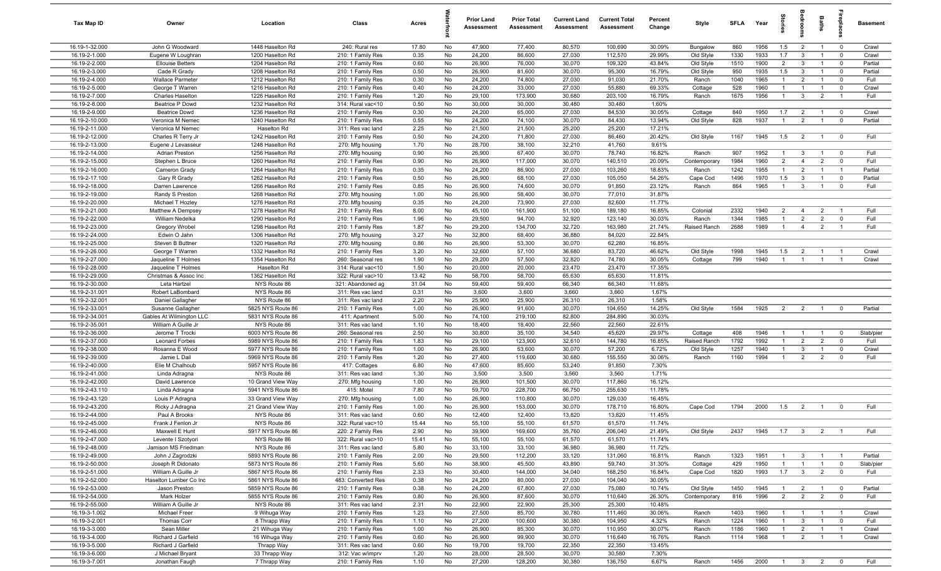| Tax Map ID                       | Owner                                    | Location                               | Class                                  | Acres        |          | <b>Prior Land</b><br>Assessment | <b>Prior Total</b><br>Assessment | <b>Current Land</b><br>Assessment | <b>Current Total</b><br>Assessment | Percent<br>Change | Style                     | <b>SFLA</b> | Year         | tories                         |                                  | Baths                            | epla                                   | <b>Basement</b> |
|----------------------------------|------------------------------------------|----------------------------------------|----------------------------------------|--------------|----------|---------------------------------|----------------------------------|-----------------------------------|------------------------------------|-------------------|---------------------------|-------------|--------------|--------------------------------|----------------------------------|----------------------------------|----------------------------------------|-----------------|
| 16.19-1-32.000                   | John G Woodward                          | 1448 Haselton Rd                       | 240: Rural res                         | 17.80        | No       | 47,900                          | 77,400                           | 80,570                            | 100,690                            | 30.09%            | Bungalow                  | 860         | 1956         | 1.5                            | $\overline{2}$                   | $\overline{1}$                   | $\mathbf 0$                            | Crawl           |
| 16.19-2-1.000                    | Eugene W Loughran                        | 1200 Haselton Rd                       | 210: 1 Family Res                      | 0.35         | No       | 24,200                          | 86,600                           | 27,030                            | 112,570                            | 29.99%            | Old Style                 | 1330        | 1933         | 1.7                            | $\mathbf{3}$                     | $\overline{1}$                   | $\mathbf 0$                            | Crawl           |
| 16.19-2-2.000                    | <b>Ellouise Betters</b>                  | 1204 Haselton Rd                       | 210: 1 Family Res                      | 0.60         | No       | 26,900                          | 76,000                           | 30,070                            | 109,320                            | 43.84%            | Old Style                 | 1510        | 1900         | $\overline{2}$                 | $\mathbf{3}$                     | $\overline{1}$                   | $\mathbf 0$                            | Partial         |
| 16.19-2-3.000                    | Cade R Grady                             | 1208 Haselton Rd                       | 210: 1 Family Res                      | 0.50         | No       | 26,900                          | 81,600                           | 30,070                            | 95,300                             | 16.79%            | Old Style                 | 950         | 1935         | 1.5                            | $\mathbf{3}$                     | $\overline{1}$                   | $\overline{0}$                         | Partial         |
| 16.19-2-4.000                    | <b>Wallace Parmeter</b>                  | 1212 Haselton Rd                       | 210: 1 Family Res                      | 0.30         | No       | 24,200                          | 74,800                           | 27,030                            | 91,030                             | 21.70%            | Ranch                     | 1040        | 1965         | $\mathbf{1}$                   | $\overline{2}$                   | $\overline{1}$                   | $\mathbf 0$                            | Full            |
| 16.19-2-5.000                    | George T Warren                          | 1216 Haselton Rd                       | 210: 1 Family Res                      | 0.40         | No       | 24,200                          | 33,000                           | 27,030                            | 55,880                             | 69.33%            | Cottage                   | 528         | 1960         | $\mathbf{1}$                   | $\overline{1}$                   | $\overline{1}$                   | $\mathbf 0$                            | Crawl           |
| 16.19-2-7.000                    | <b>Charles Haselton</b>                  | 1226 Haselton Rd                       | 210: 1 Family Res                      | 1.20         | No       | 29,100                          | 173,900                          | 30,680                            | 203,100                            | 16.79%            | Ranch                     | 1675        | 1956         | $\overline{1}$                 | $\mathbf{3}$                     | $\overline{2}$                   | $\overline{1}$                         | Full            |
| 16.19-2-8.000                    | Beatrice P Dowd                          | 1232 Haselton Rd                       | 314: Rural vac<10                      | 0.50         | No       | 30,000                          | 30,000                           | 30,480                            | 30,480                             | 1.60%             |                           |             |              |                                |                                  |                                  |                                        |                 |
| 16.19-2-9.000                    | <b>Beatrice Dowd</b>                     | 1236 Haselton Rd                       | 210: 1 Family Res                      | 0.30         | No       | 24,200                          | 65,000                           | 27,030                            | 84,530                             | 30.05%            | Cottage                   | 840         | 1950         | 1.7                            | $\overline{2}$                   | $\overline{1}$                   | $\mathbf 0$                            | Crawl           |
| 16.19-2-10.000                   | Veronica M Nemec                         | 1240 Haselton Rd                       | 210: 1 Family Res                      | 0.55         | No       | 24,200                          | 74,100                           | 30,070                            | 84,430                             | 13.94%<br>17.21%  | Old Style                 | 828         | 1937         | $\overline{1}$                 | 2                                | $\overline{1}$                   | $\mathbf 0$                            | Partial         |
| 16.19-2-11.000<br>16.19-2-12.000 | Veronica M Nemec<br>Charles R Terry Jr   | Haselton Rd<br>1242 Haselton Rd        | 311: Res vac land<br>210: 1 Family Res | 2.25<br>0.50 | No<br>No | 21,500<br>24,200                | 21,500<br>71,800                 | 25,200<br>27,030                  | 25,200<br>86,460                   | 20.42%            | Old Style                 | 1167        | 1945         | 1.5                            | $\overline{2}$                   | $\overline{1}$                   | $\mathbf 0$                            | Full            |
| 16.19-2-13.000                   | Eugene J Levasseur                       | 1248 Haselton Rd                       | 270: Mfg housing                       | 1.70         | No       | 28,700                          | 38,100                           | 32,210                            | 41,760                             | 9.61%             |                           |             |              |                                |                                  |                                  |                                        |                 |
| 16.19-2-14.000                   | Adrian Preston                           | 1256 Haselton Rd                       | 270: Mfg housing                       | 0.90         | No       | 26,900                          | 67,400                           | 30,070                            | 78,740                             | 16.82%            | Ranch                     | 907         | 1952         | $\mathbf{1}$                   | $\mathbf{3}$                     | $\overline{1}$                   | $\mathbf 0$                            | Full            |
| 16.19-2-15.000                   | Stephen L Bruce                          | 1260 Haselton Rd                       | 210: 1 Family Res                      | 0.90         | No       | 26,900                          | 117,000                          | 30,070                            | 140,510                            | 20.09%            | Contemporary              | 1984        | 1960         | $\overline{2}$                 | $\overline{4}$                   | $\overline{2}$                   | $\mathbf 0$                            | Full            |
| 16.19-2-16.000                   | Cameron Grady                            | 1264 Haselton Rd                       | 210: 1 Family Res                      | 0.35         | No       | 24,200                          | 86,900                           | 27,030                            | 103,260                            | 18.83%            | Ranch                     | 1242        | 1955         | $\mathbf{1}$                   | $\overline{2}$                   | $\overline{1}$                   | $\overline{1}$                         | Partial         |
| 16.19-2-17.100                   | Gary R Grady                             | 1262 Haselton Rd                       | 210: 1 Family Res                      | 0.50         | No       | 26,900                          | 68,100                           | 27,030                            | 105,050                            | 54.26%            | Cape Cod                  | 1496        | 1970         | 1.5                            | $\overline{\mathbf{3}}$          | $\overline{1}$                   | $\mathbf 0$                            | Partial         |
| 16.19-2-18.000                   | Darren Lawrence                          | 1266 Haselton Rd                       | 210: 1 Family Res                      | 0.85         | No       | 26,900                          | 74,600                           | 30,070                            | 91,850                             | 23.12%            | Ranch                     | 864         | 1965         | $\overline{1}$                 | $\mathbf{3}$                     | $\overline{1}$                   | $\mathbf 0$                            | Full            |
| 16.19-2-19.000                   | Randy S Preston                          | 1268 Haselton Rd                       | 270: Mfg housing                       | 1.00         | No       | 26,900                          | 58,400                           | 30,070                            | 77,010                             | 31.87%            |                           |             |              |                                |                                  |                                  |                                        |                 |
| 16.19-2-20.000                   | Michael T Hozley                         | 1276 Haselton Rd                       | 270: Mfg housing                       | 0.35         | No       | 24,200                          | 73,900                           | 27,030                            | 82,600                             | 11.77%            |                           |             |              |                                |                                  |                                  |                                        |                 |
| 16.19-2-21.000                   | Matthew A Dempsey                        | 1278 Haselton Rd                       | 210: 1 Family Res                      | 8.00         | No       | 45,100                          | 161,900                          | 51,100                            | 189,180                            | 16.85%            | Colonial                  | 2332        | 1940         | $\overline{2}$                 | $\overline{4}$                   | $\overline{2}$                   | $\overline{1}$                         | Full            |
| 16.19-2-22.000                   | William Nedelka                          | 1290 Haselton Rd                       | 210: 1 Family Res                      | 1.96         | No       | 29,500                          | 94,700                           | 32,920                            | 123,140                            | 30.03%            | Ranch                     | 1344        | 1985         | $\overline{1}$                 | 2                                | $\overline{2}$                   | $\mathbf 0$                            | Full            |
| 16.19-2-23.000                   | Gregory Wrobel                           | 1298 Haselton Rd                       | 210: 1 Family Res                      | 1.87         | No       | 29,200                          | 134,700                          | 32,720                            | 163,980                            | 21.74%            | Raised Ranch              | 2688        | 1989         | $\overline{1}$                 | $\overline{4}$                   | $\overline{2}$                   | $\overline{1}$                         | Full            |
| 16.19-2-24.000                   | Edwin O Jahn                             | 1306 Haselton Rd                       | 270: Mfg housing                       | 3.27         | No       | 32,800                          | 68,400                           | 36,880                            | 84,020                             | 22.84%            |                           |             |              |                                |                                  |                                  |                                        |                 |
| 16.19-2-25.000                   | Steven B Buttner                         | 1320 Haselton Rd                       | 270: Mfg housing                       | 0.86         | No       | 26,900                          | 53,300                           | 30,070                            | 62,280                             | 16.85%            |                           |             |              |                                |                                  |                                  |                                        |                 |
| 16.19-2-26.000<br>16.19-2-27.000 | George T Warren                          | 1332 Haselton Rd                       | 210: 1 Family Res                      | 3.20         | No<br>No | 32,600                          | 57,100                           | 36,680                            | 83,720                             | 46.62%<br>30.05%  | Old Style                 | 1998<br>799 | 1945<br>1940 | 1.5<br>$\overline{1}$          | $\overline{2}$<br>$\overline{1}$ | $\overline{1}$<br>$\overline{1}$ | $\overline{1}$<br>-1                   | Crawl           |
| 16.19-2-28.000                   | Jaqueline T Holmes<br>Jaqueline T Holmes | 1354 Haselton Rd<br>Haselton Rd        | 260: Seasonal res<br>314: Rural vac<10 | 1.90<br>1.50 | No       | 29,200<br>20,000                | 57,500<br>20,000                 | 32,820<br>23,470                  | 74,780<br>23,470                   | 17.35%            | Cottage                   |             |              |                                |                                  |                                  |                                        | Crawl           |
| 16.19-2-29.000                   | Christmas & Assoc Inc                    | 1362 Haselton Rd                       | 322: Rural vac>10                      | 13.42        | No       | 58,700                          | 58,700                           | 65,630                            | 65,630                             | 11.81%            |                           |             |              |                                |                                  |                                  |                                        |                 |
| 16.19-2-30.000                   | Leta Hartzel                             | NYS Route 86                           | 321: Abandoned ag                      | 31.04        | No       | 59,400                          | 59,400                           | 66,340                            | 66,340                             | 11.68%            |                           |             |              |                                |                                  |                                  |                                        |                 |
| 16.19-2-31.001                   | Robert LaBombard                         | NYS Route 86                           | 311: Res vac land                      | 0.31         | No       | 3,600                           | 3,600                            | 3,660                             | 3,660                              | 1.67%             |                           |             |              |                                |                                  |                                  |                                        |                 |
| 16.19-2-32.001                   | Daniel Gallagher                         | NYS Route 86                           | 311: Res vac land                      | 2.20         | No       | 25,900                          | 25,900                           | 26,310                            | 26,310                             | 1.58%             |                           |             |              |                                |                                  |                                  |                                        |                 |
| 16.19-2-33.001                   | Susanne Gallagher                        | 5825 NYS Route 86                      | 210: 1 Family Res                      | 1.00         | No       | 26,900                          | 91,600                           | 30,070                            | 104,650                            | 14.25%            | Old Style                 | 1584        | 1925         | $\overline{2}$                 | $\overline{2}$                   | $\overline{1}$                   | $\mathbf 0$                            | Partial         |
| 16.19-2-34.001                   | Gables At Wilmington LLC                 | 5831 NYS Route 86                      | 411: Apartment                         | 5.00         | No       | 74,100                          | 219,100                          | 82,800                            | 284,890                            | 30.03%            |                           |             |              |                                |                                  |                                  |                                        |                 |
| 16.19-2-35.001                   | William A Guille Jr                      | NYS Route 86                           | 311: Res vac land                      | 1.10         | No       | 18,400                          | 18,400                           | 22,560                            | 22,560                             | 22.61%            |                           |             |              |                                |                                  |                                  |                                        |                 |
| 16.19-2-36.000                   | Jerome T Trocki                          | 6003 NYS Route 86                      | 260: Seasonal res                      | 2.50         | No       | 30,800                          | 35,100                           | 34,540                            | 45,620                             | 29.97%            | Cottage                   | 408         | 1946         | $\overline{1}$                 | $\overline{1}$                   | $\overline{1}$                   | $\mathbf 0$                            | Slab/pier       |
| 16.19-2-37.000                   | Leonard Forbes                           | 5989 NYS Route 86                      | 210: 1 Family Res                      | 1.83         | No       | 29,100                          | 123,900                          | 32,610                            | 144,780                            | 16.85%            | Raised Ranch              | 1792        | 1992         | $\overline{1}$                 | $\overline{2}$                   | $\overline{2}$                   | $\mathbf 0$                            | Full            |
| 16.19-2-38.000                   | Rosanna E Wood                           | 5977 NYS Route 86                      | 210: 1 Family Res                      | 1.00         | No       | 26,900                          | 53,600                           | 30,070                            | 57,200                             | 6.72%             | Old Style                 | 1257        | 1940         | $\overline{1}$                 | $\mathbf{3}$                     | $\overline{1}$                   | $\overline{0}$                         | Crawl           |
| 16.19-2-39.000                   | Jamie L Dail                             | 5969 NYS Route 86                      | 210: 1 Family Res                      | 1.20         | No       | 27,400                          | 119,600                          | 30,680                            | 155,550                            | 30.06%            | Ranch                     | 1160        | 1994         | $\overline{1}$                 | $\overline{2}$                   | $\overline{2}$                   | $\mathbf 0$                            | Full            |
| 16.19-2-40.000                   | Elie M Chalhoub                          | 5957 NYS Route 86                      | 417: Cottages                          | 6.80         | No       | 47,600                          | 85,600                           | 53,240                            | 91,850                             | 7.30%             |                           |             |              |                                |                                  |                                  |                                        |                 |
| 16.19-2-41.000<br>16.19-2-42.000 | Linda Adragna<br>David Lawrence          | NYS Route 86<br>10 Grand View Way      | 311: Res vac land<br>270: Mfg housing  | 1.30<br>1.00 | No<br>No | 3,500<br>26,900                 | 3,500<br>101,500                 | 3,560<br>30,070                   | 3,560<br>117,860                   | 1.71%<br>16.12%   |                           |             |              |                                |                                  |                                  |                                        |                 |
| 16.19-2-43.110                   | Linda Adragna                            | 5941 NYS Route 86                      | 415: Motel                             | 7.80         | No       | 59,700                          | 228,700                          | 66,750                            | 255,630                            | 11.78%            |                           |             |              |                                |                                  |                                  |                                        |                 |
| 16.19-2-43.120                   | Louis P Adragna                          | 33 Grand View Way                      | 270: Mfg housing                       | 1.00         | No       | 26,900                          | 110,800                          | 30,070                            | 129,030                            | 16.45%            |                           |             |              |                                |                                  |                                  |                                        |                 |
| 16.19-2-43.200                   | Ricky J Adragna                          | 21 Grand View Way                      | 210: 1 Family Res                      | 1.00         | No       | 26,900                          | 153,000                          | 30,070                            | 178,710                            | 16.80%            | Cape Cod                  | 1794        | 2000         | 1.5                            | $\overline{2}$                   | $\overline{1}$                   | $\mathbf 0$                            | Full            |
| 16.19-2-44.000                   | Paul A Brooks                            | NYS Route 86                           | 311: Res vac land                      | 0.60         | No       | 12,400                          | 12,400                           | 13,820                            | 13,820                             | 11.45%            |                           |             |              |                                |                                  |                                  |                                        |                 |
| 16.19-2-45.000                   | Frank J Fenlon Jr                        | NYS Route 86                           | 322: Rural vac>10                      | 15.44        | No       | 55,100                          | 55,100                           | 61,570                            | 61,570                             | 11.74%            |                           |             |              |                                |                                  |                                  |                                        |                 |
| 16.19-2-46.000                   | Maxwell E Hunt                           | 5917 NYS Route 86                      | 220: 2 Family Res                      | 2.90         | No       | 39,900                          | 169,600                          | 35,760                            | 206,040                            | 21.49%            | Old Style                 | 2437        | 1945         | 1.7                            | $\overline{\mathbf{3}}$          | $\overline{2}$                   |                                        | Full            |
| 16.19-2-47.000                   | Levente I Szotyori                       | NYS Route 86                           | 322: Rural vac>10                      | 15.41        | No       | 55,100                          | 55,100                           | 61,570                            | 61,570                             | 11.74%            |                           |             |              |                                |                                  |                                  |                                        |                 |
| 16.19-2-48.000                   | Jamison MS Friedman                      | NYS Route 86                           | 311: Res vac land                      | 5.80         | No       | 33,100                          | 33,100                           | 36,980                            | 36,980                             | 11.72%            |                           |             |              |                                |                                  |                                  |                                        |                 |
| 16.19-2-49.000                   | John J Zagrodzki                         | 5893 NYS Route 86                      | 210: 1 Family Res                      | 2.00         | No       | 29,500                          | 112,200                          | 33,120                            | 131,060                            | 16.81%            | Ranch                     | 1323        | 1951         | $\overline{1}$                 | $\mathbf{3}$                     | $\overline{1}$                   | $\overline{1}$                         | Partial         |
| 16.19-2-50.000                   | Joseph R Didonato                        | 5873 NYS Route 86                      | 210: 1 Family Res                      | 5.60         | No       | 38,900                          | 45,500                           | 43,890                            | 59,740                             | 31.30%            | Cottage                   | 429         | 1950         | $\overline{1}$                 | $\overline{1}$                   | $\overline{1}$                   | $\overline{0}$                         | Slab/pier       |
| 16.19-2-51.000                   | William A Guille Jr                      | 5867 NYS Route 86                      | 210: 1 Family Res                      | 2.33         | No       | 30,400                          | 144,000                          | 34,040                            | 168,250                            | 16.84%            | Cape Cod                  | 1820        | 1993         | 1.7                            | $\overline{\mathbf{3}}$          | $\overline{2}$                   | $\mathbf 0$                            | Full            |
| 16.19-2-52.000                   | Haselton Lumber Co Inc                   | 5861 NYS Route 86                      | 483: Converted Res                     | 0.38         | No       | 24,200                          | 80,000                           | 27,030                            | 104,040                            | 30.05%            |                           |             |              |                                |                                  |                                  |                                        |                 |
| 16.19-2-53.000<br>16.19-2-54.000 | Jason Preston<br>Mark Holzer             | 5859 NYS Route 86<br>5855 NYS Route 86 | 210: 1 Family Res<br>210: 1 Family Res | 0.38<br>0.80 | No<br>No | 24,200<br>26,900                | 67,800<br>87,600                 | 27,030<br>30,070                  | 75,080<br>110,640                  | 10.74%<br>26.30%  | Old Style<br>Contemporary | 1450<br>816 | 1945<br>1996 | $\mathbf{1}$<br>$\overline{2}$ | $\overline{2}$<br>$\overline{2}$ | $\overline{1}$<br>$\overline{2}$ | $\overline{\mathbf{0}}$<br>$\mathbf 0$ | Partial<br>Full |
| 16.19-2-55.000                   | William A Guille Jr                      | NYS Route 86                           | 311: Res vac land                      | 2.31         | No       | 22,900                          | 22,900                           | 25,300                            | 25,300                             | 10.48%            |                           |             |              |                                |                                  |                                  |                                        |                 |
| 16.19-3-1.002                    | Michael Freer                            | 9 Wihuga Way                           | 210: 1 Family Res                      | 1.23         | No       | 27,500                          | 85,700                           | 30,780                            | 111,460                            | 30.06%            | Ranch                     | 1403        | 1960         | $\overline{1}$                 | $\overline{1}$                   | $\overline{1}$                   | $\overline{1}$                         | Crawl           |
| 16.19-3-2.001                    | Thomas Corr                              | 8 Thrapp Way                           | 210: 1 Family Res                      | 1.10         | No       | 27,200                          | 100,600                          | 30,380                            | 104,950                            | 4.32%             | Ranch                     | 1224        | 1960         | $\overline{1}$                 | $\mathbf{3}$                     | $\overline{1}$                   | $\mathbf 0$                            | Full            |
| 16.19-3-3.000                    | Sean Miller                              | 21 Wihuga Way                          | 210: 1 Family Res                      | 1.00         | No       | 26,900                          | 85,300                           | 30,070                            | 110,950                            | 30.07%            | Ranch                     | 1186        | 1960         | $\overline{1}$                 | $\overline{2}$                   | $\overline{1}$                   | $\overline{1}$                         | Crawl           |
| 16.19-3-4.000                    | Richard J Garfield                       | 16 Wihuga Way                          | 210: 1 Family Res                      | 0.60         | No       | 26,900                          | 99,900                           | 30,070                            | 116,640                            | 16.76%            | Ranch                     | 1114        | 1968         | $\overline{1}$                 | $\overline{2}$                   | $\overline{1}$                   | $\mathbf{1}$                           | Crawl           |
| 16.19-3-5.000                    | Richard J Garfield                       | Thrapp Way                             | 311: Res vac land                      | 0.60         | No       | 19,700                          | 19,700                           | 22,350                            | 22,350                             | 13.45%            |                           |             |              |                                |                                  |                                  |                                        |                 |
| 16.19-3-6.000                    | J Michael Bryant                         | 33 Thrapp Way                          | 312: Vac w/imprv                       | 1.20         | No       | 28,000                          | 28,500                           | 30,070                            | 30,580                             | 7.30%             |                           |             |              |                                |                                  |                                  |                                        |                 |
| 16.19-3-7.001                    | Jonathan Faugh                           | 7 Thrapp Way                           | 210: 1 Family Res                      | 1.10         | No       | 27,200                          | 128,200                          | 30,380                            | 136,750                            | 6.67%             | Ranch                     | 1456        | 2000         |                                |                                  | $1 \qquad 3 \qquad 2$            | $\overline{0}$                         | Full            |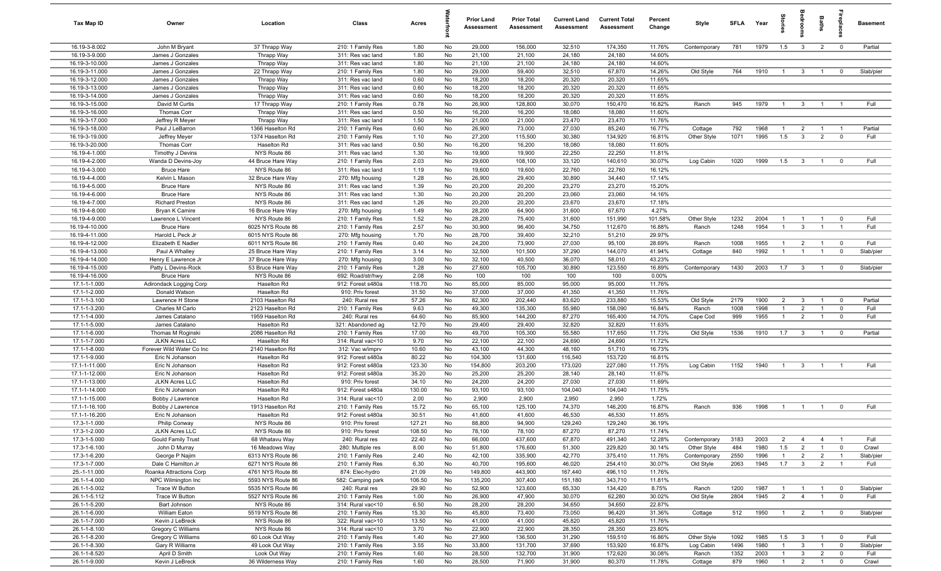| Tax Map ID                       | Owner                                       | Location                             | Class                                  | Acres         |          | <b>Prior Land</b><br>Assessment | <b>Prior Total</b><br>Assessment | <b>Current Land</b><br>Assessment | <b>Current Total</b><br>Assessment | Percent<br>Change | Style              | <b>SFI A</b> | Year         | tories                           | droom                          | Baths          | ireplac                | <b>Basement</b> |
|----------------------------------|---------------------------------------------|--------------------------------------|----------------------------------------|---------------|----------|---------------------------------|----------------------------------|-----------------------------------|------------------------------------|-------------------|--------------------|--------------|--------------|----------------------------------|--------------------------------|----------------|------------------------|-----------------|
| 16.19-3-8.002                    | John M Bryant                               | 37 Thrapp Way                        | 210: 1 Family Res                      | 1.80          | No       | 29,000                          | 156,000                          | 32,510                            | 174,350                            | 11.76%            | Contemporary       | 781          | 1979         | 1.5                              | $\mathbf{3}$                   | $\overline{2}$ | $\overline{0}$         | Partial         |
| 16.19-3-9.000                    | James J Gonzales                            | Thrapp Way                           | 311: Res vac land                      | 1.80          | No       | 21,100                          | 21,100                           | 24,180                            | 24,180                             | 14.60%            |                    |              |              |                                  |                                |                |                        |                 |
| 16.19-3-10.000                   | James J Gonzales                            | Thrapp Way                           | 311: Res vac land                      | 1.80          | No       | 21,100                          | 21,100                           | 24,180                            | 24,180                             | 14.60%            |                    |              |              |                                  |                                |                |                        |                 |
| 16.19-3-11.000                   | James J Gonzales                            | 22 Thrapp Way                        | 210: 1 Family Res                      | 1.80          | No       | 29,000                          | 59,400                           | 32,510                            | 67,870                             | 14.26%            | Old Style          | 764          | 1910         | $\overline{1}$                   | $\mathbf{3}$                   |                | $\Omega$               | Slab/pier       |
| 16.19-3-12.000<br>16.19-3-13.000 | James J Gonzales<br>James J Gonzales        | Thrapp Way                           | 311: Res vac land<br>311: Res vac land | 0.60<br>0.60  | No<br>No | 18,200<br>18,200                | 18,200<br>18,200                 | 20,320<br>20,320                  | 20,320<br>20,320                   | 11.65%<br>11.65%  |                    |              |              |                                  |                                |                |                        |                 |
| 16.19-3-14.000                   | James J Gonzales                            | Thrapp Way<br>Thrapp Way             | 311: Res vac land                      | 0.60          | No       | 18,200                          | 18,200                           | 20,320                            | 20,320                             | 11.65%            |                    |              |              |                                  |                                |                |                        |                 |
| 16.19-3-15.000                   | David M Curtis                              | 17 Thrapp Way                        | 210: 1 Family Res                      | 0.78          | No       | 26,900                          | 128,800                          | 30,070                            | 150,470                            | 16.82%            | Ranch              | 945          | 1979         | $\overline{1}$                   | $\overline{3}$                 | $\overline{1}$ | - 1                    | Full            |
| 16.19-3-16.000                   | Thomas Corr                                 | Thrapp Way                           | 311: Res vac land                      | 0.50          | No       | 16,200                          | 16,200                           | 18,080                            | 18,080                             | 11.60%            |                    |              |              |                                  |                                |                |                        |                 |
| 16.19-3-17.000                   | Jeffrey R Meyer                             | Thrapp Way                           | 311: Res vac land                      | 1.50          | No       | 21,000                          | 21,000                           | 23,470                            | 23,470                             | 11.76%            |                    |              |              |                                  |                                |                |                        |                 |
| 16.19-3-18.000                   | Paul J LeBarron                             | 1366 Haselton Rd                     | 210: 1 Family Res                      | 0.60          | No       | 26,900                          | 73,000                           | 27,030                            | 85,240                             | 16.77%            | Cottage            | 792          | 1968         | $\overline{1}$                   | $\overline{2}$                 | $\overline{1}$ | - 1                    | Partial         |
| 16.19-3-19.000                   | Jeffrey Meyer                               | 1374 Haselton Rd                     | 210: 1 Family Res                      | 1.10          | No       | 27,200                          | 115,500                          | 30,380                            | 134,920                            | 16.81%            | Other Style        | 1071         | 1995         | 1.5                              | $\mathbf{3}$                   | $\overline{2}$ | $\mathbf 0$            | Full            |
| 16.19-3-20.000                   | Thomas Corr                                 | Haselton Rd                          | 311: Res vac land                      | 0.50          | No       | 16,200                          | 16,200                           | 18,080                            | 18,080                             | 11.60%            |                    |              |              |                                  |                                |                |                        |                 |
| 16.19-4-1.000                    | Timothy J Devins                            | NYS Route 86                         | 311: Res vac land                      | 1.30          | No       | 19,900                          | 19,900                           | 22,250                            | 22,250                             | 11.81%            |                    |              |              |                                  |                                |                |                        |                 |
| 16.19-4-2.000                    | Wanda D Devins-Joy                          | 44 Bruce Hare Way                    | 210: 1 Family Res                      | 2.03          | No       | 29,600                          | 108,100                          | 33,120                            | 140,610                            | 30.07%            | Log Cabin          | 1020         | 1999         | 1.5                              | $\overline{\mathbf{3}}$        | $\overline{1}$ | $\Omega$               | Full            |
| 16.19-4-3.000                    | <b>Bruce Hare</b>                           | NYS Route 86                         | 311: Res vac land                      | 1.19          | No       | 19,600                          | 19,600                           | 22,760                            | 22,760                             | 16.12%            |                    |              |              |                                  |                                |                |                        |                 |
| 16.19-4-4.000                    | Kelvin L Mason                              | 32 Bruce Hare Way                    | 270: Mfg housing                       | 1.28          | No       | 26,900                          | 29,400                           | 30,890                            | 34,440                             | 17.14%            |                    |              |              |                                  |                                |                |                        |                 |
| 16.19-4-5.000<br>16.19-4-6.000   | <b>Bruce Hare</b>                           | NYS Route 86<br>NYS Route 86         | 311: Res vac land                      | 1.39<br>1.30  | No<br>No | 20,200<br>20,200                | 20,200<br>20,200                 | 23,270<br>23,060                  | 23,270<br>23,060                   | 15.20%<br>14.16%  |                    |              |              |                                  |                                |                |                        |                 |
| 16.19-4-7.000                    | <b>Bruce Hare</b><br><b>Richard Preston</b> | NYS Route 86                         | 311: Res vac land<br>311: Res vac land | 1.26          | No       | 20,200                          | 20,200                           | 23,670                            | 23,670                             | 17.18%            |                    |              |              |                                  |                                |                |                        |                 |
| 16.19-4-8.000                    | Bryan K Camire                              | 16 Bruce Hare Way                    | 270: Mfg housing                       | 1.49          | No       | 28,200                          | 64,900                           | 31,600                            | 67,670                             | 4.27%             |                    |              |              |                                  |                                |                |                        |                 |
| 16.19-4-9.000                    | Lawrence L Vincent                          | NYS Route 86                         | 210: 1 Family Res                      | 1.52          | No       | 28,200                          | 75,400                           | 31,600                            | 151,990                            | 101.58%           | Other Style        | 1232         | 2004         | $\overline{1}$                   | $\overline{1}$                 | $\overline{1}$ | $\mathbf 0$            | Full            |
| 16.19-4-10.000                   | <b>Bruce Hare</b>                           | 6025 NYS Route 86                    | 210: 1 Family Res                      | 2.57          | No       | 30,900                          | 96,400                           | 34,750                            | 112,670                            | 16.88%            | Ranch              | 1248         | 1954         | $\overline{1}$                   | $\mathbf{3}$                   | $\overline{1}$ | $\overline{1}$         | Full            |
| 16.19-4-11.000                   | Harold L Peck Jr                            | 6015 NYS Route 86                    | 270: Mfg housing                       | 1.70          | No       | 28,700                          | 39,400                           | 32,210                            | 51,210                             | 29.97%            |                    |              |              |                                  |                                |                |                        |                 |
| 16.19-4-12.000                   | Elizabeth E Nadler                          | 6011 NYS Route 86                    | 210: 1 Family Res                      | 0.40          | No       | 24,200                          | 73,900                           | 27,030                            | 95,100                             | 28.69%            | Ranch              | 1008         | 1955         | $\overline{1}$                   | $\overline{2}$                 | $\overline{1}$ | $\overline{0}$         | Full            |
| 16.19-4-13.000                   | Paul A Whalley                              | 25 Bruce Hare Way                    | 210: 1 Family Res                      | 3.14          | No       | 32,500                          | 101,500                          | 37,290                            | 144,070                            | 41.94%            | Cottage            | 840          | 1992         | $\overline{1}$                   | $\overline{1}$                 | $\overline{1}$ | $\overline{0}$         | Slab/pier       |
| 16.19-4-14.000                   | Henry E Lawrence Jr                         | 37 Bruce Hare Way                    | 270: Mfg housing                       | 3.00          | No       | 32,100                          | 40,500                           | 36,070                            | 58,010                             | 43.23%            |                    |              |              |                                  |                                |                |                        |                 |
| 16.19-4-15.000                   | Patty L Devins-Rock                         | 53 Bruce Hare Way                    | 210: 1 Family Res                      | 1.28          | No       | 27,600                          | 105,700                          | 30,890                            | 123,550                            | 16.89%            | Contemporary       | 1430         | 2003         | 1.7                              | $\mathbf{3}$                   | $\overline{1}$ | $^{\circ}$             | Slab/pier       |
| 16.19-4-16.000                   | <b>Bruce Hare</b>                           | NYS Route 86                         | 692: Road/str/hwy                      | 2.08          | No       | 100                             | 100                              | 100                               | 100                                | 0.00%             |                    |              |              |                                  |                                |                |                        |                 |
| 17.1-1-1.000                     | Adirondack Logging Corp                     | Haselton Rd                          | 912: Forest s480a                      | 118.70        | No       | 85,000                          | 85,000                           | 95,000                            | 95,000                             | 11.76%            |                    |              |              |                                  |                                |                |                        |                 |
| 17.1-1-2.000                     | Donald Watson                               | Haselton Rd                          | 910: Priv forest                       | 31.50         | No       | 37,000                          | 37,000                           | 41,350                            | 41,350                             | 11.76%            |                    |              |              |                                  |                                |                |                        |                 |
| 17.1-1-3.100<br>17.1-1-3.200     | Lawrence H Stone<br>Charles M Carlo         | 2103 Haselton Rd<br>2123 Haselton Rd | 240: Rural res<br>210: 1 Family Res    | 57.26<br>9.63 | No<br>No | 82,300<br>49,300                | 202,440<br>135,300               | 83,620<br>55,980                  | 233,880<br>158,090                 | 15.53%<br>16.84%  | Old Style<br>Ranch | 2179<br>1008 | 1900<br>1998 | $\overline{2}$<br>$\overline{1}$ | $\mathbf{3}$<br>$\overline{2}$ |                | $^{\circ}$<br>$\Omega$ | Partial<br>Full |
| 17.1-1-4.000                     | James Catalano                              | 1959 Haselton Rd                     | 240: Rural res                         | 64.60         | No       | 85,900                          | 144,200                          | 87,270                            | 165,400                            | 14.70%            | Cape Cod           | 999          | 1955         | $\overline{1}$                   | 2                              | $\overline{1}$ | $\mathbf 0$            | Full            |
| 17.1-1-5.000                     | James Catalano                              | Haselton Rd                          | 321: Abandoned ag                      | 12.70         | No       | 29,400                          | 29,400                           | 32,820                            | 32,820                             | 11.63%            |                    |              |              |                                  |                                |                |                        |                 |
| 17.1-1-6.000                     | Thomas M Roginski                           | 2086 Haselton Rd                     | 210: 1 Family Res                      | 17.00         | No       | 49,700                          | 105,300                          | 55,580                            | 117,650                            | 11.73%            | Old Style          | 1536         | 1910         | 1.7                              | $\mathbf{3}$                   | $\overline{1}$ | $^{\circ}$             | Partial         |
| 17.1-1-7.000                     | <b>JLKN Acres LLC</b>                       | Haselton Rd                          | 314: Rural vac<10                      | 9.70          | No       | 22,100                          | 22,100                           | 24,690                            | 24,690                             | 11.72%            |                    |              |              |                                  |                                |                |                        |                 |
| 17.1-1-8.000                     | Forever Wild Water Co Inc                   | 2140 Haselton Rd                     | 312: Vac w/imprv                       | 10.60         | No       | 43,100                          | 44,300                           | 48,160                            | 51,710                             | 16.73%            |                    |              |              |                                  |                                |                |                        |                 |
| 17.1-1-9.000                     | Eric N Johanson                             | Haselton Rd                          | 912: Forest s480a                      | 80.22         | No       | 104,300                         | 131,600                          | 116,540                           | 153,720                            | 16.81%            |                    |              |              |                                  |                                |                |                        |                 |
| 17.1-1-11.000                    | Eric N Johanson                             | Haselton Rd                          | 912: Forest s480a                      | 123.30        | No       | 154,800                         | 203,200                          | 173,020                           | 227,080                            | 11.75%            | Log Cabin          | 1152         | 1940         | $\overline{1}$                   | $\mathbf{3}$                   | $\overline{1}$ | $\overline{1}$         | Full            |
| 17.1-1-12.000                    | Eric N Johanson                             | Haselton Rd                          | 912: Forest s480a                      | 35.20         | No       | 25,200                          | 25,200                           | 28,140                            | 28,140                             | 11.67%            |                    |              |              |                                  |                                |                |                        |                 |
| 17.1-1-13.000                    | <b>JLKN Acres LLC</b>                       | Haselton Rd                          | 910: Priv forest                       | 34.10         | No       | 24,200                          | 24,200                           | 27,030                            | 27,030                             | 11.69%            |                    |              |              |                                  |                                |                |                        |                 |
| 17.1-1-14.000                    | Eric N Johanson                             | Haselton Rd                          | 912: Forest s480a                      | 130.00        | No       | 93,100                          | 93,100                           | 104,040                           | 104,040                            | 11.75%            |                    |              |              |                                  |                                |                |                        |                 |
| 17.1-1-15.000<br>17.1-1-16.100   | Bobby J Lawrence                            | Haselton Rd<br>1913 Haselton Rd      | 314: Rural vac<10                      | 2.00<br>15.72 | No<br>No | 2,900<br>65,100                 | 2,900<br>125,100                 | 2,950<br>74,370                   | 2,950<br>146,200                   | 1.72%<br>16.87%   | Ranch              | 936          | 1998         | $\overline{1}$                   | $\overline{1}$                 | $\overline{1}$ | $\mathbf 0$            | Full            |
| 17.1-1-16.200                    | Bobby J Lawrence<br>Eric N Johanson         | Haselton Rd                          | 210: 1 Family Res<br>912: Forest s480a | 30.51         | No       | 41,600                          | 41,600                           | 46,530                            | 46,530                             | 11.85%            |                    |              |              |                                  |                                |                |                        |                 |
| 17.3-1-1.000                     | Philip Conway                               | NYS Route 86                         | 910: Priv forest                       | 127.21        | No       | 88,800                          | 94,900                           | 129,240                           | 129,240                            | 36.19%            |                    |              |              |                                  |                                |                |                        |                 |
| 17.3-1-2.000                     | <b>JLKN Acres LLC</b>                       | NYS Route 86                         | 910: Priv forest                       | 108.50        | No       | 78,100                          | 78,100                           | 87,270                            | 87,270                             | 11.74%            |                    |              |              |                                  |                                |                |                        |                 |
| 17.3-1-5.000                     | <b>Gould Family Trust</b>                   | 68 Whatavu Way                       | 240: Rural res                         | 22.40         | No       | 66,000                          | 437,600                          | 67,870                            | 491,340                            | 12.28%            | Contemporary       | 3183         | 2003         | $\overline{2}$                   | $\overline{4}$                 | $\overline{4}$ | $\overline{1}$         | Full            |
| 17.3-1-6.100                     | John D Murray                               | 16 Meadows Way                       | 280: Multiple res                      | 8.00          | No       | 51,800                          | 176,600                          | 51,300                            | 229,820                            | 30.14%            | Other Style        | 484          | 1980         | 1.5                              | $\overline{2}$                 | $\mathbf{1}$   | $\overline{0}$         | Crawl           |
| 17.3-1-6.200                     | George P Najim                              | 6313 NYS Route 86                    | 210: 1 Family Res                      | 2.40          | No       | 42,100                          | 335,900                          | 42,770                            | 375,410                            | 11.76%            | Contemporary       | 2550         | 1996         | $\overline{1}$                   | $\overline{2}$                 | $\overline{2}$ | $\overline{1}$         | Slab/pier       |
| 17.3-1-7.000                     | Dale C Hamilton Jr                          | 6271 NYS Route 86                    | 210: 1 Family Res                      | 6.30          | No       | 40,700                          | 195,600                          | 46,020                            | 254,410                            | 30.07%            | Old Style          | 2063         | 1945         | 1.7                              | $\mathbf{3}$                   | $\overline{2}$ | $\overline{1}$         | Full            |
| 25.-1-11.000                     | Roanka Attractions Corp                     | 4761 NYS Route 86                    | 874: Elec-hydro                        | 21.09         | No       | 149,800                         | 443,900                          | 167,440                           | 496,110                            | 11.76%            |                    |              |              |                                  |                                |                |                        |                 |
| 26.1-1-4.000                     | NPC Wilmington Inc                          | 5593 NYS Route 86                    | 582: Camping park                      | 106.50        | No       | 135,200                         | 307,400                          | 151,180                           | 343,710                            | 11.81%            |                    |              |              |                                  |                                |                |                        |                 |
| 26.1-1-5.002                     | Trace W Button                              | 5535 NYS Route 86                    | 240: Rural res                         | 29.90         | No       | 52,900                          | 123,600                          | 65,330                            | 134,420                            | 8.75%             | Ranch              | 1200         | 1987         | $\overline{1}$                   | $\overline{1}$                 |                | $\overline{0}$         | Slab/pier       |
| 26.1-1-5.112                     | Trace W Button                              | 5527 NYS Route 86                    | 210: 1 Family Res                      | 1.00          | No       | 26,900                          | 47,900                           | 30,070                            | 62,280                             | 30.02%            | Old Style          | 2804         | 1945         | $\overline{2}$                   | $\overline{4}$                 |                | $\mathbf 0$            | Full            |
| 26.1-1-5.200<br>26.1-1-6.000     | Bart Johnson                                | NYS Route 86<br>5519 NYS Route 86    | 314: Rural vac<10                      | 6.50<br>15.30 | No<br>No | 28,200<br>45,800                | 28,200<br>73,400                 | 34,650<br>73,050                  | 34,650<br>96,420                   | 22.87%<br>31.36%  |                    | 512          | 1950         |                                  |                                | $\overline{1}$ | $\overline{0}$         | Slab/pier       |
| 26.1-1-7.000                     | William Eaton<br>Kevin J LeBreck            | NYS Route 86                         | 210: 1 Family Res<br>322: Rural vac>10 | 13.50         | No       | 41,000                          | 41,000                           | 45,820                            | 45,820                             | 11.76%            | Cottage            |              |              | $\overline{1}$                   | $\overline{2}$                 |                |                        |                 |
| 26.1-1-8.100                     | Gregory C Williams                          | NYS Route 86                         | 314: Rural vac<10                      | 3.70          | No       | 22,900                          | 22,900                           | 28,350                            | 28,350                             | 23.80%            |                    |              |              |                                  |                                |                |                        |                 |
| 26.1-1-8.200                     | Gregory C Williams                          | 60 Look Out Way                      | 210: 1 Family Res                      | 1.40          | No       | 27,900                          | 136,500                          | 31,290                            | 159,510                            | 16.86%            | Other Style        | 1092         | 1985         | 1.5                              | $\mathbf{3}$                   | $\mathbf{1}$   | $\overline{0}$         | Full            |
| 26.1-1-8.300                     | Gary R Williams                             | 49 Look Out Way                      | 210: 1 Family Res                      | 3.55          | No       | 33,800                          | 131,700                          | 37,690                            | 153,920                            | 16.87%            | Log Cabin          | 1496         | 1980         | $\mathbf{1}$                     | $\mathbf{3}$                   | $\overline{1}$ | $\mathbf 0$            | Slab/pier       |
| 26.1-1-8.520                     | April D Smith                               | Look Out Way                         | 210: 1 Family Res                      | 1.60          | No       | 28,500                          | 132,700                          | 31,900                            | 172,620                            | 30.08%            | Ranch              | 1352         | 2003         | $\mathbf{1}$                     | $\mathbf{3}$                   | $\overline{2}$ | $\mathbf 0$            | Full            |
| 26.1-1-9.000                     | Kevin J LeBreck                             | 36 Wilderness Way                    | 210: 1 Family Res                      | 1.60          | No       | 28,500                          | 71,900                           | 31,900                            | 80,370                             | 11.78%            | Cottage            | 879          | 1960         | $\overline{1}$                   | $\overline{2}$                 | $\overline{1}$ | $\mathbf 0$            | Crawl           |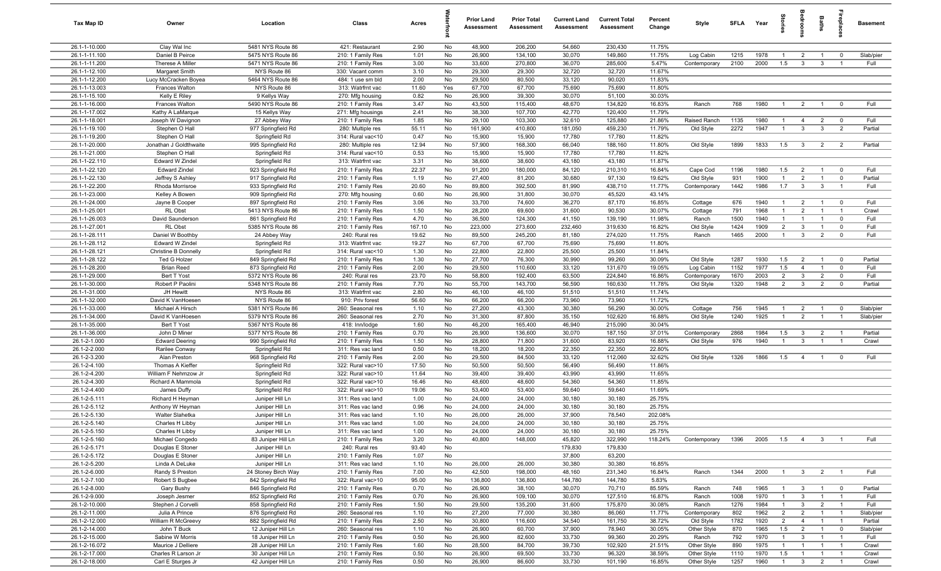| Tax Map ID                     | Owner                              | Location                              | Class                                  | Acres         |          | <b>Prior Land</b><br>Assessment | <b>Prior Total</b><br>Assessment | <b>Current Land</b><br>Assessment | <b>Current Total</b><br>Assessment | Percent<br>Change | Style        | <b>SFLA</b>  | Year         | Stories                        | edroom                         | Baths                          | ireplace:                        | <b>Basement</b> |
|--------------------------------|------------------------------------|---------------------------------------|----------------------------------------|---------------|----------|---------------------------------|----------------------------------|-----------------------------------|------------------------------------|-------------------|--------------|--------------|--------------|--------------------------------|--------------------------------|--------------------------------|----------------------------------|-----------------|
| 26.1-1-10.000                  | Clay Wal Inc                       | 5481 NYS Route 86                     | 421: Restaurant                        | 2.90          | No       | 48,900                          | 206,200                          | 54,660                            | 230,430                            | 11.75%            |              |              |              |                                |                                |                                |                                  |                 |
| 26.1-1-11.100                  | Daniel B Peirce                    | 5475 NYS Route 86                     | 210: 1 Family Res                      | 1.01          | No       | 26,900                          | 134,100                          | 30,070                            | 149,860                            | 11.75%            | Log Cabin    | 1215         | 1978         | $\overline{1}$                 | $\overline{2}$                 | $\overline{1}$                 | $^{\circ}$                       | Slab/pier       |
| 26.1-1-11.200                  | Therese A Miller                   | 5471 NYS Route 86                     | 210: 1 Family Res                      | 3.00          | No       | 33,600                          | 270,800                          | 36,070                            | 285,600                            | 5.47%             | Contemporary | 2100         | 2000         | 1.5                            | $\mathbf{3}$                   | $\mathbf{3}$                   | $\overline{1}$                   | Full            |
| 26.1-1-12.100                  | Margaret Smith                     | NYS Route 86                          | 330: Vacant comm                       | 3.10          | No       | 29,300                          | 29,300                           | 32,720                            | 32,720                             | 11.67%            |              |              |              |                                |                                |                                |                                  |                 |
| 26.1-1-12.200                  | Lucy McCracken Boyea               | 5464 NYS Route 86                     | 484: 1 use sm bld                      | 2.00          | No       | 29,500                          | 80,500                           | 33,120                            | 90,020                             | 11.83%            |              |              |              |                                |                                |                                |                                  |                 |
| 26.1-1-13.003                  | Frances Walton                     | NYS Route 86                          | 313: Watrfrnt vac                      | 11.60         | Yes      | 67,700                          | 67,700                           | 75,690                            | 75,690                             | 11.80%            |              |              |              |                                |                                |                                |                                  |                 |
| 26.1-1-15.100                  | Kelly E Riley                      | 9 Kellys Way                          | 270: Mfg housing                       | 0.82          | No       | 26,900                          | 39,300                           | 30,070                            | 51,100                             | 30.03%            |              |              |              |                                |                                |                                |                                  |                 |
| 26.1-1-16.000                  | <b>Frances Walton</b>              | 5490 NYS Route 86                     | 210: 1 Family Res                      | 3.47          | No       | 43,500                          | 115,400                          | 48,670                            | 134,820                            | 16.83%            | Ranch        | 768          | 1980         | $\mathbf{1}$                   | $\overline{2}$                 |                                | $^{\circ}$                       | Full            |
| 26.1-1-17.002                  | Kathy A LaMarque                   | 15 Kellys Way                         | 271: Mfg housings                      | 2.41          | No       | 38,300                          | 107,700                          | 42,770                            | 120,400                            | 11.79%            |              |              |              |                                |                                |                                |                                  |                 |
| 26.1-1-18.001<br>26.1-1-19.100 | Joseph W Davignon                  | 27 Abbey Way                          | 210: 1 Family Res                      | 1.85          | No<br>No | 29,100                          | 103,300                          | 32,610                            | 125,880<br>459,230                 | 21.86%            | Raised Ranch | 1135<br>2272 | 1980<br>1947 | $\mathbf{1}$<br>$\overline{1}$ | $\overline{4}$<br>$\mathbf{3}$ | $\overline{2}$<br>$\mathbf{3}$ | $\overline{0}$<br>$\overline{2}$ | Full            |
| 26.1-1-19.200                  | Stephen O Hall<br>Stephen O Hall   | 977 Springfield Rd<br>Springfield Rd  | 280: Multiple res<br>314: Rural vac<10 | 55.11<br>0.47 | No       | 161,900<br>15,900               | 410,800<br>15,900                | 181,050<br>17,780                 | 17,780                             | 11.79%<br>11.82%  | Old Style    |              |              |                                |                                |                                |                                  | Partial         |
| 26.1-1-20.000                  | Jonathan J Goldthwaite             | 995 Springfield Rd                    | 280: Multiple res                      | 12.94         | No       | 57,900                          | 168,300                          | 66,040                            | 188,160                            | 11.80%            | Old Style    | 1899         | 1833         | 1.5                            | $\mathbf{3}$                   | $\overline{2}$                 | $\overline{2}$                   | Partial         |
| 26.1-1-21.000                  | Stephen O Hall                     | Springfield Rd                        | 314: Rural vac<10                      | 0.53          | No       | 15,900                          | 15,900                           | 17,780                            | 17,780                             | 11.82%            |              |              |              |                                |                                |                                |                                  |                 |
| 26.1-1-22.110                  | Edward W Zindel                    | Springfield Rd                        | 313: Watrfrnt vac                      | 3.31          | No       | 38,600                          | 38,600                           | 43,180                            | 43,180                             | 11.87%            |              |              |              |                                |                                |                                |                                  |                 |
| 26.1-1-22.120                  | <b>Edward Zindel</b>               | 923 Springfield Rd                    | 210: 1 Family Res                      | 22.37         | No       | 91,200                          | 180,000                          | 84,120                            | 210,310                            | 16.84%            | Cape Cod     | 1196         | 1980         | 1.5                            | $\overline{2}$                 | $\overline{1}$                 | $^{\circ}$                       | Full            |
| 26.1-1-22.130                  | Jeffrey S Ashley                   | 917 Springfield Rd                    | 210: 1 Family Res                      | 1.19          | No       | 27,400                          | 81,200                           | 30,680                            | 97,130                             | 19.62%            | Old Style    | 931          | 1900         | $\mathbf{1}$                   | $\overline{2}$                 |                                | $\mathbf 0$                      | Partial         |
| 26.1-1-22.200                  | Rhoda Morrisroe                    | 933 Springfield Rd                    | 210: 1 Family Res                      | 20.60         | No       | 89,800                          | 392,500                          | 81,990                            | 438,710                            | 11.77%            | Contemporary | 1442         | 1986         | 1.7                            | $\mathbf{3}$                   | $\mathbf{3}$                   | $\overline{1}$                   | Full            |
| 26.1-1-23.000                  | Kelley A Bowen                     | 909 Springfield Rd                    | 270: Mfg housing                       | 0.60          | No       | 26,900                          | 31,800                           | 30,070                            | 45,520                             | 43.14%            |              |              |              |                                |                                |                                |                                  |                 |
| 26.1-1-24.000                  | Jayne B Cooper                     | 897 Springfield Rd                    | 210: 1 Family Res                      | 3.06          | No       | 33,700                          | 74,600                           | 36,270                            | 87,170                             | 16.85%            | Cottage      | 676          | 1940         | $\overline{1}$                 | $\overline{2}$                 |                                | $\overline{0}$                   | Full            |
| 26.1-1-25.001                  | RL Obst                            | 5413 NYS Route 86                     | 210: 1 Family Res                      | 1.50          | No       | 28,200                          | 69,600                           | 31,600                            | 90,530                             | 30.07%            | Cottage      | 791          | 1968         | $\mathbf{1}$                   | $\overline{2}$                 |                                | $\overline{1}$                   | Crawl           |
| 26.1-1-26.003                  | David Saunderson                   | 861 Springfield Rd                    | 210: 1 Family Res                      | 4.70          | No       | 36,500                          | 124,300                          | 41,150                            | 139,190                            | 11.98%            | Ranch        | 1500         | 1940         | $\mathbf{1}$                   | $\overline{1}$                 |                                | $\mathbf 0$                      | Full            |
| 26.1-1-27.001                  | RL Obst                            | 5385 NYS Route 86                     | 210: 1 Family Res                      | 167.10        | No       | 223,000                         | 273,600                          | 232,460                           | 319,630                            | 16.82%            | Old Style    | 1424         | 1909         | 2                              | $\mathbf{3}$                   |                                | $\mathbf 0$                      | Full            |
| 26.1-1-28.111                  | Daniel W Boothby                   | 24 Abbey Way                          | 240: Rural res                         | 19.62         | No       | 89,500                          | 245,200                          | 81,180                            | 274,020                            | 11.75%            | Ranch        | 1465         | 2000         | $\mathbf{1}$                   | $\mathbf{3}$                   | $\overline{2}$                 | $\mathbf 0$                      | Full            |
| 26.1-1-28.112                  | Edward W Zindel                    | Springfield Rd                        | 313: Watrfrnt vac                      | 19.27         | No       | 67,700                          | 67,700                           | 75,690                            | 75,690                             | 11.80%            |              |              |              |                                |                                |                                |                                  |                 |
| 26.1-1-28.121                  | <b>Christine B Donnelly</b>        | Springfield Rd                        | 314: Rural vac<10                      | 1.30          | No       | 22,800                          | 22,800                           | 25,500                            | 25,500                             | 11.84%            |              |              |              |                                |                                |                                |                                  |                 |
| 26.1-1-28.122                  | Ted G Holzer                       | 849 Springfield Rd                    | 210: 1 Family Res                      | 1.30          | No       | 27,700                          | 76,300                           | 30,990                            | 99,260                             | 30.09%            | Old Style    | 1287         | 1930         | 1.5                            | $\overline{2}$                 | $\overline{1}$                 | $^{\circ}$                       | Partial         |
| 26.1-1-28.200                  | <b>Brian Reed</b>                  | 873 Springfield Rd                    | 210: 1 Family Res                      | 2.00          | No       | 29,500                          | 110,600                          | 33,120                            | 131,670                            | 19.05%            | Log Cabin    | 1152         | 1977         | 1.5                            | $\overline{4}$                 | $\overline{1}$                 | $^{\circ}$                       | Full            |
| 26.1-1-29.000                  | Bert T Yost                        | 5372 NYS Route 86                     | 240: Rural res                         | 23.70         | No       | 58,800                          | 192,400                          | 63,500                            | 224,840                            | 16.86%            | Contemporary | 1670         | 2003         | $\overline{2}$                 | $\mathbf{3}$                   | $\overline{2}$                 | $\mathbf 0$                      | Full            |
| 26.1-1-30.000                  | Robert P Paolini                   | 5348 NYS Route 86                     | 210: 1 Family Res                      | 7.70          | No       | 55,700                          | 143,700                          | 56,590                            | 160,630                            | 11.78%            | Old Style    | 1320         | 1948         | $\overline{2}$                 | $\mathbf{3}$                   | $\overline{2}$                 | $\mathbf 0$                      | Partial         |
| 26.1-1-31.000<br>26.1-1-32.000 | JH Hewitt<br>David K VanHoesen     | NYS Route 86<br>NYS Route 86          | 313: Watrfrnt vac<br>910: Priv forest  | 2.80<br>56.60 | No<br>No | 46,100<br>66,200                | 46,100<br>66,200                 | 51,510<br>73,960                  | 51,510<br>73,960                   | 11.74%<br>11.72%  |              |              |              |                                |                                |                                |                                  |                 |
| 26.1-1-33.000                  | Michael A Hirsch                   | 5381 NYS Route 86                     | 260: Seasonal res                      | 1.10          | No       | 27,200                          | 43,300                           | 30,380                            | 56,290                             | 30.00%            | Cottage      | 756          | 1945         | $\mathbf{1}$                   | $\overline{2}$                 |                                | $^{\circ}$                       | Slab/pier       |
| 26.1-1-34.000                  | David K VanHoesen                  | 5379 NYS Route 86                     | 260: Seasonal res                      | 2.70          | No       | 31,300                          | 87,800                           | 35,150                            | 102,620                            | 16.88%            | Old Style    | 1240         | 1925         | $\mathbf{1}$                   | $\overline{2}$                 |                                | $\overline{1}$                   | Slab/pier       |
| 26.1-1-35.000                  | Bert T Yost                        | 5367 NYS Route 86                     | 418: Inn/lodge                         | 1.60          | No       | 46,200                          | 165,400                          | 46,940                            | 215,090                            | 30.04%            |              |              |              |                                |                                |                                |                                  |                 |
| 26.1-1-36.000                  | John D Miner                       | 5377 NYS Route 86                     | 210: 1 Family Res                      | 0.70          | No       | 26,900                          | 136,600                          | 30,070                            | 187,150                            | 37.01%            | Contemporary | 2868         | 1984         | 1.5                            | $\mathbf{3}$                   | $\overline{2}$                 | $\overline{1}$                   | Partial         |
| 26.1-2-1.000                   | <b>Edward Deering</b>              | 990 Springfield Rd                    | 210: 1 Family Res                      | 1.50          | No       | 28,800                          | 71,800                           | 31,600                            | 83,920                             | 16.88%            | Old Style    | 976          | 1940         | $\overline{1}$                 | $\mathbf{3}$                   | $\overline{1}$                 | $\overline{1}$                   | Crawl           |
| 26.1-2-2.000                   | Rarilee Conway                     | Springfield Rd                        | 311: Res vac land                      | 0.50          | No       | 18,200                          | 18,200                           | 22,350                            | 22,350                             | 22.80%            |              |              |              |                                |                                |                                |                                  |                 |
| 26.1-2-3.200                   | Alan Preston                       | 968 Springfield Rd                    | 210: 1 Family Res                      | 2.00          | No       | 29,500                          | 84,500                           | 33,120                            | 112,060                            | 32.62%            | Old Style    | 1326         | 1866         | 1.5                            | $\overline{4}$                 | $\overline{1}$                 | $\mathbf 0$                      | Full            |
| 26.1-2-4.100                   | Thomas A Kieffer                   | Springfield Rd                        | 322: Rural vac>10                      | 17.50         | No       | 50,500                          | 50,500                           | 56,490                            | 56,490                             | 11.86%            |              |              |              |                                |                                |                                |                                  |                 |
| 26.1-2-4.200                   | William F Nehmzow Jr               | Springfield Rd                        | 322: Rural vac>10                      | 11.64         | No       | 39,400                          | 39,400                           | 43,990                            | 43,990                             | 11.65%            |              |              |              |                                |                                |                                |                                  |                 |
| 26.1-2-4.300                   | Richard A Mammola                  | Springfield Rd                        | 322: Rural vac>10                      | 16.46         | No       | 48,600                          | 48,600                           | 54,360                            | 54,360                             | 11.85%            |              |              |              |                                |                                |                                |                                  |                 |
| 26.1-2-4.400                   | James Duffy                        | Springfield Rd                        | 322: Rural vac>10                      | 19.06         | No       | 53,400                          | 53,400                           | 59,640                            | 59,640                             | 11.69%            |              |              |              |                                |                                |                                |                                  |                 |
| 26.1-2-5.111                   | Richard H Heyman                   | Juniper Hill Ln                       | 311: Res vac land                      | 1.00          | No       | 24,000                          | 24,000                           | 30,180                            | 30,180                             | 25.75%            |              |              |              |                                |                                |                                |                                  |                 |
| 26.1-2-5.112                   | Anthony W Heyman                   | Juniper Hill Ln                       | 311: Res vac land                      | 0.96          | No       | 24,000                          | 24,000                           | 30,180                            | 30,180                             | 25.75%            |              |              |              |                                |                                |                                |                                  |                 |
| 26.1-2-5.130                   | <b>Walter Slahetka</b>             | Juniper Hill Ln                       | 311: Res vac land                      | 1.10          | No       | 26,000                          | 26,000                           | 37,900                            | 78,540                             | 202.08%           |              |              |              |                                |                                |                                |                                  |                 |
| 26.1-2-5.140                   | Charles H Libby                    | Juniper Hill Ln                       | 311: Res vac land                      | 1.00          | No       | 24,000<br>24,000                | 24,000<br>24,000                 | 30,180                            | 30,180                             | 25.75%<br>25.75%  |              |              |              |                                |                                |                                |                                  |                 |
| 26.1-2-5.150<br>26.1-2-5.160   | Charles H Libby<br>Michael Congedo | Juniper Hill Ln<br>83 Juniper Hill Ln | 311: Res vac land<br>210: 1 Family Res | 1.00<br>3.20  | No<br>No | 40,800                          | 148,000                          | 30,180<br>45,820                  | 30,180<br>322,990                  | 118.24%           | Contemporary | 1396         | 2005         | 1.5                            | $\overline{4}$                 | $\mathbf{3}$                   | $\overline{1}$                   | Full            |
| 26.1-2-5.171                   | Douglas E Stoner                   | Juniper Hill Ln                       | 240: Rural res                         | 93.40         | No       |                                 |                                  | 179,830                           | 179,830                            |                   |              |              |              |                                |                                |                                |                                  |                 |
| 26.1-2-5.172                   | Douglas E Stoner                   | Juniper Hill Ln                       | 210: 1 Family Res                      | 1.07          | No       |                                 |                                  | 37,800                            | 63,200                             |                   |              |              |              |                                |                                |                                |                                  |                 |
| 26.1-2-5.200                   | Linda A DeLuke                     | Juniper Hill Ln                       | 311: Res vac land                      | 1.10          | No       | 26,000                          | 26,000                           | 30,380                            | 30,380                             | 16.85%            |              |              |              |                                |                                |                                |                                  |                 |
| 26.1-2-6.000                   | Randy S Preston                    | 24 Stoney Birch Way                   | 210: 1 Family Res                      | 7.00          | No       | 42,500                          | 198,000                          | 48,160                            | 231,340                            | 16.84%            | Ranch        | 1344         | 2000         | $\overline{1}$                 | 3 <sup>3</sup>                 | $\overline{2}$                 | $\blacksquare$                   | Full            |
| 26.1-2-7.100                   | Robert S Bugbee                    | 842 Springfield Rd                    | 322: Rural vac>10                      | 95.00         | No       | 136,800                         | 136,800                          | 144,780                           | 144,780                            | 5.83%             |              |              |              |                                |                                |                                |                                  |                 |
| 26.1-2-8.000                   | Gary Bushy                         | 846 Springfield Rd                    | 210: 1 Family Res                      | 0.70          | No       | 26,900                          | 38,100                           | 30,070                            | 70,710                             | 85.59%            | Ranch        | 748          | 1965         | $\mathbf{1}$                   | $\mathbf{3}$                   | $\overline{1}$                 | $\mathbf{0}$                     | Partial         |
| 26.1-2-9.000                   | Joseph Jesmer                      | 852 Springfield Rd                    | 210: 1 Family Res                      | 0.70          | No       | 26,900                          | 109,100                          | 30,070                            | 127,510                            | 16.87%            | Ranch        | 1008         | 1970         | $\mathbf{1}$                   | $\mathbf{3}$                   | $\mathbf{1}$                   | $\overline{1}$                   | Full            |
| 26.1-2-10.000                  | Stephen J Corvelli                 | 858 Springfield Rd                    | 210: 1 Family Res                      | 1.50          | No       | 29,500                          | 135,200                          | 31,600                            | 175,870                            | 30.08%            | Ranch        | 1276         | 1984         | $\mathbf{1}$                   | $\mathbf{3}$                   | $\overline{2}$                 | $\overline{1}$                   | Full            |
| 26.1-2-11.000                  | Julia A Prince                     | 876 Springfield Rd                    | 260: Seasonal res                      | 1.10          | No       | 27,200                          | 77,000                           | 30,380                            | 86,060                             | 11.77%            | Contemporary | 802          | 1962         | $\overline{2}$                 | $\overline{2}$                 |                                | - 1                              | Slab/pier       |
| 26.1-2-12.000                  | William R McGreevy                 | 882 Springfield Rd                    | 210: 1 Family Res                      | 2.50          | No       | 30,800                          | 116,600                          | 34,540                            | 161,750                            | 38.72%            | Old Style    | 1782         | 1920         | $\overline{2}$                 | $\overline{4}$                 |                                | $\overline{1}$                   | Partial         |
| 26.1-2-14.000                  | John T Buck                        | 12 Juniper Hill Ln                    | 260: Seasonal res                      | 1.10          | No       | 26,900                          | 60,700                           | 37,900                            | 78,940                             | 30.05%            | Other Style  | 870          | 1965         | 1.5                            | $\overline{2}$                 | $\overline{1}$                 | $\overline{0}$                   | Slab/pier       |
| 26.1-2-15.000                  | Sabine W Morris                    | 18 Juniper Hill Ln                    | 210: 1 Family Res                      | 0.50          | No       | 26,900                          | 82,600                           | 33,730                            | 99,360                             | 20.29%            | Ranch        | 792          | 1970         | $\mathbf{1}$                   | $\mathbf{3}$                   | $\overline{1}$                 | $\overline{1}$                   | Full            |
| 26.1-2-16.072                  | Maurice J Delliere                 | 28 Juniper Hill Ln                    | 210: 1 Family Res                      | 1.60          | No       | 28,500                          | 84,700                           | 39,730                            | 102,920                            | 21.51%            | Other Style  | 890          | 1975         | $\mathbf{1}$                   | $\overline{1}$                 | $\overline{1}$                 | $\overline{1}$                   | Crawl           |
| 26.1-2-17.000                  | Charles R Larson Jr                | 30 Juniper Hill Ln                    | 210: 1 Family Res                      | 0.50          | No       | 26,900<br>26,900                | 69,500                           | 33,730                            | 96,320                             | 38.59%            | Other Style  | 1110<br>1257 | 1970<br>1960 | 1.5<br>$\overline{1}$          | $\overline{1}$                 | $\overline{1}$                 | $\overline{1}$<br>$\overline{1}$ | Crawl           |
| 26.1-2-18.000                  | Carl E Sturges Jr                  | 42 Juniper Hill Ln                    | 210: 1 Family Res                      | 0.50          | No       |                                 | 86,600                           | 33,730                            | 101,190                            | 16.85%            | Other Style  |              |              |                                | $\mathbf{3}$                   | $\overline{2}$                 |                                  | Crawl           |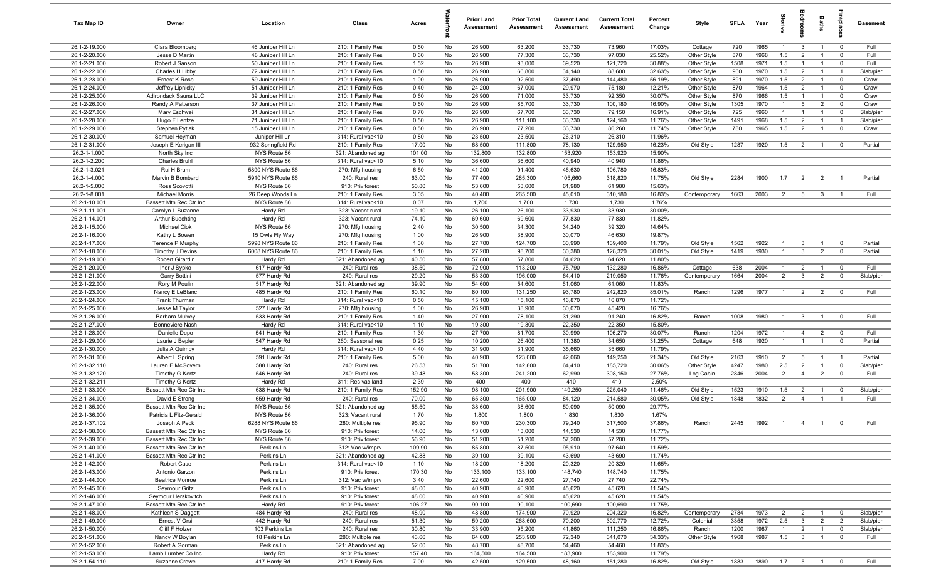| Tax Map ID                     | Owner                             | Location                                 | Class                                  | Acres          |          | <b>Prior Land</b><br>Assessment | <b>Prior Total</b><br>Assessment | <b>Current Land</b><br>Assessment | <b>Current Total</b><br>Assessment | Percent<br>Change | Style                      | <b>SFLA</b> | Year               | tories                           | <b>edroo</b>                      | Baths                            |                            | <b>Basement</b>    |
|--------------------------------|-----------------------------------|------------------------------------------|----------------------------------------|----------------|----------|---------------------------------|----------------------------------|-----------------------------------|------------------------------------|-------------------|----------------------------|-------------|--------------------|----------------------------------|-----------------------------------|----------------------------------|----------------------------|--------------------|
| 26.1-2-19.000                  | Clara Bloomberg                   | 46 Juniper Hill Ln                       | 210: 1 Family Res                      | 0.50           | No       | 26,900                          | 63,200                           | 33,730                            | 73,960                             | 17.03%            | Cottage                    | 720         | 1965               | $\overline{1}$                   | $\mathbf{3}$                      | $\overline{1}$                   | $\mathbf 0$                | Full               |
| 26.1-2-20.000                  | Jesse D Martin                    | 48 Juniper Hill Ln                       | 210: 1 Family Res                      | 0.60           | No       | 26,900                          | 77,300                           | 33,730                            | 97,030                             | 25.52%            | Other Style                | 870         | 1968               | 1.5                              | $\overline{2}$                    | $\overline{1}$                   | $\mathbf 0$                | Full               |
| 26.1-2-21.000                  | Robert J Sanson                   | 50 Juniper Hill Ln                       | 210: 1 Family Res                      | 1.52           | No       | 26,900                          | 93,000                           | 39,520                            | 121,720                            | 30.88%            | Other Style                | 1508        | 1971               | 1.5                              | $\overline{1}$                    | $\overline{1}$                   | $\mathbf 0$                | Full               |
| 26.1-2-22.000                  | Charles H Libby                   | 72 Juniper Hill Ln                       | 210: 1 Family Res                      | 0.50           | No       | 26,900                          | 66,800                           | 34,140                            | 88,600                             | 32.63%            | Other Style                | 960         | 1970               | 1.5                              | $\overline{2}$                    | - 1                              | $\overline{1}$             | Slab/pier          |
| 26.1-2-23.000                  | Ernest K Rose                     | 59 Juniper Hill Ln                       | 210: 1 Family Res                      | 1.00           | No       | 26,900                          | 92,500                           | 37,490                            | 144,480                            | 56.19%            | Other Style                | 891         | 1970               | 1.5                              | $\overline{2}$                    | $\overline{1}$                   | $\overline{\mathbf{0}}$    | Crawl              |
| 26.1-2-24.000                  | Jeffrey Lipnicky                  | 51 Juniper Hill Ln                       | 210: 1 Family Res                      | 0.40           | No       | 24,200                          | 67,000                           | 29,970                            | 75,180                             | 12.21%            | Other Style                | 870         | 1964               | 1.5                              | $\overline{2}$                    | $\overline{1}$                   | $\mathbf 0$                | Crawl              |
| 26.1-2-25.000                  | Adirondack Sauna LLC              | 39 Juniper Hill Ln                       | 210: 1 Family Res                      | 0.60           | No       | 26,900                          | 71,000                           | 33,730                            | 92,350                             | 30.07%            | Other Style                | 870         | 1966               | 1.5                              | $\overline{1}$                    | $\overline{1}$                   | $\mathbf 0$                | Crawl              |
| 26.1-2-26.000<br>26.1-2-27.000 | Randy A Patterson<br>Mary Eschwei | 37 Juniper Hill Ln<br>31 Juniper Hill Ln | 210: 1 Family Res<br>210: 1 Family Res | 0.60<br>0.70   | No<br>No | 26,900<br>26,900                | 85,700<br>67,700                 | 33,730<br>33,730                  | 100,180<br>79,150                  | 16.90%<br>16.91%  | Other Style<br>Other Style | 1305<br>725 | 1970<br>1960       | $\overline{1}$<br>$\mathbf{1}$   | $5\overline{5}$<br>$\overline{1}$ | $\overline{2}$<br>$\overline{1}$ | $\mathbf 0$<br>$\mathbf 0$ | Crawl<br>Slab/pier |
| 26.1-2-28.000                  | Hugo F Lentze                     | 21 Juniper Hill Ln                       | 210: 1 Family Res                      | 0.50           | No       | 26,900                          | 111,100                          | 33,730                            | 124,160                            | 11.76%            | Other Style                | 1491        | 1968               | 1.5                              | $\overline{2}$                    | $\overline{1}$                   | $\overline{1}$             | Slab/pier          |
| 26.1-2-29.000                  | Stephen Pytlak                    | 15 Juniper Hill Ln                       | 210: 1 Family Res                      | 0.50           | No       | 26,900                          | 77,200                           | 33,730                            | 86,260                             | 11.74%            | Other Style                | 780         | 1965               | 1.5                              | $\overline{2}$                    | $\overline{1}$                   | $\mathbf 0$                | Crawl              |
| 26.1-2-30.000                  | Samuel Heyman                     | Juniper Hill Ln                          | 314: Rural vac<10                      | 0.80           | No       | 23,500                          | 23,500                           | 26,310                            | 26,310                             | 11.96%            |                            |             |                    |                                  |                                   |                                  |                            |                    |
| 26.1-2-31.000                  | Joseph E Kerigan III              | 932 Springfield Rd                       | 210: 1 Family Res                      | 17.00          | No       | 68,500                          | 111,800                          | 78,130                            | 129,950                            | 16.23%            | Old Style                  | 1287        | 1920               | 1.5                              | $\overline{2}$                    | $\overline{1}$                   | $\mathbf 0$                | Partial            |
| 26.2-1-1.000                   | North Sky Inc                     | NYS Route 86                             | 321: Abandoned ag                      | 101.00         | No       | 132,800                         | 132,800                          | 153,920                           | 153,920                            | 15.90%            |                            |             |                    |                                  |                                   |                                  |                            |                    |
| 26.2-1-2.200                   | Charles Bruhl                     | NYS Route 86                             | 314: Rural vac<10                      | 5.10           | No       | 36,600                          | 36,600                           | 40,940                            | 40,940                             | 11.86%            |                            |             |                    |                                  |                                   |                                  |                            |                    |
| 26.2-1-3.021                   | Rui H Brum                        | 5890 NYS Route 86                        | 270: Mfg housing                       | 6.50           | No       | 41,200                          | 91,400                           | 46,630                            | 106,780                            | 16.83%            |                            |             |                    |                                  |                                   |                                  |                            |                    |
| 26.2-1-4.000                   | Marvin B Bombard                  | 5910 NYS Route 86                        | 240: Rural res                         | 63.00          | No       | 77,400                          | 285,300                          | 105,660                           | 318,820                            | 11.75%            | Old Style                  | 2284        | 1900               | 1.7                              | $\overline{2}$                    | $\overline{2}$                   |                            | Partial            |
| 26.2-1-5.000                   | Ross Scovotti                     | NYS Route 86                             | 910: Priv forest                       | 50.80          | No       | 53,600                          | 53,600                           | 61,980                            | 61,980                             | 15.63%            |                            |             |                    |                                  |                                   |                                  |                            |                    |
| 26.2-1-8.001                   | <b>Michael Morris</b>             | 26 Deep Woods Ln                         | 210: 1 Family Res                      | 3.05           | No       | 40,400                          | 265,500                          | 45,010                            | 310,180                            | 16.83%            | Contemporary               | 1663        | 2003               | $\overline{2}$                   | $5\overline{5}$                   | $\mathbf{3}$                     |                            | Full               |
| 26.2-1-10.001                  | Bassett Mtn Rec Ctr Inc           | NYS Route 86                             | 314: Rural vac<10                      | 0.07           | No       | 1,700                           | 1,700                            | 1,730                             | 1,730                              | 1.76%             |                            |             |                    |                                  |                                   |                                  |                            |                    |
| 26.2-1-11.001                  | Carolyn L Suzanne                 | Hardy Rd                                 | 323: Vacant rural                      | 19.10          | No       | 26,100                          | 26,100                           | 33,930                            | 33,930                             | 30.00%            |                            |             |                    |                                  |                                   |                                  |                            |                    |
| 26.2-1-14.001                  | Arthur Buechting                  | Hardy Rd                                 | 323: Vacant rural                      | 74.10<br>2.40  | No       | 69,600                          | 69,600                           | 77,830                            | 77,830                             | 11.82%            |                            |             |                    |                                  |                                   |                                  |                            |                    |
| 26.2-1-15.000<br>26.2-1-16.000 | Michael Ciok<br>Kathy L Bowen     | NYS Route 86<br>15 Owls Fly Way          | 270: Mfg housing<br>270: Mfg housing   | 1.00           | No<br>No | 30,500<br>26,900                | 34,300<br>38,900                 | 34,240<br>30,070                  | 39,320<br>46,630                   | 14.64%<br>19.87%  |                            |             |                    |                                  |                                   |                                  |                            |                    |
| 26.2-1-17.000                  | Terence P Murphy                  | 5998 NYS Route 86                        | 210: 1 Family Res                      | 1.30           | No       | 27,700                          | 124,700                          | 30,990                            | 139,400                            | 11.79%            | Old Style                  | 1562        | 1922               | $\overline{1}$                   | $\mathbf{3}$                      | $\overline{1}$                   | $\mathbf 0$                | Partial            |
| 26.2-1-18.000                  | Timothy J Devins                  | 6008 NYS Route 86                        | 210: 1 Family Res                      | 1.10           | No       | 27,200                          | 98,700                           | 30,380                            | 128,320                            | 30.01%            | Old Style                  | 1419        | 1930               | $\overline{1}$                   | $\mathbf{3}$                      | $\overline{2}$                   | $\mathbf 0$                | Partial            |
| 26.2-1-19.000                  | Robert Girardin                   | Hardy Rd                                 | 321: Abandoned ag                      | 40.50          | No       | 57,800                          | 57,800                           | 64,620                            | 64,620                             | 11.80%            |                            |             |                    |                                  |                                   |                                  |                            |                    |
| 26.2-1-20.000                  | Ihor J Sypko                      | 617 Hardy Rd                             | 240: Rural res                         | 38.50          | No       | 72,900                          | 113,200                          | 75,790                            | 132,280                            | 16.86%            | Cottage                    | 638         | 2004               | $\overline{1}$                   | $\overline{2}$                    | $\overline{1}$                   | $\overline{\mathbf{0}}$    | Full               |
| 26.2-1-21.000                  | Garry Bottini                     | 577 Hardy Rd                             | 240: Rural res                         | 29.20          | No       | 53,300                          | 196,000                          | 64,410                            | 219,050                            | 11.76%            | Contemporary               | 1664        | 2004               | $\overline{2}$                   | $\mathbf{3}$                      | $\overline{2}$                   | $\mathbf 0$                | Slab/pier          |
| 26.2-1-22.000                  | Rory M Poulin                     | 517 Hardy Rd                             | 321: Abandoned ag                      | 39.90          | No       | 54,600                          | 54,600                           | 61,060                            | 61,060                             | 11.83%            |                            |             |                    |                                  |                                   |                                  |                            |                    |
| 26.2-1-23.000                  | Nancy E LeBlanc                   | 485 Hardy Rd                             | 210: 1 Family Res                      | 60.10          | No       | 80,100                          | 131,250                          | 93,780                            | 242,820                            | 85.01%            | Ranch                      | 1296        | 1977               | $\overline{1}$                   | $\overline{2}$                    | $\overline{2}$                   | $\mathbf 0$                | Full               |
| 26.2-1-24.000                  | Frank Thurman                     | Hardy Rd                                 | 314: Rural vac<10                      | 0.50           | No       | 15,100                          | 15,100                           | 16,870                            | 16,870                             | 11.72%            |                            |             |                    |                                  |                                   |                                  |                            |                    |
| 26.2-1-25.000                  | Jesse M Taylor                    | 527 Hardy Rd                             | 270: Mfg housing                       | 1.00           | No       | 26,900                          | 38,900                           | 30,070                            | 45,420                             | 16.76%            |                            |             |                    |                                  |                                   |                                  |                            |                    |
| 26.2-1-26.000                  | Barbara Mulvey                    | 533 Hardy Rd                             | 210: 1 Family Res                      | 1.40           | No       | 27,900                          | 78,100                           | 31,290                            | 91,240                             | 16.82%            | Ranch                      | 1008        | 1980               | $\overline{1}$                   | $\overline{\mathbf{3}}$           | $\overline{1}$                   | $\mathbf 0$                | Full               |
| 26.2-1-27.000                  | <b>Bonneviere Nash</b>            | Hardy Rd                                 | 314: Rural vac<10                      | 1.10           | No       | 19,300                          | 19,300                           | 22,350                            | 22,350                             | 15.80%            |                            |             |                    |                                  |                                   |                                  |                            |                    |
| 26.2-1-28.000                  | Danielle Depo                     | 541 Hardy Rd                             | 210: 1 Family Res                      | 1.30           | No       | 27,700                          | 81,700                           | 30,990                            | 106,270                            | 30.07%            | Ranch                      | 1204        | 1972               | $\overline{1}$<br>$\overline{1}$ | $\overline{4}$                    | $\overline{2}$                   | $\overline{\mathbf{0}}$    | Full               |
| 26.2-1-29.000<br>26.2-1-30.000 | Laurie J Bepler<br>Julia A Quimby | 547 Hardy Rd<br>Hardy Rd                 | 260: Seasonal res<br>314: Rural vac<10 | 0.25<br>4.40   | No<br>No | 10,200<br>31,900                | 26,400<br>31,900                 | 11,380<br>35,660                  | 34,650<br>35,660                   | 31.25%<br>11.79%  | Cottage                    | 648         | 1920               |                                  | $\overline{1}$                    | $\overline{1}$                   | $\mathbf 0$                | Partial            |
| 26.2-1-31.000                  | Albert L Spring                   | 591 Hardy Rd                             | 210: 1 Family Res                      | 5.00           | No       | 40,900                          | 123,000                          | 42,060                            | 149,250                            | 21.34%            | Old Style                  | 2163        | 1910               | $\overline{2}$                   | 5                                 | $\overline{1}$                   | - 1                        | Partial            |
| 26.2-1-32.110                  | Lauren E McGovern                 | 588 Hardy Rd                             | 240: Rural res                         | 26.53          | No       | 51,700                          | 142,800                          | 64,410                            | 185,720                            | 30.06%            | Other Style                | 4247        | 1980               | 2.5                              | $\overline{2}$                    | $\overline{1}$                   | $\mathbf 0$                | Slab/pier          |
| 26.2-1-32.120                  | Timothy G Kertz                   | 546 Hardy Rd                             | 240: Rural res                         | 39.48          | No       | 58,300                          | 241,200                          | 62,990                            | 308,150                            | 27.76%            | Log Cabin                  | 2846        | 2004               | $\overline{2}$                   | $\overline{4}$                    | $\overline{2}$                   | $\mathbf 0$                | Full               |
| 26.2-1-32.211                  | Timothy G Kertz                   | Hardy Rd                                 | 311: Res vac land                      | 2.39           | No       | 400                             | 400                              | 410                               | 410                                | 2.50%             |                            |             |                    |                                  |                                   |                                  |                            |                    |
| 26.2-1-33.000                  | Bassett Mtn Rec Ctr Inc           | 638 Hardy Rd                             | 210: 1 Family Res                      | 152.90         | No       | 98,100                          | 201,900                          | 149,250                           | 225,040                            | 11.46%            | Old Style                  | 1523        | 1910               | 1.5                              | $\overline{2}$                    | $\overline{1}$                   | $\mathbf 0$                | Slab/pier          |
| 26.2-1-34.000                  | David E Strong                    | 659 Hardy Rd                             | 240: Rural res                         | 70.00          | No       | 65,300                          | 165,000                          | 84,120                            | 214,580                            | 30.05%            | Old Style                  | 1848        | 1832               | $\overline{2}$                   | $\overline{4}$                    | $\overline{1}$                   |                            | Full               |
| 26.2-1-35.000                  | Bassett Mtn Rec Ctr Inc           | NYS Route 86                             | 321: Abandoned ag                      | 55.50          | No       | 38,600                          | 38,600                           | 50,090                            | 50,090                             | 29.77%            |                            |             |                    |                                  |                                   |                                  |                            |                    |
| 26.2-1-36.000                  | Patricia L Fitz-Gerald            | NYS Route 86                             | 323: Vacant rural                      | 1.70           | No       | 1,800                           | 1,800                            | 1,830                             | 1,830                              | 1.67%             |                            |             |                    |                                  |                                   |                                  |                            |                    |
| 26.2-1-37.102                  | Joseph A Peck                     | 6288 NYS Route 86                        | 280: Multiple res                      | 95.90          | No       | 60,700                          | 230,300                          | 79,240                            | 317,500                            | 37.86%            | Ranch                      | 2445        | 1992               |                                  |                                   |                                  |                            | Full               |
| 26.2-1-38.000                  | Bassett Mtn Rec Ctr Inc           | NYS Route 86                             | 910: Priv forest                       | 14.00          | No       | 13,000                          | 13,000                           | 14,530                            | 14,530                             | 11.77%            |                            |             |                    |                                  |                                   |                                  |                            |                    |
| 26.2-1-39.000                  | Bassett Mtn Rec Ctr Inc           | NYS Route 86                             | 910: Priv forest                       | 56.90          | No       | 51,200                          | 51,200                           | 57,200                            | 57,200                             | 11.72%            |                            |             |                    |                                  |                                   |                                  |                            |                    |
| 26.2-1-40.000                  | Bassett Mtn Rec Ctr Inc           | Perkins Ln                               | 312: Vac w/imprv                       | 109.90         | No       | 85,800                          | 87,500                           | 95,910                            | 97,640                             | 11.59%            |                            |             |                    |                                  |                                   |                                  |                            |                    |
| 26.2-1-41.000                  | Bassett Mtn Rec Ctr Inc           | Perkins Ln                               | 321: Abandoned ag                      | 42.88          | No       | 39,100                          | 39,100                           | 43,690                            | 43,690                             | 11.74%            |                            |             |                    |                                  |                                   |                                  |                            |                    |
| 26.2-1-42.000<br>26.2-1-43.000 | Robert Case<br>Antonio Garzon     | Perkins Ln<br>Perkins Ln                 | 314: Rural vac<10<br>910: Priv forest  | 1.10<br>170.30 | No<br>No | 18,200<br>133,100               | 18,200<br>133,100                | 20,320<br>148,740                 | 20,320<br>148,740                  | 11.65%<br>11.75%  |                            |             |                    |                                  |                                   |                                  |                            |                    |
| 26.2-1-44.000                  | <b>Beatrice Monroe</b>            | Perkins Ln                               | 312: Vac w/imprv                       | 3.40           | No       | 22,600                          | 22,600                           | 27,740                            | 27,740                             | 22.74%            |                            |             |                    |                                  |                                   |                                  |                            |                    |
| 26.2-1-45.000                  | Seymour Gritz                     | Perkins Ln                               | 910: Priv forest                       | 48.00          | No       | 40,900                          | 40,900                           | 45,620                            | 45,620                             | 11.54%            |                            |             |                    |                                  |                                   |                                  |                            |                    |
| 26.2-1-46.000                  | Seymour Herskovitch               | Perkins Ln                               | 910: Priv forest                       | 48.00          | No       | 40,900                          | 40,900                           | 45,620                            | 45,620                             | 11.54%            |                            |             |                    |                                  |                                   |                                  |                            |                    |
| 26.2-1-47.000                  | Bassett Mtn Rec Ctr Inc           | Hardy Rd                                 | 910: Priv forest                       | 106.27         | No       | 90,100                          | 90,100                           | 100,690                           | 100,690                            | 11.75%            |                            |             |                    |                                  |                                   |                                  |                            |                    |
| 26.2-1-48.000                  | Kathleen S Daggett                | 484 Hardy Rd                             | 240: Rural res                         | 48.90          | No       | 48,800                          | 174,900                          | 70,920                            | 204,320                            | 16.82%            | Contemporary               | 2784        | 1973               | $\overline{2}$                   | $\overline{2}$                    | $\overline{1}$                   | $\overline{\mathbf{0}}$    | Slab/pier          |
| 26.2-1-49.000                  | Ernest V Orsi                     | 442 Hardy Rd                             | 240: Rural res                         | 51.30          | No       | 59,200                          | 268,600                          | 70,200                            | 302,770                            | 12.72%            | Colonial                   | 3358        | 1972               | 2.5                              | $\mathbf{3}$                      | $\overline{2}$                   | $\overline{2}$             | Slab/pier          |
| 26.2-1-50.000                  | Cliff F Holzer                    | 103 Perkins Ln                           | 240: Rural res                         | 30.80          | No       | 33,900                          | 95,200                           | 41,860                            | 111,250                            | 16.86%            | Ranch                      | 1200        | 1987               | $\overline{1}$                   | $\overline{2}$                    | $\overline{1}$                   | $\mathbf{0}$               | Slab/pier          |
| 26.2-1-51.000                  | Nancy W Boylan                    | 18 Perkins Ln                            | 280: Multiple res                      | 43.66          | No       | 64,600                          | 253,900                          | 72,340                            | 341,070                            | 34.33%            | Other Style                | 1968        | 1987               | 1.5                              | $\mathbf{3}$                      | $\overline{1}$                   | $\mathbf 0$                | Full               |
| 26.2-1-52.000                  | Robert A Gorman                   | Perkins Ln                               | 321: Abandoned ag                      | 52.00          | No       | 48,700                          | 48,700                           | 54,460                            | 54,460                             | 11.83%            |                            |             |                    |                                  |                                   |                                  |                            |                    |
| 26.2-1-53.000                  | Lamb Lumber Co Inc                | Hardy Rd                                 | 910: Priv forest                       | 157.40         | No       | 164,500                         | 164,500                          | 183,900                           | 183,900                            | 11.79%            |                            |             |                    |                                  |                                   |                                  |                            |                    |
| 26.2-1-54.110                  | Suzanne Crowe                     | 417 Hardy Rd                             | 210: 1 Family Res                      | 7.00           | No       | 42,500                          | 129,500                          | 48,160                            | 151,280                            | 16.82%            | Old Style                  | 1883        | 1890  1.7  5  1  0 |                                  |                                   |                                  |                            | Full               |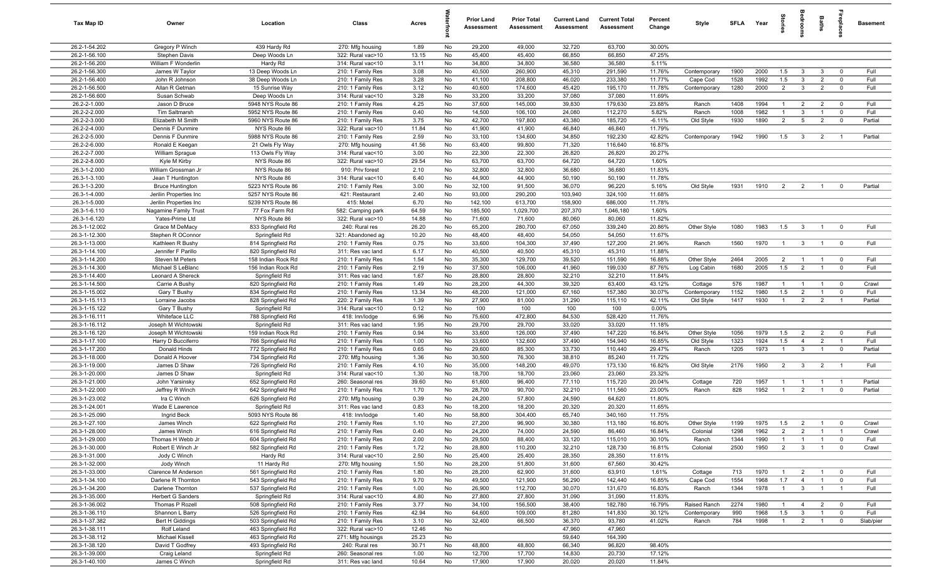| Tax Map ID                     | Owner                                 | Location                             | Class                                  | Acres         |          | <b>Prior Land</b><br>Assessment | <b>Prior Total</b><br>Assessment | <b>Current Land</b><br>Assessment | <b>Current Total</b><br>Assessment | Percent<br>Change | Style             | <b>SFLA</b>  | Year | tories                | <b>B</b>                | Baths          |                               | <b>Basement</b> |
|--------------------------------|---------------------------------------|--------------------------------------|----------------------------------------|---------------|----------|---------------------------------|----------------------------------|-----------------------------------|------------------------------------|-------------------|-------------------|--------------|------|-----------------------|-------------------------|----------------|-------------------------------|-----------------|
| 26.2-1-54.202                  | Gregory P Winch                       | 439 Hardy Rd                         | 270: Mfg housing                       | 1.89          | No       | 29,200                          | 49,000                           | 32,720                            | 63,700                             | 30.00%            |                   |              |      |                       |                         |                |                               |                 |
| 26.2-1-56.100                  | Stephen Davis                         | Deep Woods Ln                        | 322: Rural vac>10                      | 13.15         | No       | 45,400                          | 45,400                           | 66,850                            | 66,850                             | 47.25%            |                   |              |      |                       |                         |                |                               |                 |
| 26.2-1-56.200<br>26.2-1-56.300 | William F Wonderlin<br>James W Taylor | Hardy Rd<br>13 Deep Woods Ln         | 314: Rural vac<10<br>210: 1 Family Res | 3.11<br>3.08  | No<br>No | 34,800<br>40,500                | 34,800<br>260,900                | 36,580<br>45,310                  | 36,580<br>291,590                  | 5.11%<br>11.76%   | Contemporary      | 1900         | 2000 | 1.5                   | $\mathbf{3}$            | 3              | $\overline{0}$                | Full            |
| 26.2-1-56.400                  | John R Johnson                        | 38 Deep Woods Ln                     | 210: 1 Family Res                      | 3.28          | No       | 41,100                          | 208,800                          | 46,020                            | 233,380                            | 11.77%            | Cape Cod          | 1528         | 1992 | 1.5                   | $\mathbf{3}$            | $\overline{2}$ | $\mathbf 0$                   | Full            |
| 26.2-1-56.500                  | Allan R Getman                        | 15 Sunrise Way                       | 210: 1 Family Res                      | 3.12          | No       | 40,600                          | 174,600                          | 45,420                            | 195,170                            | 11.78%            | Contemporary      | 1280         | 2000 | $\overline{2}$        | $\mathbf{3}$            | $\overline{2}$ | $\mathbf 0$                   | Full            |
| 26.2-1-56.600                  | Susan Schwab                          | Deep Woods Ln                        | 314: Rural vac<10                      | 3.28          | No       | 33,200                          | 33,200                           | 37,080                            | 37,080                             | 11.69%            |                   |              |      |                       |                         |                |                               |                 |
| 26.2-2-1.000                   | Jason D Bruce                         | 5948 NYS Route 86                    | 210: 1 Family Res                      | 4.25          | No       | 37,600                          | 145,000                          | 39,830                            | 179,630                            | 23.88%            | Ranch             | 1408         | 1994 | $\overline{1}$        | $\overline{2}$          | $\overline{2}$ | $\overline{\mathbf{0}}$       | Full            |
| 26.2-2-2.000                   | Tim Saltmarsh                         | 5952 NYS Route 86                    | 210: 1 Family Res                      | 0.40          | No       | 14,500                          | 106,100                          | 24,080                            | 112,270                            | 5.82%             | Ranch             | 1008         | 1982 | $\overline{1}$        | $\mathbf{3}$            | $\overline{1}$ | $\overline{0}$                | Full            |
| 26.2-2-3.000                   | Elizabeth M Smith                     | 5960 NYS Route 86                    | 210: 1 Family Res                      | 3.75          | No       | 42,700                          | 197,800                          | 43,380                            | 185,720                            | $-6.11%$          | Old Style         | 1930         | 1890 | $\overline{2}$        | $5\overline{5}$         | $\overline{2}$ | $\mathbf 0$                   | Partial         |
| 26.2-2-4.000                   | Dennis F Dunmire                      | NYS Route 86                         | 322: Rural vac>10                      | 11.84         | No       | 41,900                          | 41,900                           | 46,840                            | 46,840                             | 11.79%            |                   |              |      |                       |                         |                |                               |                 |
| 26.2-2-5.000                   | Dennis F Dunmire                      | 5988 NYS Route 86                    | 210: 1 Family Res                      | 2.59          | No       | 33,100                          | 134,600                          | 34,850                            | 192,230                            | 42.82%            | Contemporary      | 1942         | 1990 | 1.5                   | $\overline{\mathbf{3}}$ | $\overline{2}$ | $\overline{1}$                | Partial         |
| 26.2-2-6.000<br>26.2-2-7.000   | Ronald E Keegan<br>William Sprague    | 21 Owls Fly Way<br>113 Owls Fly Way  | 270: Mfg housing<br>314: Rural vac<10  | 41.56<br>3.00 | No<br>No | 63,400<br>22,300                | 99,800<br>22,300                 | 71,320<br>26,820                  | 116,640<br>26,820                  | 16.87%<br>20.27%  |                   |              |      |                       |                         |                |                               |                 |
| 26.2-2-8.000                   | Kyle M Kirby                          | NYS Route 86                         | 322: Rural vac>10                      | 29.54         | No       | 63,700                          | 63,700                           | 64,720                            | 64,720                             | 1.60%             |                   |              |      |                       |                         |                |                               |                 |
| 26.3-1-2.000                   | William Grossman Jr                   | NYS Route 86                         | 910: Priv forest                       | 2.10          | No       | 32,800                          | 32,800                           | 36,680                            | 36,680                             | 11.83%            |                   |              |      |                       |                         |                |                               |                 |
| 26.3-1-3.100                   | Jean T Huntington                     | NYS Route 86                         | 314: Rural vac<10                      | 6.40          | No       | 44,900                          | 44,900                           | 50,190                            | 50,190                             | 11.78%            |                   |              |      |                       |                         |                |                               |                 |
| 26.3-1-3.200                   | <b>Bruce Huntington</b>               | 5223 NYS Route 86                    | 210: 1 Family Res                      | 3.00          | No       | 32,100                          | 91,500                           | 36,070                            | 96,220                             | 5.16%             | Old Style         | 1931         | 1910 | $\overline{2}$        | $\overline{2}$          | $\overline{1}$ | $\mathbf 0$                   | Partial         |
| 26.3-1-4.000                   | Jerilin Properties Inc                | 5257 NYS Route 86                    | 421: Restaurant                        | 2.40          | No       | 93,000                          | 290,200                          | 103,940                           | 324,100                            | 11.68%            |                   |              |      |                       |                         |                |                               |                 |
| 26.3-1-5.000                   | Jerilin Properties Inc                | 5239 NYS Route 86                    | 415: Motel                             | 6.70          | No       | 142,100                         | 613,700                          | 158,900                           | 686,000                            | 11.78%            |                   |              |      |                       |                         |                |                               |                 |
| 26.3-1-6.110                   | Nagamine Family Trust                 | 77 Fox Farm Rd                       | 582: Camping park                      | 64.59         | No       | 185,500                         | 1,029,700                        | 207,370                           | 1,046,180                          | 1.60%             |                   |              |      |                       |                         |                |                               |                 |
| 26.3-1-6.120                   | Yates-Prime Ltd                       | NYS Route 86                         | 322: Rural vac>10                      | 14.88         | No       | 71,600                          | 71,600                           | 80,060                            | 80,060                             | 11.82%            |                   |              |      |                       |                         |                |                               |                 |
| 26.3-1-12.002                  | Grace M DeMacy                        | 833 Springfield Rd                   | 240: Rural res                         | 26.20         | No       | 65,200                          | 280,700                          | 67,050                            | 339,240                            | 20.86%            | Other Style       | 1080         | 1983 | 1.5                   | $\overline{\mathbf{3}}$ | $\overline{1}$ | $\mathbf 0$                   | Full            |
| 26.3-1-12.300<br>26.3-1-13.000 | Stephen R OConnor<br>Kathleen R Bushy | Springfield Rd<br>814 Springfield Rd | 321: Abandoned ag<br>210: 1 Family Res | 10.20<br>0.75 | No<br>No | 48,400<br>33,600                | 48,400<br>104,300                | 54,050<br>37,490                  | 54,050<br>127,200                  | 11.67%<br>21.96%  | Ranch             | 1560         | 1970 | $\overline{1}$        | $\mathbf{3}$            | $\overline{1}$ | $\overline{0}$                | Full            |
| 26.3-1-14.100                  | Jennifer F Parillo                    | 820 Springfield Rd                   | 311: Res vac land                      | 6.17          | No       | 40,500                          | 40,500                           | 45,310                            | 45,310                             | 11.88%            |                   |              |      |                       |                         |                |                               |                 |
| 26.3-1-14.200                  | Steven M Peters                       | 158 Indian Rock Rd                   | 210: 1 Family Res                      | 1.54          | No       | 35,300                          | 129,700                          | 39,520                            | 151,590                            | 16.88%            | Other Style       | 2464         | 2005 | $\overline{2}$        | $\overline{1}$          | $\overline{1}$ | $\overline{0}$                | Full            |
| 26.3-1-14.300                  | Michael S LeBlanc                     | 156 Indian Rock Rd                   | 210: 1 Family Res                      | 2.19          | No       | 37,500                          | 106,000                          | 41,960                            | 199,030                            | 87.76%            | Log Cabin         | 1680         | 2005 | 1.5                   | $\overline{2}$          | $\overline{1}$ | $\mathbf 0$                   | Full            |
| 26.3-1-14.400                  | Leonard A Shereck                     | Springfield Rd                       | 311: Res vac land                      | 1.67          | No       | 28,800                          | 28,800                           | 32,210                            | 32,210                             | 11.84%            |                   |              |      |                       |                         |                |                               |                 |
| 26.3-1-14.500                  | Carrie A Bushy                        | 820 Springfield Rd                   | 210: 1 Family Res                      | 1.49          | No       | 28,200                          | 44,300                           | 39,320                            | 63,400                             | 43.12%            | Cottage           | 576          | 1987 | -1                    | - 1                     | $\overline{1}$ | $\mathbf 0$                   | Crawl           |
| 26.3-1-15.002                  | Gary T Bushy                          | 834 Springfield Rd                   | 210: 1 Family Res                      | 13.34         | No       | 48,200                          | 121,000                          | 67,160                            | 157,380                            | 30.07%            | Contemporary      | 1152         | 1980 | 1.5                   | $\overline{2}$          | $\mathbf{1}$   | $\mathbf 0$                   | Full            |
| 26.3-1-15.113                  | Lorraine Jacobs                       | 828 Springfield Rd                   | 220: 2 Family Res                      | 1.39          | No       | 27,900                          | 81,000                           | 31,290                            | 115,110                            | 42.11%            | Old Style         | 1417         | 1930 | $\overline{1}$        | $\overline{2}$          | $\overline{2}$ | $\overline{1}$                | Partial         |
| 26.3-1-15.122                  | Gary T Bushy                          | Springfield Rd                       | 314: Rural vac<10                      | 0.12          | No       | 100                             | 100                              | 100                               | 100                                | 0.00%             |                   |              |      |                       |                         |                |                               |                 |
| 26.3-1-16.111<br>26.3-1-16.112 | Whiteface LLC<br>Joseph M Wichtowski  | 788 Springfield Rd<br>Springfield Rd | 418: Inn/lodge<br>311: Res vac land    | 6.96<br>1.95  | No<br>No | 75,600<br>29,700                | 472,800<br>29,700                | 84,530<br>33,020                  | 528,420<br>33,020                  | 11.76%<br>11.18%  |                   |              |      |                       |                         |                |                               |                 |
| 26.3-1-16.120                  | Joseph M Wichtowski                   | 159 Indian Rock Rd                   | 210: 1 Family Res                      | 0.94          | No       | 33,600                          | 126,000                          | 37,490                            | 147,220                            | 16.84%            | Other Style       | 1056         | 1979 | 1.5                   | $\overline{2}$          | $\overline{2}$ | $\mathbf 0$                   | Full            |
| 26.3-1-17.100                  | Harry D Bucciferro                    | 766 Springfield Rd                   | 210: 1 Family Res                      | 1.00          | No       | 33,600                          | 132,600                          | 37,490                            | 154,940                            | 16.85%            | Old Style         | 1323         | 1924 | 1.5                   | $\overline{4}$          | $\overline{2}$ | $\overline{1}$                | Full            |
| 26.3-1-17.200                  | Donald Hinds                          | 772 Springfield Rd                   | 210: 1 Family Res                      | 0.65          | No       | 29,600                          | 85,300                           | 33,730                            | 110,440                            | 29.47%            | Ranch             | 1205         | 1973 | $\overline{1}$        | $\overline{3}$          | $\overline{1}$ | $\overline{0}$                | Partial         |
| 26.3-1-18.000                  | Donald A Hoover                       | 734 Springfield Rd                   | 270: Mfg housing                       | 1.36          | No       | 30,500                          | 76,300                           | 38,810                            | 85,240                             | 11.72%            |                   |              |      |                       |                         |                |                               |                 |
| 26.3-1-19.000                  | James D Shaw                          | 726 Springfield Rd                   | 210: 1 Family Res                      | 4.10          | No       | 35,000                          | 148,200                          | 49,070                            | 173,130                            | 16.82%            | Old Style         | 2176         | 1950 | $\overline{2}$        | $\overline{\mathbf{3}}$ | $\overline{2}$ | $\overline{1}$                | Full            |
| 26.3-1-20.000                  | James D Shaw                          | Springfield Rd                       | 314: Rural vac<10                      | 1.30          | No       | 18,700                          | 18,700                           | 23,060                            | 23,060                             | 23.32%            |                   |              |      |                       |                         |                |                               |                 |
| 26.3-1-21.000                  | John Yarsinsky                        | 652 Springfield Rd                   | 260: Seasonal res                      | 39.60         | No       | 61,600                          | 96,400                           | 77,110                            | 115,720                            | 20.04%            | Cottage           | 720          | 1957 | $\overline{1}$        | $\overline{1}$          | $\overline{1}$ | $\overline{1}$                | Partial         |
| 26.3-1-22.000                  | Jeffrey R Winch                       | 642 Springfield Rd                   | 210: 1 Family Res                      | 1.70          | No       | 28,700                          | 90,700                           | 32,210                            | 111,560                            | 23.00%            | Ranch             | 828          | 1952 | $\overline{1}$        | $\overline{2}$          | $\overline{1}$ | $\mathbf 0$                   | Partial         |
| 26.3-1-23.002<br>26.3-1-24.001 | Ira C Winch<br>Wade E Lawrence        | 626 Springfield Rd<br>Springfield Rd | 270: Mfg housing<br>311: Res vac land  | 0.39<br>0.83  | No<br>No | 24,200<br>18,200                | 57,800<br>18,200                 | 24,590<br>20,320                  | 64,620<br>20,320                   | 11.80%<br>11.65%  |                   |              |      |                       |                         |                |                               |                 |
| 26.3-1-25.090                  | Ingrid Beck                           | 5093 NYS Route 86                    | 418: Inn/lodge                         | 1.40          | No       | 58,800                          | 304,400                          | 65,740                            | 340,160                            | 11.75%            |                   |              |      |                       |                         |                |                               |                 |
| 26.3-1-27.100                  | James Winch                           | 622 Springfield Rd                   | 210: 1 Family Res                      | 1.10          | No       | 27,200                          | 96,900                           | 30,380                            | 113,180                            | 16.80%            | Other Style       | 1199         | 1975 | 1.5                   | $\overline{2}$          |                |                               | Crawl           |
| 26.3-1-28.000                  | James Winch                           | 616 Springfield Rd                   | 210: 1 Family Res                      | 0.40          | No       | 24,200                          | 74,000                           | 24,590                            | 86,460                             | 16.84%            | Colonial          | 1298         | 1962 | $\overline{2}$        | $\overline{2}$          | $\overline{1}$ | $\overline{1}$                | Crawl           |
| 26.3-1-29.000                  | Thomas H Webb Jr                      | 604 Springfield Rd                   | 210: 1 Family Res                      | 2.00          | No       | 29,500                          | 88,400                           | 33,120                            | 115,010                            | 30.10%            | Ranch             | 1344         | 1990 | $\overline{1}$        | $\overline{1}$          | $\overline{1}$ | $\mathbf 0$                   | Full            |
| 26.3-1-30.000                  | Robert E Winch Jr                     | 582 Springfield Rd                   | 210: 1 Family Res                      | 1.72          | No       | 28,800                          | 110,200                          | 32,210                            | 128,730                            | 16.81%            | Colonial          | 2500         | 1950 | $\overline{2}$        | $\overline{3}$          | $\overline{1}$ | $\mathbf 0$                   | Crawl           |
| 26.3-1-31.000                  | Jody C Winch                          | Hardy Rd                             | 314: Rural vac<10                      | 2.50          | No       | 25,400                          | 25,400                           | 28,350                            | 28,350                             | 11.61%            |                   |              |      |                       |                         |                |                               |                 |
| 26.3-1-32.000                  | Jody Winch                            | 11 Hardy Rd                          | 270: Mfg housing                       | 1.50          | No       | 28,200                          | 51,800                           | 31,600                            | 67,560                             | 30.42%            |                   |              |      |                       |                         |                |                               |                 |
| 26.3-1-33.000                  | Clarence M Anderson                   | 561 Springfield Rd                   | 210: 1 Family Res                      | 1.80          | No       | 28,200                          | 62,900                           | 31,600                            | 63,910                             | 1.61%             | Cottage           | 713          | 1970 | $\overline{1}$        | $\overline{2}$          | $\overline{1}$ | $\mathbf 0$                   | Full            |
| 26.3-1-34.100                  | Darlene R Thornton                    | 543 Springfield Rd                   | 210: 1 Family Res                      | 9.70          | No       | 49,500                          | 121,900                          | 56,290                            | 142,440                            | 16.85%            | Cape Cod<br>Ranch | 1554<br>1344 | 1968 | 1.7<br>$\overline{1}$ | $\overline{4}$          | $\overline{1}$ | $\mathbf 0$<br>$\overline{1}$ | Full<br>Full    |
| 26.3-1-34.200<br>26.3-1-35.000 | Darlene Thornton<br>Herbert G Sanders | 537 Springfield Rd<br>Springfield Rd | 210: 1 Family Res<br>314: Rural vac<10 | 1.00<br>4.80  | No<br>No | 26,900<br>27,800                | 112,700<br>27,800                | 30,070<br>31,090                  | 131,670<br>31,090                  | 16.83%<br>11.83%  |                   |              | 1978 |                       | $\mathbf{3}$            | $\overline{1}$ |                               |                 |
| 26.3-1-36.002                  | Thomas P Rozell                       | 508 Springfield Rd                   | 210: 1 Family Res                      | 3.77          | No       | 34,100                          | 156,500                          | 38,400                            | 182,780                            | 16.79%            | Raised Ranch      | 2274         | 1980 | $\overline{1}$        | $\overline{4}$          | $\overline{2}$ | $\overline{\mathbf{0}}$       | Full            |
| 26.3-1-36.110                  | Shannon L Barry                       | 526 Springfield Rd                   | 210: 1 Family Res                      | 42.94         | No       | 64,600                          | 109,000                          | 81,280                            | 141,830                            | 30.12%            | Contemporary      | 990          | 1968 | 1.5                   | $\overline{3}$          | $\overline{1}$ | $\mathbf 0$                   | Full            |
| 26.3-1-37.382                  | <b>Bert H Giddings</b>                | 503 Springfield Rd                   | 210: 1 Family Res                      | 3.10          | No       | 32,400                          | 66,500                           | 36,370                            | 93,780                             | 41.02%            | Ranch             | 784          | 1998 | $\overline{1}$        | $\overline{2}$          | $\overline{1}$ | $\overline{0}$                | Slab/pier       |
| 26.3-1-38.111                  | Rolf Leland                           | 463 Springfield Rd                   | 322: Rural vac>10                      | 12.46         | No       |                                 |                                  | 47,960                            | 47,960                             |                   |                   |              |      |                       |                         |                |                               |                 |
| 26.3-1-38.112                  | Michael Kissell                       | 463 Springfield Rd                   | 271: Mfg housings                      | 25.23         | No       |                                 |                                  | 59,640                            | 164,390                            |                   |                   |              |      |                       |                         |                |                               |                 |
| 26.3-1-38.120                  | David T Godfrey                       | 493 Springfield Rd                   | 240: Rural res                         | 30.71         | No       | 48,800                          | 48,800                           | 66,340                            | 96,820                             | 98.40%            |                   |              |      |                       |                         |                |                               |                 |
| 26.3-1-39.000                  | Craig Leland                          | Springfield Rd                       | 260: Seasonal res                      | 1.00          | No       | 12,700                          | 17,700                           | 14,830                            | 20,730                             | 17.12%            |                   |              |      |                       |                         |                |                               |                 |
| 26.3-1-40.100                  | James C Winch                         | Springfield Rd                       | 311: Res vac land                      | 10.64         | No       | 17,900                          | 17,900                           | 20,020                            | 20,020                             | 11.84%            |                   |              |      |                       |                         |                |                               |                 |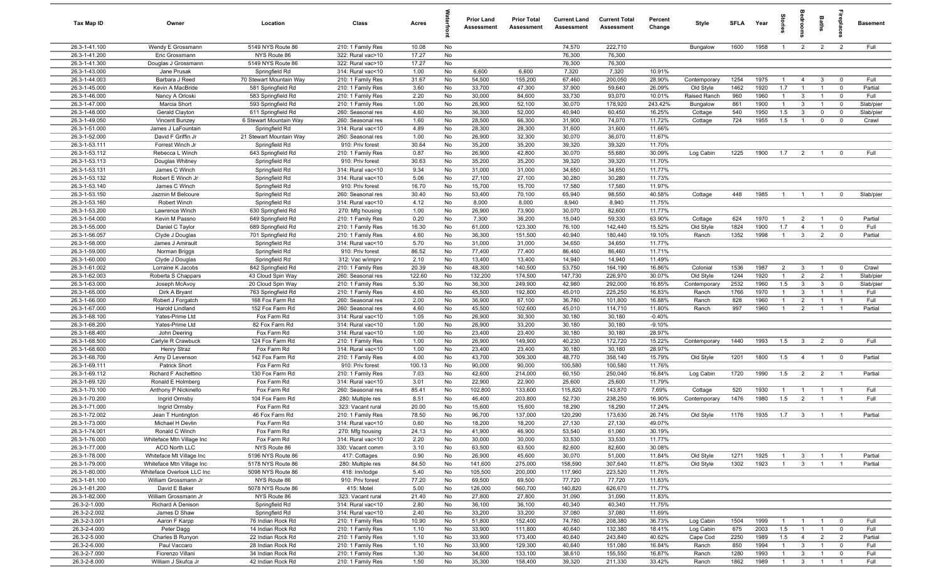| Tax Map ID                           | Owner                                              | Location                                  | Class                                  | Acres         |          | <b>Prior Land</b><br>Assessment | <b>Prior Total</b><br>Assessment | <b>Current Land</b><br>Assessment | <b>Current Total</b><br>Assessment | Percent<br>Change    | Style                     | <b>SFI A</b> | Year         | Stori                          | drooi                        | Baths                          | <u>ep</u> la                  | Basement     |
|--------------------------------------|----------------------------------------------------|-------------------------------------------|----------------------------------------|---------------|----------|---------------------------------|----------------------------------|-----------------------------------|------------------------------------|----------------------|---------------------------|--------------|--------------|--------------------------------|------------------------------|--------------------------------|-------------------------------|--------------|
| 26.3-1-41.100                        | Wendy E Grossmann                                  | 5149 NYS Route 86                         | 210: 1 Family Res                      | 10.08         | No       |                                 |                                  | 74,570                            | 222,710                            |                      | Bungalow                  | 1600         | 1958         | $\overline{1}$                 | 2                            | $\overline{2}$                 | 2                             | Full         |
| 26.3-1-41.200                        | Eric Grossmann                                     | NYS Route 86                              | 322: Rural vac>10                      | 17.27         | No       |                                 |                                  | 76,300                            | 76,300                             |                      |                           |              |              |                                |                              |                                |                               |              |
| 26.3-1-41.300                        | Douglas J Grossmann                                | 5149 NYS Route 86                         | 322: Rural vac>10                      | 17.27         | No       |                                 |                                  | 76,300                            | 76,300                             |                      |                           |              |              |                                |                              |                                |                               |              |
| 26.3-1-43.000<br>26.3-1-44.003       | Jane Prusak                                        | Springfield Rd<br>70 Stewart Mountain Way | 314: Rural vac<10                      | 1.00<br>31.67 | No       | 6,600<br>54,500                 | 6,600<br>155,200                 | 7,320<br>67,460                   | 7,320<br>200,050                   | 10.91%<br>28.90%     |                           | 1254         | 1975         | -1                             | $\overline{4}$               |                                | $^{\circ}$                    | Full         |
| 26.3-1-45.000                        | Barbara J Reed<br>Kevin A MacBride                 | 581 Springfield Rd                        | 210: 1 Family Res<br>210: 1 Family Res | 3.60          | No<br>No | 33,700                          | 47,300                           | 37,900                            | 59,640                             | 26.09%               | Contemporary<br>Old Style | 1462         | 1920         | 1.7                            | $\overline{1}$               | 3                              | $\mathbf 0$                   | Partial      |
| 26.3-1-46.000                        | Nancy A Orloski                                    | 583 Springfield Rd                        | 210: 1 Family Res                      | 2.20          | No       | 30,000                          | 84,600                           | 33,730                            | 93,070                             | 10.01%               | Raised Ranch              | 960          | 1960         | $\mathbf{1}$                   | $\mathbf{3}$                 | $\overline{1}$                 | $\mathbf 0$                   | Full         |
| 26.3-1-47.000                        | Marcia Short                                       | 593 Springfield Rd                        | 210: 1 Family Res                      | 1.00          | No       | 26,900                          | 52,100                           | 30,070                            | 178,920                            | 243.42%              | Bungalow                  | 861          | 1900         | $\mathbf{1}$                   | $\mathbf{3}$                 | $\overline{1}$                 | $\mathbf 0$                   | Slab/pier    |
| 26.3-1-48.000                        | Gerald Clayton                                     | 611 Springfield Rd                        | 260: Seasonal res                      | 4.60          | No       | 36,300                          | 52,000                           | 40,940                            | 60,450                             | 16.25%               | Cottage                   | 540          | 1950         | 1.5                            | $\mathbf{3}$                 | $\mathbf 0$                    | $\mathbf 0$                   | Slab/pier    |
| 26.3-1-49.050                        | Vincent Bunzey                                     | 6 Stewart Mountain Way                    | 260: Seasonal res                      | 1.60          | No       | 28,500                          | 66,300                           | 31,900                            | 74,070                             | 11.72%               | Cottage                   | 724          | 1955         | 1.5                            | $\overline{1}$               | $\mathbf 0$                    | $\mathbf 0$                   | Crawl        |
| 26.3-1-51.000                        | James J LaFountain                                 | Springfield Rd                            | 314: Rural vac<10                      | 4.89          | No       | 28,300                          | 28,300                           | 31,600                            | 31,600                             | 11.66%               |                           |              |              |                                |                              |                                |                               |              |
| 26.3-1-52.000                        | David F Griffin Jr                                 | 21 Stewart Mountain Way                   | 260: Seasonal res                      | 1.00          | No       | 26,900                          | 32,300                           | 30,070                            | 36,070                             | 11.67%               |                           |              |              |                                |                              |                                |                               |              |
| 26.3-1-53.111                        | Forrest Winch Jr                                   | Springfield Rd                            | 910: Priv forest                       | 30.64         | No       | 35,200                          | 35,200                           | 39,320                            | 39,320                             | 11.70%               |                           |              |              |                                |                              |                                |                               |              |
| 26.3-1-53.112<br>26.3-1-53.113       | Rebecca L Winch                                    | 643 Springfield Rd                        | 210: 1 Family Res                      | 0.87          | No       | 26,900                          | 42,800                           | 30,070                            | 55,680                             | 30.09%               | Log Cabin                 | 1225         | 1900         | 1.7                            | $\overline{2}$               | $\overline{1}$                 | $^{\circ}$                    | Full         |
| 26.3-1-53.131                        | Douglas Whitney<br>James C Winch                   | Springfield Rd<br>Springfield Rd          | 910: Priv forest<br>314: Rural vac<10  | 30.63<br>9.34 | No<br>No | 35,200<br>31,000                | 35,200<br>31,000                 | 39,320<br>34,650                  | 39,320<br>34,650                   | 11.70%<br>11.77%     |                           |              |              |                                |                              |                                |                               |              |
| 26.3-1-53.132                        | Robert E Winch Jr                                  | Springfield Rd                            | 314: Rural vac<10                      | 5.06          | No       | 27,100                          | 27,100                           | 30,280                            | 30,280                             | 11.73%               |                           |              |              |                                |                              |                                |                               |              |
| 26.3-1-53.140                        | James C Winch                                      | Springfield Rd                            | 910: Priv forest                       | 16.70         | No       | 15,700                          | 15,700                           | 17,580                            | 17,580                             | 11.97%               |                           |              |              |                                |                              |                                |                               |              |
| 26.3-1-53.150                        | Jazmin M Belcoure                                  | Springfield Rd                            | 260: Seasonal res                      | 30.40         | No       | 53,400                          | 70,100                           | 65,940                            | 98,550                             | 40.58%               | Cottage                   | 448          | 1985         | $\overline{1}$                 | $\overline{1}$               |                                | $^{\circ}$                    | Slab/pier    |
| 26.3-1-53.160                        | Robert Winch                                       | Springfield Rd                            | 314: Rural vac<10                      | 4.12          | No       | 8,000                           | 8,000                            | 8,940                             | 8,940                              | 11.75%               |                           |              |              |                                |                              |                                |                               |              |
| 26.3-1-53.200                        | Lawrence Winch                                     | 630 Springfield Rd                        | 270: Mfg housing                       | 1.00          | No       | 26,900                          | 73,900                           | 30,070                            | 82,600                             | 11.77%               |                           |              |              |                                |                              |                                |                               |              |
| 26.3-1-54.000                        | Kevin M Passno                                     | 649 Springfield Rd                        | 210: 1 Family Res                      | 0.20          | No       | 7,300                           | 36,200                           | 15,040                            | 59,330                             | 63.90%               | Cottage                   | 624          | 1970         | $\overline{1}$                 | $\overline{2}$               | $\overline{1}$                 | $^{\circ}$                    | Partial      |
| 26.3-1-55.000                        | Daniel C Taylor                                    | 689 Springfield Rd                        | 210: 1 Family Res                      | 16.30         | No       | 61,000                          | 123,300                          | 76,100                            | 142,440                            | 15.52%               | Old Style                 | 1824         | 1900         | 1.7                            | $\overline{4}$               | $\overline{1}$                 | $\mathbf 0$                   | Full         |
| 26.3-1-56.057<br>26.3-1-58.000       | Clyde J Douglas                                    | 701 Springfield Rd                        | 210: 1 Family Res                      | 4.60          | No       | 36,300<br>31,000                | 151,500                          | 40,940<br>34,650                  | 180,440                            | 19.10%<br>11.77%     | Ranch                     | 1352         | 1998         | $\overline{1}$                 | $\mathbf{3}$                 | $\overline{2}$                 | $^{\circ}$                    | Partial      |
| 26.3-1-59.000                        | James J Amirault<br>Norman Briggs                  | Springfield Rd<br>Springfield Rd          | 314: Rural vac<10<br>910: Priv forest  | 5.70<br>86.52 | No<br>No | 77,400                          | 31,000<br>77,400                 | 86,460                            | 34,650<br>86,460                   | 11.71%               |                           |              |              |                                |                              |                                |                               |              |
| 26.3-1-60.000                        | Clyde J Douglas                                    | Springfield Rd                            | 312: Vac w/imprv                       | 2.10          | No       | 13,400                          | 13,400                           | 14,940                            | 14,940                             | 11.49%               |                           |              |              |                                |                              |                                |                               |              |
| 26.3-1-61.002                        | Lorraine K Jacobs                                  | 842 Springfield Rd                        | 210: 1 Family Res                      | 20.39         | No       | 48,300                          | 140,500                          | 53,750                            | 164,190                            | 16.86%               | Colonial                  | 1536         | 1987         | $\overline{2}$                 | $\mathbf{3}$                 |                                | $\mathbf 0$                   | Crawl        |
| 26.3-1-62.003                        | Roberta S Chappars                                 | 43 Cloud Spin Way                         | 260: Seasonal res                      | 122.60        | No       | 132,200                         | 174,500                          | 147,730                           | 226,970                            | 30.07%               | Old Style                 | 1244         | 1920         | $\mathbf{1}$                   | $\overline{2}$               | $\overline{2}$                 | - 1                           | Slab/pier    |
| 26.3-1-63.000                        | Joseph McAvoy                                      | 20 Cloud Spin Way                         | 210: 1 Family Res                      | 5.30          | No       | 36,300                          | 249,900                          | 42,980                            | 292,000                            | 16.85%               | Contemporary              | 2532         | 1960         | 1.5                            | $\mathbf{3}$                 | 3                              | $^{\circ}$                    | Slab/pier    |
| 26.3-1-65.000                        | Dirk A Bryant                                      | 763 Springfield Rd                        | 210: 1 Family Res                      | 4.60          | No       | 45,500                          | 192,800                          | 45,010                            | 225,250                            | 16.83%               | Ranch                     | 1766         | 1970         | $\mathbf{1}$                   | $\mathbf{3}$                 | $\overline{1}$                 |                               | Full         |
| 26.3-1-66.000                        | Robert J Forgatch                                  | 168 Fox Farm Rd                           | 260: Seasonal res                      | 2.00          | No       | 36,900                          | 87,100                           | 36,780                            | 101,800                            | 16.88%               | Ranch                     | 828          | 1960         | $\overline{1}$                 | $\overline{2}$               |                                | $\overline{1}$                | Full         |
| 26.3-1-67.000                        | Harold Lindland                                    | 152 Fox Farm Rd                           | 260: Seasonal res                      | 4.60          | No       | 45,500                          | 102,600                          | 45,010                            | 114,710                            | 11.80%               | Ranch                     | 997          | 1960         | $\overline{1}$                 | $\overline{2}$               | $\overline{1}$                 | $\overline{1}$                | Partial      |
| 26.3-1-68.100<br>26.3-1-68.200       | Yates-Prime Ltd<br>Yates-Prime Ltd                 | Fox Farm Rd<br>82 Fox Farm Rd             | 314: Rural vac<10<br>314: Rural vac<10 | 1.05<br>1.00  | No<br>No | 26,900<br>26,900                | 30,300<br>33,200                 | 30,180<br>30,180                  | 30,180<br>30,180                   | $-0.40%$<br>$-9.10%$ |                           |              |              |                                |                              |                                |                               |              |
| 26.3-1-68.400                        | John Deering                                       | Fox Farm Rd                               | 314: Rural vac<10                      | 1.00          | No       | 23,400                          | 23,400                           | 30,180                            | 30,180                             | 28.97%               |                           |              |              |                                |                              |                                |                               |              |
| 26.3-1-68.500                        | Carlyle R Crawbuck                                 | 124 Fox Farm Rd                           | 210: 1 Family Res                      | 1.00          | No       | 26,900                          | 149,900                          | 40,230                            | 172,720                            | 15.22%               | Contemporary              | 1440         | 1993         | 1.5                            | $\mathbf{3}$                 | $\overline{2}$                 | $^{\circ}$                    | Full         |
| 26.3-1-68.600                        | Henry Straz                                        | Fox Farm Rd                               | 314: Rural vac<10                      | 1.00          | No       | 23,400                          | 23,400                           | 30,180                            | 30,180                             | 28.97%               |                           |              |              |                                |                              |                                |                               |              |
| 26.3-1-68.700                        | Amy D Levenson                                     | 142 Fox Farm Rd                           | 210: 1 Family Res                      | 4.00          | No       | 43,700                          | 309,300                          | 48,770                            | 358,140                            | 15.79%               | Old Style                 | 1201         | 1800         | 1.5                            | $\overline{4}$               | $\overline{1}$                 | $\mathbf 0$                   | Partial      |
| 26.3-1-69.111                        | Patrick Short                                      | Fox Farm Rd                               | 910: Priv forest                       | 100.13        | No       | 90,000                          | 90,000                           | 100,580                           | 100,580                            | 11.76%               |                           |              |              |                                |                              |                                |                               |              |
| 26.3-1-69.112                        | Richard F Aschettino                               | 130 Fox Farm Rd                           | 210: 1 Family Res                      | 7.03          | No       | 42,600                          | 214,000                          | 60,150                            | 250,040                            | 16.84%               | Log Cabin                 | 1720         | 1990         | 1.5                            | $\overline{2}$               | $\overline{2}$                 | - 1                           | Partial      |
| 26.3-1-69.120                        | Ronald E Holmberg                                  | Fox Farm Rd                               | 314: Rural vac<10                      | 3.01          | No       | 22,900                          | 22,900                           | 25,600                            | 25,600                             | 11.79%               |                           |              |              |                                |                              |                                |                               |              |
| 26.3-1-70.100                        | Anthony P Nickinello                               | Fox Farm Rd                               | 260: Seasonal res                      | 85.41         | No       | 102,800                         | 133,600                          | 115,820                           | 143,870                            | 7.69%                | Cottage                   | 520          | 1930         | $\mathbf{1}$                   | -1                           |                                | - 1                           | Full         |
| 26.3-1-70.200<br>26.3-1-71.000       | Ingrid Ormsby<br>Ingrid Ormsby                     | 104 Fox Farm Rd<br>Fox Farm Rd            | 280: Multiple res<br>323: Vacant rural | 8.51<br>20.00 | No<br>No | 46,400<br>15,600                | 203,800<br>15,600                | 52,730<br>18,290                  | 238,250<br>18,290                  | 16.90%<br>17.24%     | Contemporary              | 1476         | 1980         | 1.5                            | $\overline{2}$               |                                | $\overline{1}$                | Full         |
| 26.3-1-72.002                        | Jean T Huntington                                  | 46 Fox Farm Rd                            | 210: 1 Family Res                      | 78.50         | No       | 96,700                          | 137,000                          | 120,290                           | 173,630                            | 26.74%               | Old Style                 | 1176         | 1935         | 1.7                            | $\mathbf{3}$                 | $\overline{1}$                 | $\overline{1}$                | Partial      |
| 26.3-1-73.000                        | Michael H Devlin                                   | Fox Farm Rd                               | 314: Rural vac<10                      | 0.60          | No       | 18,200                          | 18,200                           | 27,130                            | 27,130                             | 49.07%               |                           |              |              |                                |                              |                                |                               |              |
| 26.3-1-74.001                        | Ronald C Winch                                     | Fox Farm Rd                               | 270: Mfg housing                       | 24.13         | No       | 41,900                          | 46,900                           | 53,540                            | 61,060                             | 30.19%               |                           |              |              |                                |                              |                                |                               |              |
| 26.3-1-76.000                        | Whiteface Mtn Village Inc                          | Fox Farm Rd                               | 314: Rural vac<10                      | 2.20          | No       | 30,000                          | 30,000                           | 33,530                            | 33,530                             | 11.77%               |                           |              |              |                                |                              |                                |                               |              |
| 26.3-1-77.000                        | ACO North LLC                                      | NYS Route 86                              | 330: Vacant comm                       | 3.10          | No       | 63,500                          | 63,500                           | 82,600                            | 82,600                             | 30.08%               |                           |              |              |                                |                              |                                |                               |              |
| 26.3-1-78.000                        | Whiteface Mt Village Inc                           | 5196 NYS Route 86                         | 417: Cottages                          | 0.90          | No       | 26,900                          | 45,600                           | 30,070                            | 51,000                             | 11.84%               | Old Style                 | 1271         | 1925         | $\mathbf{1}$                   | $\mathbf{3}$                 | $\overline{1}$                 | $\overline{1}$                | Partial      |
| 26.3-1-79.000                        | Whiteface Mtn Village Inc                          | 5178 NYS Route 86                         | 280: Multiple res                      | 84.50         | No       | 141,600                         | 275,000                          | 158,590                           | 307,640                            | 11.87%               | Old Style                 | 1302         | 1923         | $\overline{1}$                 | $\mathbf{3}$                 | $\mathbf{1}$                   | $\overline{1}$                | Partial      |
| $26.3 - 1 - 80.000$<br>26.3-1-81.100 | Whiteface Overlook LLC Inc<br>William Grossmann Jr | 5098 NYS Route 86<br>NYS Route 86         | 418: Inn/lodge<br>910: Priv forest     | 5.40<br>77.20 | No<br>No | 105,500<br>69,500               | 200,000<br>69,500                | 117,960<br>77,720                 | 223,520<br>77,720                  | 11.76%<br>11.83%     |                           |              |              |                                |                              |                                |                               |              |
| 26.3-1-81.200                        | David E Baker                                      | 5078 NYS Route 86                         | 415: Motel                             | 5.00          | No       | 126,000                         | 560,700                          | 140,820                           | 626,670                            | 11.77%               |                           |              |              |                                |                              |                                |                               |              |
| 26.3-1-82.000                        | William Grossmann Jr                               | NYS Route 86                              | 323: Vacant rural                      | 21.40         | No       | 27,800                          | 27,800                           | 31,090                            | 31,090                             | 11.83%               |                           |              |              |                                |                              |                                |                               |              |
| 26.3-2-1.000                         | Richard A Denison                                  | Springfield Rd                            | 314: Rural vac<10                      | 2.80          | No       | 36,100                          | 36,100                           | 40,340                            | 40,340                             | 11.75%               |                           |              |              |                                |                              |                                |                               |              |
| 26.3-2-2.002                         | James D Shaw                                       | Springfield Rd                            | 314: Rural vac<10                      | 2.40          | No       | 33,200                          | 33,200                           | 37,080                            | 37,080                             | 11.69%               |                           |              |              |                                |                              |                                |                               |              |
| 26.3-2-3.001                         | Aaron F Karpp                                      | 76 Indian Rock Rd                         | 210: 1 Family Res                      | 10.90         | No       | 51,800                          | 152,400                          | 74,780                            | 208,380                            | 36.73%               | Log Cabin                 | 1504         | 1999         | $\overline{1}$                 | $\overline{1}$               | $\overline{1}$                 | $^{\circ}$                    | Full         |
| 26.3-2-4.000                         | Peter Dagg                                         | 14 Indian Rock Rd                         | 210: 1 Family Res                      | 1.10          | No       | 33,900                          | 111,800                          | 40,640                            | 132,380                            | 18.41%               | Log Cabin                 | 675          | 2003         | 1.5                            | $\overline{1}$               | $\overline{1}$                 | $\overline{0}$                | Full         |
| 26.3-2-5.000                         | Charles B Runyon                                   | 22 Indian Rock Rd                         | 210: 1 Family Res                      | 1.10          | No       | 33,900                          | 173,400                          | 40,640                            | 243,840                            | 40.62%               | Cape Cod                  | 2250         | 1989         | 1.5                            | $\overline{4}$               | $\overline{2}$                 | $\overline{2}$                | Partial      |
| 26.3-2-6.000                         | Paul Vaccaro                                       | 28 Indian Rock Rd                         | 210: 1 Family Res                      | 1.10          | No       | 33,900                          | 129,300                          | 40,640                            | 151,080                            | 16.84%               | Ranch                     | 850          | 1994         | $\mathbf{1}$                   | $\mathbf{3}$                 | $\mathbf{1}$                   | $\overline{0}$                | Full         |
| 26.3-2-7.000<br>26.3-2-8.000         | Fiorenzo Villani<br>William J Skufca Jr            | 34 Indian Rock Rd<br>42 Indian Rock Rd    | 210: 1 Family Res<br>210: 1 Family Res | 1.30<br>1.50  | No<br>No | 34,600<br>35,300                | 133,100<br>158,400               | 38,610<br>39,320                  | 155,550<br>211,330                 | 16.87%<br>33.42%     | Ranch<br>Ranch            | 1280<br>1862 | 1993<br>1989 | $\mathbf{1}$<br>$\overline{1}$ | $\mathbf{3}$<br>$\mathbf{3}$ | $\mathbf{1}$<br>$\overline{1}$ | $\mathbf 0$<br>$\overline{1}$ | Full<br>Full |
|                                      |                                                    |                                           |                                        |               |          |                                 |                                  |                                   |                                    |                      |                           |              |              |                                |                              |                                |                               |              |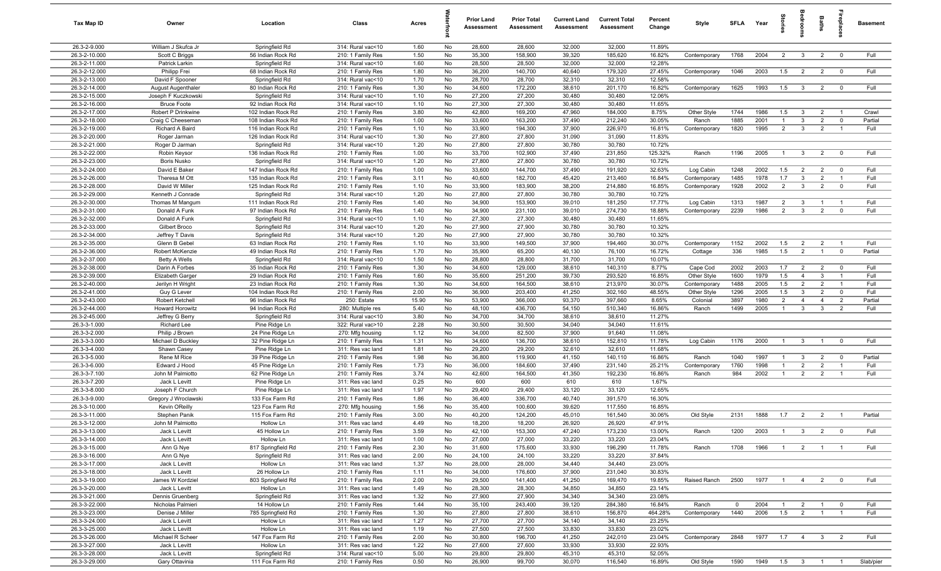| Tax Map ID                     | Owner                                     | Location                             | Class                                  | Acres        |          | <b>Prior Land</b><br>Assessment | <b>Prior Total</b><br>Assessment | <b>Current Land</b><br>Assessment | <b>Current Total</b><br>Assessment | Percent<br>Change | Style        | <b>SFLA</b> | Year               | tories         | edroo          | Baths          | ireplac                 | <b>Basement</b> |
|--------------------------------|-------------------------------------------|--------------------------------------|----------------------------------------|--------------|----------|---------------------------------|----------------------------------|-----------------------------------|------------------------------------|-------------------|--------------|-------------|--------------------|----------------|----------------|----------------|-------------------------|-----------------|
| 26.3-2-9.000                   | William J Skufca Jr                       | Springfield Rd                       | 314: Rural vac<10                      | 1.60         | No       | 28,600                          | 28,600                           | 32,000                            | 32,000                             | 11.89%            |              |             |                    |                |                |                |                         |                 |
| 26.3-2-10.000                  | Scott C Briggs                            | 56 Indian Rock Rd                    | 210: 1 Family Res                      | 1.50         | No       | 35,300                          | 158,900                          | 39,320                            | 185,620                            | 16.82%            | Contemporary | 1768        | 2004               | 2              | $\mathbf{3}$   | $\overline{2}$ | $\mathbf{0}$            | Full            |
| 26.3-2-11.000                  | Patrick Larkin                            | Springfield Rd                       | 314: Rural vac<10                      | 1.60         | No       | 28,500                          | 28,500                           | 32,000                            | 32,000                             | 12.28%            |              |             |                    |                |                |                |                         |                 |
| 26.3-2-12.000                  | Philipp Frei                              | 68 Indian Rock Rd                    | 210: 1 Family Res                      | 1.80         | No       | 36,200                          | 140,700                          | 40,640                            | 179,320                            | 27.45%            | Contemporary | 1046        | 2003               | 1.5            | $\overline{2}$ | $\overline{2}$ | $\mathbf 0$             | Full            |
| 26.3-2-13.000                  | David F Spooner                           | Springfield Rd                       | 314: Rural vac<10                      | 1.70         | No       | 28,700                          | 28,700                           | 32,310                            | 32,310                             | 12.58%            |              |             |                    |                |                |                |                         |                 |
| 26.3-2-14.000                  | <b>August Augenthaler</b>                 | 80 Indian Rock Rd                    | 210: 1 Family Res                      | 1.30         | No       | 34,600                          | 172,200                          | 38,610                            | 201,170                            | 16.82%            | Contemporary | 1625        | 1993               | 1.5            | 3              | $\overline{2}$ | $\mathbf 0$             | Full            |
| 26.3-2-15.000<br>26.3-2-16.000 | Joseph F Kuczkowski<br><b>Bruce Foote</b> | Springfield Rd<br>92 Indian Rock Rd  | 314: Rural vac<10<br>314: Rural vac<10 | 1.10<br>1.10 | No<br>No | 27,200<br>27,300                | 27,200<br>27,300                 | 30,480<br>30,480                  | 30,480<br>30,480                   | 12.06%<br>11.65%  |              |             |                    |                |                |                |                         |                 |
| 26.3-2-17.000                  | Robert P Drinkwine                        | 102 Indian Rock Rd                   | 210: 1 Family Res                      | 3.80         | No       | 42,800                          | 169,200                          | 47,960                            | 184,000                            | 8.75%             | Other Style  | 1744        | 1986               | 1.5            | $\mathbf{3}$   | $\overline{2}$ | $\overline{1}$          | Crawl           |
| 26.3-2-18.000                  | Craig C Cheeseman                         | 108 Indian Rock Rd                   | 210: 1 Family Res                      | 1.00         | No       | 33,600                          | 163,200                          | 37,490                            | 212,240                            | 30.05%            | Ranch        | 1885        | 2001               | $\overline{1}$ | 3              | 2              | $\mathbf 0$             | Partial         |
| 26.3-2-19.000                  | Richard A Baird                           | 116 Indian Rock Rd                   | 210: 1 Family Res                      | 1.10         | No       | 33,900                          | 194,300                          | 37,900                            | 226,970                            | 16.81%            | Contemporary | 1820        | 1995               | $\overline{2}$ | $\mathbf{3}$   | $\overline{2}$ | $\overline{1}$          | Full            |
| 26.3-2-20.000                  | Roger Jarman                              | 126 Indian Rock Rd                   | 314: Rural vac<10                      | 1.30         | No       | 27,800                          | 27,800                           | 31,090                            | 31,090                             | 11.83%            |              |             |                    |                |                |                |                         |                 |
| 26.3-2-21.000                  | Roger D Jarman                            | Springfield Rd                       | 314: Rural vac<10                      | 1.20         | No       | 27,800                          | 27,800                           | 30,780                            | 30,780                             | 10.72%            |              |             |                    |                |                |                |                         |                 |
| 26.3-2-22.000                  | Robin Keysor                              | 136 Indian Rock Rd                   | 210: 1 Family Res                      | 1.00         | No       | 33,700                          | 102,900                          | 37,490                            | 231,850                            | 125.32%           | Ranch        | 1196        | 2005               | $\overline{1}$ | $\mathbf{3}$   | $\overline{2}$ | $\mathbf 0$             | Full            |
| 26.3-2-23.000                  | <b>Boris Nusko</b>                        | Springfield Rd                       | 314: Rural vac<10                      | 1.20         | No       | 27,800                          | 27,800                           | 30,780                            | 30,780                             | 10.72%            |              |             |                    |                |                |                |                         |                 |
| 26.3-2-24.000                  | David E Baker                             | 147 Indian Rock Rd                   | 210: 1 Family Res                      | 1.00         | No       | 33,600                          | 144,700                          | 37,490                            | 191,920                            | 32.63%            | Log Cabin    | 1248        | 2002               | 1.5            | $\overline{2}$ | $\overline{2}$ | $\mathbf 0$             | Full            |
| 26.3-2-26.000                  | Theresa M Ott                             | 135 Indian Rock Rd                   | 210: 1 Family Res                      | 3.11         | No       | 40,600                          | 182,700                          | 45,420                            | 213,460                            | 16.84%            | Contemporary | 1485        | 1978               | 1.7            | $\mathbf{3}$   | $\overline{2}$ | $\overline{1}$          | Full            |
| 26.3-2-28.000                  | David W Miller                            | 125 Indian Rock Rd                   | 210: 1 Family Res                      | 1.10         | No       | 33,900                          | 183,900                          | 38,200                            | 214,880                            | 16.85%            | Contemporary | 1928        | 2002               | $\overline{2}$ | $\mathbf{3}$   | $\overline{2}$ | $\mathbf 0$             | Full            |
| 26.3-2-29.000                  | Kenneth J Conrade                         | Springfield Rd                       | 314: Rural vac<10                      | 1.20         | No       | 27,800                          | 27,800                           | 30,780                            | 30,780                             | 10.72%            |              |             |                    |                |                |                |                         |                 |
| 26.3-2-30.000                  | Thomas M Mangum                           | 111 Indian Rock Rd                   | 210: 1 Family Res                      | 1.40         | No       | 34,900                          | 153,900                          | 39,010                            | 181,250                            | 17.77%            | Log Cabin    | 1313        | 1987               | $\overline{2}$ | 3              |                | - 1                     | Full            |
| 26.3-2-31.000                  | Donald A Funk                             | 97 Indian Rock Rd                    | 210: 1 Family Res                      | 1.40         | No       | 34,900                          | 231,100                          | 39,010                            | 274,730                            | 18.88%            | Contemporary | 2239        | 1986               | $\overline{2}$ | $\mathbf{3}$   | 2              | $\mathbf 0$             | Full            |
| 26.3-2-32.000<br>26.3-2-33.000 | Donald A Funk<br>Gilbert Broco            | Springfield Rd<br>Springfield Rd     | 314: Rural vac<10<br>314: Rural vac<10 | 1.10<br>1.20 | No<br>No | 27,300<br>27,900                | 27,300<br>27,900                 | 30,480<br>30,780                  | 30,480<br>30,780                   | 11.65%<br>10.32%  |              |             |                    |                |                |                |                         |                 |
| 26.3-2-34.000                  | Jeffrey T Davis                           | Springfield Rd                       | 314: Rural vac<10                      | 1.20         | No       | 27,900                          | 27,900                           | 30,780                            | 30,780                             | 10.32%            |              |             |                    |                |                |                |                         |                 |
| 26.3-2-35.000                  | Glenn B Gebel                             | 63 Indian Rock Rd                    | 210: 1 Family Res                      | 1.10         | No       | 33,900                          | 149,500                          | 37,900                            | 194,460                            | 30.07%            | Contemporary | 1152        | 2002               | 1.5            | $\overline{2}$ | $\overline{2}$ | $\overline{1}$          | Full            |
| 26.3-2-36.000                  | Robert McKenzie                           | 49 Indian Rock Rd                    | 210: 1 Family Res                      | 1.70         | No       | 35,900                          | 65,200                           | 40,130                            | 76,100                             | 16.72%            | Cottage      | 336         | 1985               | 1.5            | $\overline{2}$ | $\overline{1}$ | $\mathbf 0$             | Partial         |
| 26.3-2-37.000                  | <b>Betty A Wells</b>                      | Springfield Rd                       | 314: Rural vac<10                      | 1.50         | No       | 28,800                          | 28,800                           | 31,700                            | 31,700                             | 10.07%            |              |             |                    |                |                |                |                         |                 |
| 26.3-2-38.000                  | Darin A Forbes                            | 35 Indian Rock Rd                    | 210: 1 Family Res                      | 1.30         | No       | 34,600                          | 129,000                          | 38,610                            | 140,310                            | 8.77%             | Cape Cod     | 2002        | 2003               | 1.7            | $\overline{2}$ | $\overline{2}$ | $\overline{0}$          | Full            |
| 26.3-2-39.000                  | Elizabeth Garger                          | 29 Indian Rock Rd                    | 210: 1 Family Res                      | 1.60         | No       | 35,600                          | 251,200                          | 39,730                            | 293,520                            | 16.85%            | Other Style  | 1600        | 1979               | 1.5            | $\overline{4}$ | $\mathbf{3}$   | $\overline{1}$          | Full            |
| 26.3-2-40.000                  | Jerilyn H Wright                          | 23 Indian Rock Rd                    | 210: 1 Family Res                      | 1.30         | No       | 34,600                          | 164,500                          | 38,610                            | 213,970                            | 30.07%            | Contemporary | 1488        | 2005               | 1.5            | $\overline{2}$ | $\overline{2}$ | - 1                     | Full            |
| 26.3-2-41.000                  | Guy G Lever                               | 104 Indian Rock Rd                   | 210: 1 Family Res                      | 2.00         | No       | 36,900                          | 203,400                          | 41,250                            | 302,160                            | 48.55%            | Other Style  | 1296        | 2005               | 1.5            | 3              | $\overline{2}$ | $\overline{0}$          | Full            |
| 26.3-2-43.000                  | Robert Ketchell                           | 96 Indian Rock Rd                    | 250: Estate                            | 15.90        | No       | 53,900                          | 366,000                          | 93,370                            | 397,660                            | 8.65%             | Colonial     | 3897        | 1980               | $\overline{2}$ | $\overline{4}$ | $\overline{4}$ | $\overline{2}$          | Partial         |
| 26.3-2-44.000                  | <b>Howard Horowitz</b>                    | 94 Indian Rock Rd                    | 280: Multiple res                      | 5.40         | No       | 48,100                          | 436,700                          | 54,150                            | 510,340                            | 16.86%            | Ranch        | 1499        | 2005               | $\mathbf{1}$   | 3              | -3             | $\overline{2}$          | Full            |
| 26.3-2-45.000                  | Jeffrey G Berry                           | Springfield Rd                       | 314: Rural vac<10                      | 3.80         | No       | 34,700                          | 34,700                           | 38,610                            | 38,610                             | 11.27%            |              |             |                    |                |                |                |                         |                 |
| 26.3-3-1.000                   | <b>Richard Lee</b>                        | Pine Ridge Ln                        | 322: Rural vac>10                      | 2.28         | No       | 30,500                          | 30,500                           | 34,040                            | 34,040                             | 11.61%            |              |             |                    |                |                |                |                         |                 |
| 26.3-3-2.000<br>26.3-3-3.000   | Philip J Brown                            | 24 Pine Ridge Ln                     | 270: Mfg housing                       | 1.12<br>1.31 | No<br>No | 34,000<br>34,600                | 82,500                           | 37,900<br>38,610                  | 91,640<br>152,810                  | 11.08%<br>11.78%  |              |             | 2000               | $\overline{1}$ | $\mathbf{3}$   | $\overline{1}$ | $\mathbf 0$             | Full            |
| 26.3-3-4.000                   | Michael D Buckley<br>Shawn Casey          | 32 Pine Ridge Ln<br>Pine Ridge Ln    | 210: 1 Family Res<br>311: Res vac land | 1.81         | No       | 29,200                          | 136,700<br>29,200                | 32,610                            | 32,610                             | 11.68%            | Log Cabin    | 1176        |                    |                |                |                |                         |                 |
| 26.3-3-5.000                   | Rene M Rice                               | 39 Pine Ridge Ln                     | 210: 1 Family Res                      | 1.98         | No       | 36,800                          | 119,900                          | 41,150                            | 140,110                            | 16.86%            | Ranch        | 1040        | 1997               | $\overline{1}$ | 3              | $\overline{2}$ | $^{\circ}$              | Partial         |
| 26.3-3-6.000                   | Edward J Hood                             | 45 Pine Ridge Ln                     | 210: 1 Family Res                      | 1.73         | No       | 36,000                          | 184,600                          | 37,490                            | 231,140                            | 25.21%            | Contemporary | 1760        | 1998               | $\overline{1}$ | $\overline{2}$ | 2              | $\overline{1}$          | Full            |
| 26.3-3-7.100                   | John M Palmiotto                          | 62 Pine Ridge Ln                     | 210: 1 Family Res                      | 3.74         | No       | 42,600                          | 164,500                          | 41,350                            | 192,230                            | 16.86%            | Ranch        | 984         | 2002               | $\overline{1}$ | $\overline{2}$ | $\overline{2}$ | $\overline{1}$          | Full            |
| 26.3-3-7.200                   | Jack L Levitt                             | Pine Ridge Ln                        | 311: Res vac land                      | 0.25         | No       | 600                             | 600                              | 610                               | 610                                | 1.67%             |              |             |                    |                |                |                |                         |                 |
| 26.3-3-8.000                   | Joseph F Church                           | Pine Ridge Ln                        | 311: Res vac land                      | 1.97         | No       | 29,400                          | 29,400                           | 33,120                            | 33,120                             | 12.65%            |              |             |                    |                |                |                |                         |                 |
| 26.3-3-9.000                   | Gregory J Wroclawski                      | 133 Fox Farm Rd                      | 210: 1 Family Res                      | 1.86         | No       | 36,400                          | 336,700                          | 40,740                            | 391,570                            | 16.30%            |              |             |                    |                |                |                |                         |                 |
| 26.3-3-10.000                  | Kevin OReilly                             | 123 Fox Farm Rd                      | 270: Mfg housing                       | 1.56         | No       | 35,400                          | 100,600                          | 39,620                            | 117,550                            | 16.85%            |              |             |                    |                |                |                |                         |                 |
| 26.3-3-11.000                  | Stephen Panik                             | 115 Fox Farm Rd                      | 210: 1 Family Res                      | 3.00         | No       | 40,200                          | 124,200                          | 45,010                            | 161,540                            | 30.06%            | Old Style    | 2131        | 1888               | 1.7            | $\overline{2}$ | $\overline{2}$ | - 1                     | Partial         |
| 26.3-3-12.000                  | John M Palmiotto                          | Hollow Ln                            | 311: Res vac land                      | 4.49         | No       | 18,200                          | 18,200                           | 26,920                            | 26,920                             | 47.91%            |              |             |                    |                |                |                |                         |                 |
| 26.3-3-13.000                  | Jack L Levitt                             | 45 Hollow Ln                         | 210: 1 Family Res                      | 3.59         | No       | 42,100                          | 153,300                          | 47,240                            | 173,230                            | 13.00%            | Ranch        | 1200        | 2003               | $\overline{1}$ | $\overline{3}$ | $\overline{2}$ | $\overline{\mathbf{0}}$ | Full            |
| 26.3-3-14.000                  | Jack L Levitt                             | Hollow Ln                            | 311: Res vac land                      | 1.00         | No       | 27,000                          | 27,000                           | 33,220                            | 33,220                             | 23.04%            |              |             |                    |                |                |                |                         |                 |
| 26.3-3-15.000<br>26.3-3-16.000 | Ann G Nye                                 | 817 Springfield Rd<br>Springfield Rd | 210: 1 Family Res<br>311: Res vac land | 2.30<br>2.00 | No       | 31,600<br>24,100                | 175,600<br>24,100                | 33,930<br>33,220                  | 196,290<br>33,220                  | 11.78%<br>37.84%  | Ranch        | 1708        | 1966               | $\overline{1}$ | $\overline{2}$ | $\overline{1}$ | $\overline{1}$          | Full            |
| 26.3-3-17.000                  | Ann G Nye<br>Jack L Levitt                | Hollow Ln                            | 311: Res vac land                      | 1.37         | No<br>No | 28,000                          | 28,000                           | 34,440                            | 34,440                             | 23.00%            |              |             |                    |                |                |                |                         |                 |
| 26.3-3-18.000                  | Jack L Levitt                             | 26 Hollow Ln                         | 210: 1 Family Res                      | 1.11         | No       | 34,000                          | 176,600                          | 37,900                            | 231,040                            | 30.83%            |              |             |                    |                |                |                |                         |                 |
| 26.3-3-19.000                  | James W Kordziel                          | 803 Springfield Rd                   | 210: 1 Family Res                      | 2.00         | No       | 29,500                          | 141,400                          | 41,250                            | 169,470                            | 19.85%            | Raised Ranch | 2500        | 1977               | $\overline{1}$ | $\overline{4}$ | 2              | $\mathbf 0$             | Full            |
| 26.3-3-20.000                  | Jack L Levitt                             | Hollow Ln                            | 311: Res vac land                      | 1.49         | No       | 28,300                          | 28,300                           | 34,850                            | 34,850                             | 23.14%            |              |             |                    |                |                |                |                         |                 |
| 26.3-3-21.000                  | Dennis Gruenberg                          | Springfield Rd                       | 311: Res vac land                      | 1.32         | No       | 27,900                          | 27,900                           | 34,340                            | 34,340                             | 23.08%            |              |             |                    |                |                |                |                         |                 |
| 26.3-3-22.000                  | Nicholas Palmieri                         | 14 Hollow Ln                         | 210: 1 Family Res                      | 1.44         | No       | 35,100                          | 243,400                          | 39,120                            | 284,380                            | 16.84%            | Ranch        | $\mathbf 0$ | 2004               | $\overline{1}$ | $\overline{2}$ | $\overline{1}$ | 0                       | Full            |
| 26.3-3-23.000                  | Denise J Miller                           | 785 Springfield Rd                   | 210: 1 Family Res                      | 1.30         | No       | 27,800                          | 27,800                           | 38,610                            | 156,870                            | 464.28%           | Contemporary | 1440        | 2006               | 1.5            | $\overline{2}$ | $\overline{1}$ | $\overline{1}$          | Full            |
| 26.3-3-24.000                  | Jack L Levitt                             | Hollow Ln                            | 311: Res vac land                      | 1.27         | No       | 27,700                          | 27,700                           | 34,140                            | 34,140                             | 23.25%            |              |             |                    |                |                |                |                         |                 |
| 26.3-3-25.000                  | Jack L Levitt                             | Hollow Ln                            | 311: Res vac land                      | 1.19         | No       | 27,500                          | 27,500                           | 33,830                            | 33,830                             | 23.02%            |              |             |                    |                |                |                |                         |                 |
| 26.3-3-26.000                  | Michael R Scheer                          | 147 Fox Farm Rd                      | 210: 1 Family Res                      | 2.00         | No       | 30,800                          | 196,700                          | 41,250                            | 242,010                            | 23.04%            | Contemporary | 2848        | 1977               | 1.7            | $\overline{4}$ | $\mathbf{3}$   | $\overline{2}$          | Full            |
| 26.3-3-27.000                  | Jack L Levitt                             | Hollow Ln                            | 311: Res vac land                      | 1.22         | No       | 27,600                          | 27,600                           | 33,930                            | 33,930                             | 22.93%            |              |             |                    |                |                |                |                         |                 |
| 26.3-3-28.000                  | Jack L Levitt                             | Springfield Rd                       | 314: Rural vac<10                      | 5.00         | No       | 29,800                          | 29,800                           | 45,310                            | 45,310                             | 52.05%            |              |             |                    |                |                |                |                         |                 |
| 26.3-3-29.000                  | Gary Ottavinia                            | 111 Fox Farm Rd                      | 210: 1 Family Res                      | 0.50         | No       | 26,900                          | 99,700                           | 30,070                            | 116,540                            | 16.89%            | Old Style    | 1590        | 1949  1.5  3  1  1 |                |                |                |                         | Slab/pier       |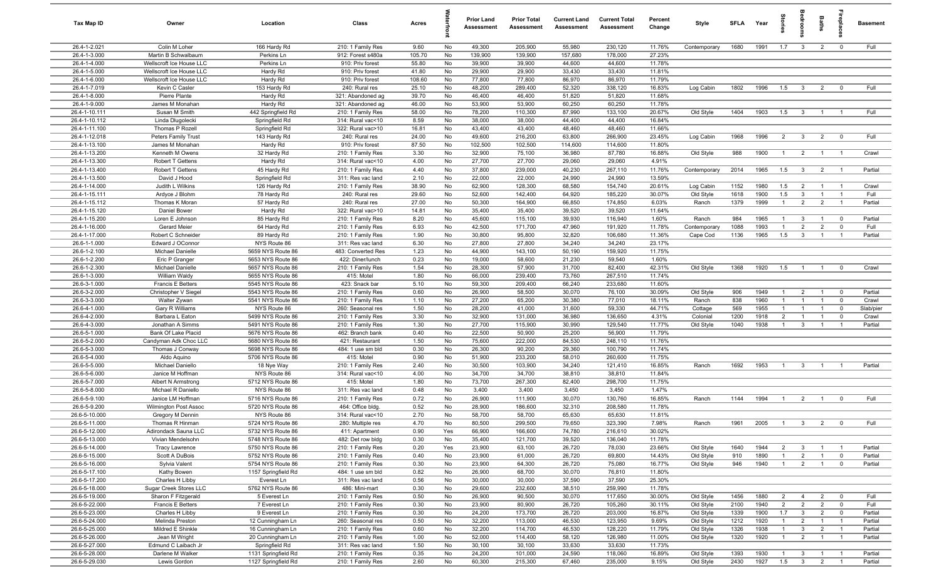| Tax Map ID                     | Owner                                   | Location                               | Class                                  | Acres          |          | <b>Prior Land</b><br>Assessment | <b>Prior Total</b><br>Assessment | <b>Current Land</b><br><b>Assessment</b> | <b>Current Total</b><br>Assessment | Percent<br>Change | Style                  | <b>SFI A</b> | Year         | ğ                              | <b>OHOO</b>             | Baths                          | ireplac                     | <b>Basement</b>    |
|--------------------------------|-----------------------------------------|----------------------------------------|----------------------------------------|----------------|----------|---------------------------------|----------------------------------|------------------------------------------|------------------------------------|-------------------|------------------------|--------------|--------------|--------------------------------|-------------------------|--------------------------------|-----------------------------|--------------------|
| 26.4-1-2.021                   | Colin M Loher                           | 166 Hardy Rd                           | 210: 1 Family Res                      | 9.60           | No       | 49,300                          | 205,900                          | 55,980                                   | 230,120                            | 11.76%            | Contemporary           | 1680         | 1991         | 1.7                            | $\mathbf{3}$            | $\overline{2}$                 | $\overline{0}$              | Full               |
| 26.4-1-3.000                   | Martin B Schwalbaum                     | Perkins Ln                             | 912: Forest s480a                      | 105.70         | No       | 139,900                         | 139,900                          | 157,680                                  | 178,000                            | 27.23%            |                        |              |              |                                |                         |                                |                             |                    |
| 26.4-1-4.000                   | Wellscroft Ice House LLC                | Perkins Ln                             | 910: Priv forest                       | 55.80          | No       | 39,900                          | 39,900                           | 44,600                                   | 44,600                             | 11.78%            |                        |              |              |                                |                         |                                |                             |                    |
| 26.4-1-5.000                   | Wellscroft Ice House LLC                | Hardy Rd                               | 910: Priv forest                       | 41.80          | No       | 29,900                          | 29,900                           | 33,430                                   | 33,430                             | 11.81%            |                        |              |              |                                |                         |                                |                             |                    |
| 26.4-1-6.000                   | Wellscroft Ice House LLC                | Hardy Rd                               | 910: Priv forest                       | 108.60         | No       | 77,800                          | 77,800                           | 86,970                                   | 86,970                             | 11.79%            |                        |              |              |                                |                         |                                |                             |                    |
| 26.4-1-7.019<br>26.4-1-8.000   | Kevin C Casler<br>Pierre Plante         | 153 Hardy Rd                           | 240: Rural res                         | 25.10<br>39.70 | No<br>No | 48,200<br>46,400                | 289,400<br>46,400                | 52,320<br>51,820                         | 338,120<br>51,820                  | 16.83%<br>11.68%  | Log Cabin              | 1802         | 1996         | 1.5                            | $\mathbf{3}$            | $\overline{2}$                 | $^{\circ}$                  | Full               |
| 26.4-1-9.000                   | James M Monahan                         | Hardy Rd<br>Hardy Rd                   | 321: Abandoned ag<br>321: Abandoned ag | 46.00          | No       | 53,900                          | 53,900                           | 60,250                                   | 60,250                             | 11.78%            |                        |              |              |                                |                         |                                |                             |                    |
| 26.4-1-10.111                  | Susan M Smith                           | 442 Springfield Rd                     | 210: 1 Family Res                      | 58.00          | No       | 78,200                          | 110,300                          | 87,990                                   | 133,100                            | 20.67%            | Old Style              | 1404         | 1903         | 1.5                            | $\overline{3}$          | $\overline{1}$                 |                             | Full               |
| 26.4-1-10.112                  | Linda Dlugolecki                        | Springfield Rd                         | 314: Rural vac<10                      | 8.59           | No       | 38,000                          | 38,000                           | 44,400                                   | 44,400                             | 16.84%            |                        |              |              |                                |                         |                                |                             |                    |
| 26.4-1-11.100                  | Thomas P Rozell                         | Springfield Rd                         | 322: Rural vac>10                      | 16.81          | No       | 43,400                          | 43,400                           | 48,460                                   | 48,460                             | 11.66%            |                        |              |              |                                |                         |                                |                             |                    |
| 26.4-1-12.018                  | Peters Family Trust                     | 143 Hardy Rd                           | 240: Rural res                         | 24.00          | No       | 49,600                          | 216,200                          | 63,800                                   | 266,900                            | 23.45%            | Log Cabin              | 1968         | 1996         | $\overline{2}$                 | $\overline{\mathbf{3}}$ | $\overline{2}$                 | $\overline{0}$              | Full               |
| 26.4-1-13.100                  | James M Monahan                         | Hardy Rd                               | 910: Priv forest                       | 87.50          | No       | 102,500                         | 102,500                          | 114,600                                  | 114,600                            | 11.80%            |                        |              |              |                                |                         |                                |                             |                    |
| 26.4-1-13.200                  | Kenneth M Owens                         | 32 Hardy Rd                            | 210: 1 Family Res                      | 3.30           | No       | 32,900                          | 75,100                           | 36,980                                   | 87,780                             | 16.88%            | Old Style              | 988          | 1900         | $\overline{1}$                 | $\overline{2}$          | $\overline{1}$                 | $\overline{1}$              | Crawl              |
| 26.4-1-13.300                  | Robert T Gettens                        | Hardy Rd                               | 314: Rural vac<10                      | 4.00           | No       | 27,700                          | 27,700                           | 29,060                                   | 29,060                             | 4.91%             |                        |              |              |                                |                         |                                |                             |                    |
| 26.4-1-13.400                  | Robert T Gettens                        | 45 Hardy Rd                            | 210: 1 Family Res                      | 4.40           | No       | 37,800                          | 239,000                          | 40,230                                   | 267,110                            | 11.76%            | Contemporary           | 2014         | 1965         | 1.5                            | $\overline{\mathbf{3}}$ | $\overline{2}$                 | $\overline{1}$              | Partial            |
| 26.4-1-13.500                  | David J Hood                            | Springfield Rd                         | 311: Res vac land                      | 2.10           | No       | 22,000                          | 22,000                           | 24,990                                   | 24,990                             | 13.59%            |                        |              |              |                                |                         |                                |                             |                    |
| 26.4-1-14.000                  | Judith L Wilkins                        | 126 Hardy Rd                           | 210: 1 Family Res                      | 38.90          | No       | 62,900                          | 128,300                          | 68,580                                   | 154,740                            | 20.61%            | Log Cabin              | 1152         | 1980         | 1.5                            | $\overline{2}$          | $\overline{1}$                 | $\overline{1}$              | Crawl              |
| 26.4-1-15.111                  | Ardyce J Blohm                          | 78 Hardy Rd                            | 240: Rural res                         | 29.60          | No       | 52,600                          | 142,400                          | 64,920                                   | 185,220                            | 30.07%            | Old Style              | 1618         | 1900         | 1.5                            | $\mathbf{3}$            |                                | - 1                         | Full               |
| 26.4-1-15.112                  | Thomas K Moran                          | 57 Hardy Rd                            | 240: Rural res                         | 27.00          | No       | 50,300                          | 164,900                          | 66,850                                   | 174,850                            | 6.03%             | Ranch                  | 1379         | 1999         | $\mathbf{1}$                   | $\overline{2}$          | $\overline{2}$                 | $\overline{1}$              | Partial            |
| 26.4-1-15.120<br>26.4-1-15.200 | Daniel Bower<br>Loren E Johnsor         | Hardy Rd<br>85 Hardy Rd                | 322: Rural vac>10<br>210: 1 Family Res | 14.81<br>8.20  | No<br>No | 35,400<br>45,600                | 35,400<br>115,100                | 39,520<br>39,930                         | 39,520<br>116,940                  | 11.64%<br>1.60%   | Ranch                  | 984          | 1965         | $\overline{1}$                 | $\mathbf{3}$            | $\overline{1}$                 | $\overline{0}$              | Partial            |
| 26.4-1-16.000                  | Gerard Meier                            | 64 Hardy Rd                            | 210: 1 Family Res                      | 6.93           | No       | 42,500                          | 171,700                          | 47,960                                   | 191,920                            | 11.78%            | Contemporary           | 1088         | 1993         | $\overline{1}$                 | $\overline{2}$          | $\overline{2}$                 | $\mathbf 0$                 | Full               |
| 26.4-1-17.000                  | Robert C Schneider                      | 89 Hardy Rd                            | 210: 1 Family Res                      | 1.90           | No       | 30,800                          | 95,800                           | 32,820                                   | 106,680                            | 11.36%            | Cape Cod               | 1136         | 1965         | 1.5                            | $\mathbf{3}$            | $\overline{1}$                 | $\overline{1}$              | Partial            |
| 26.6-1-1.000                   | Edward J OConnor                        | NYS Route 86                           | 311: Res vac land                      | 6.30           | No       | 27,800                          | 27,800                           | 34,240                                   | 34,240                             | 23.17%            |                        |              |              |                                |                         |                                |                             |                    |
| 26.6-1-2.100                   | Michael Danielle                        | 5659 NYS Route 86                      | 483: Converted Res                     | 1.23           | No       | 44,900                          | 143,100                          | 50,190                                   | 159,920                            | 11.75%            |                        |              |              |                                |                         |                                |                             |                    |
| 26.6-1-2.200                   | Eric P Granger                          | 5653 NYS Route 86                      | 422: Diner/lunch                       | 0.23           | No       | 19,000                          | 58,600                           | 21,230                                   | 59,540                             | 1.60%             |                        |              |              |                                |                         |                                |                             |                    |
| 26.6-1-2.300                   | Michael Danielle                        | 5657 NYS Route 86                      | 210: 1 Family Res                      | 1.54           | No       | 28,300                          | 57,900                           | 31,700                                   | 82,400                             | 42.31%            | Old Style              | 1368         | 1920         | 1.5                            | $\overline{1}$          | $\overline{1}$                 | $^{\circ}$                  | Crawl              |
| 26.6-1-3.000                   | William Waldy                           | 5655 NYS Route 86                      | 415: Motel                             | 1.80           | No       | 66,000                          | 239,400                          | 73,760                                   | 267,510                            | 11.74%            |                        |              |              |                                |                         |                                |                             |                    |
| 26.6-3-1.000                   | Francis E Betters                       | 5545 NYS Route 86                      | 423: Snack bar                         | 5.10           | No       | 59,300                          | 209,400                          | 66,240                                   | 233,680                            | 11.60%            |                        |              |              |                                |                         |                                |                             |                    |
| 26.6-3-2.000                   | Christopher V Siegel                    | 5543 NYS Route 86                      | 210: 1 Family Res                      | 0.60           | No       | 26,900                          | 58,500                           | 30,070                                   | 76,100                             | 30.09%            | Old Style              | 906          | 1949         | $\overline{1}$                 | $\overline{2}$          | $\overline{1}$                 | $\overline{0}$              | Partial            |
| 26.6-3-3.000                   | Walter Zywan                            | 5541 NYS Route 86                      | 210: 1 Family Res                      | 1.10           | No       | 27,200                          | 65,200                           | 30,380                                   | 77,010                             | 18.11%            | Ranch                  | 838          | 1960         | $\overline{1}$                 | $\overline{1}$          |                                | $^{\circ}$                  | Crawl              |
| 26.6-4-1.000                   | Gary R Williams                         | NYS Route 86                           | 260: Seasonal res                      | 1.50           | No       | 28,200                          | 41,000                           | 31,600                                   | 59,330                             | 44.71%            | Cottage                | 569          | 1955         | $\mathbf{1}$                   |                         |                                | $\mathbf 0$                 | Slab/pier          |
| 26.6-4-2.000                   | Barbara L Eaton                         | 5499 NYS Route 86                      | 210: 1 Family Res                      | 3.30           | No       | 32,900                          | 131,000                          | 36,980                                   | 136,650                            | 4.31%             | Colonial               | 1200         | 1918         | 2                              | $\overline{1}$          |                                | $\mathbf 0$                 | Crawl              |
| 26.6-4-3.000<br>26.6-5-1.000   | Jonathan A Simms<br>Bank Of Lake Placid | 5491 NYS Route 86<br>5676 NYS Route 86 | 210: 1 Family Res<br>462: Branch bank  | 1.30<br>0.40   | No<br>No | 27,700<br>22,500                | 115,900<br>50,900                | 30,990<br>25,200                         | 129,540<br>56,900                  | 11.77%<br>11.79%  | Old Style              | 1040         | 1938         | $\overline{1}$                 | $\mathbf{3}$            | $\overline{1}$                 | $\overline{1}$              | Partial            |
| 26.6-5-2.000                   | Candyman Adk Choc LLC                   | 5680 NYS Route 86                      | 421: Restaurant                        | 1.50           | No       | 75,600                          | 222,000                          | 84,530                                   | 248,110                            | 11.76%            |                        |              |              |                                |                         |                                |                             |                    |
| 26.6-5-3.000                   | Thomas J Conway                         | 5698 NYS Route 86                      | 484: 1 use sm bld                      | 0.30           | No       | 26,300                          | 90,200                           | 29,360                                   | 100,790                            | 11.74%            |                        |              |              |                                |                         |                                |                             |                    |
| 26.6-5-4.000                   | Aldo Aquino                             | 5706 NYS Route 86                      | 415: Motel                             | 0.90           | No       | 51,900                          | 233,200                          | 58,010                                   | 260,600                            | 11.75%            |                        |              |              |                                |                         |                                |                             |                    |
| 26.6-5-5.000                   | Michael Daniello                        | 18 Nye Way                             | 210: 1 Family Res                      | 2.40           | No       | 30,500                          | 103,900                          | 34,240                                   | 121,410                            | 16.85%            | Ranch                  | 1692         | 1953         | $\overline{1}$                 | $\mathbf{3}$            | $\overline{1}$                 | $\overline{1}$              | Partial            |
| 26.6-5-6.000                   | Janice M Hoffman                        | NYS Route 86                           | 314: Rural vac<10                      | 4.00           | No       | 34,700                          | 34,700                           | 38,810                                   | 38,810                             | 11.84%            |                        |              |              |                                |                         |                                |                             |                    |
| 26.6-5-7.000                   | Albert N Armstrong                      | 5712 NYS Route 86                      | 415: Motel                             | 1.80           | No       | 73,700                          | 267,300                          | 82,400                                   | 298,700                            | 11.75%            |                        |              |              |                                |                         |                                |                             |                    |
| 26.6-5-8.000                   | Michael R Daniello                      | NYS Route 86                           | 311: Res vac land                      | 0.48           | No       | 3,400                           | 3,400                            | 3,450                                    | 3,450                              | 1.47%             |                        |              |              |                                |                         |                                |                             |                    |
| 26.6-5-9.100                   | Janice LM Hoffman                       | 5716 NYS Route 86                      | 210: 1 Family Res                      | 0.72           | No       | 26,900                          | 111,900                          | 30,070                                   | 130,760                            | 16.85%            | Ranch                  | 1144         | 1994         | $\overline{1}$                 | $\overline{2}$          |                                | $^{\circ}$                  | Full               |
| 26.6-5-9.200                   | <b>Wilmington Post Assoc</b>            | 5720 NYS Route 86                      | 464: Office bldg.                      | 0.52           | No       | 28,900                          | 186,600                          | 32,310                                   | 208,580                            | 11.78%            |                        |              |              |                                |                         |                                |                             |                    |
| 26.6-5-10.000                  | Gregory M Dennin                        | NYS Route 86                           | 314: Rural vac<10                      | 2.70           | No       | 58,700                          | 58,700                           | 65,630                                   | 65,630                             | 11.81%            |                        |              |              |                                |                         |                                |                             |                    |
| 26.6-5-11.000                  | Thomas R Hinman                         | 5724 NYS Route 86                      | 280: Multiple res                      | 4.70           | No       | 80,500                          | 299,500                          | 79,650                                   | 323,390                            | 7.98%             | Ranch                  | 1961         | 2005         | $\overline{1}$                 | $\mathbf{3}$            | $\overline{2}$                 |                             | Full               |
| 26.6-5-12.000                  | Adirondack Sauna LLC                    | 5732 NYS Route 86                      | 411: Apartment                         | 0.90           | Yes      | 66,900                          | 166,600                          | 74,780                                   | 216,610                            | 30.02%            |                        |              |              |                                |                         |                                |                             |                    |
| 26.6-5-13.000                  | Vivian Mendelsohn                       | 5748 NYS Route 86                      | 482: Det row bldg                      | 0.30           | No       | 35,400                          | 121,700                          | 39,520                                   | 136,040                            | 11.78%            |                        |              |              |                                |                         |                                |                             |                    |
| 26.6-5-14.000<br>26.6-5-15.000 | <b>Tracy Lawrence</b>                   | 5750 NYS Route 86                      | 210: 1 Family Res                      | 0.20           | Yes      | 23,900<br>23,900                | 63,100                           | 26,720                                   | 78,030<br>69,800                   | 23.66%<br>14.43%  | Old Style              | 1640<br>910  | 1944<br>1890 | $\overline{2}$<br>$\mathbf{1}$ | 3<br>$\overline{2}$     | $\overline{1}$<br>$\mathbf{1}$ | $\overline{1}$              | Partial            |
| 26.6-5-16.000                  | Scott A DuBois<br>Sylvia Valent         | 5752 NYS Route 86<br>5754 NYS Route 86 | 210: 1 Family Res<br>210: 1 Family Res | 0.40<br>0.30   | No<br>No | 23,900                          | 61,000<br>64,300                 | 26,720<br>26,720                         | 75,080                             | 16.77%            | Old Style<br>Old Style | 946          | 1940         | $\overline{1}$                 | $\overline{2}$          | $\mathbf{1}$                   | $\mathbf{0}$<br>$\mathbf 0$ | Partial<br>Partial |
| 26.6-5-17.100                  | Kathy Bowen                             | 1157 Springfield Rd                    | 484: 1 use sm bld                      | 0.82           | No       | 26,900                          | 68,700                           | 30,070                                   | 76,810                             | 11.80%            |                        |              |              |                                |                         |                                |                             |                    |
| 26.6-5-17.200                  | Charles H Libby                         | Everest Ln                             | 311: Res vac land                      | 0.56           | No       | 30,000                          | 30,000                           | 37,590                                   | 37,590                             | 25.30%            |                        |              |              |                                |                         |                                |                             |                    |
| 26.6-5-18.000                  | Sugar Creek Stores LLC                  | 5762 NYS Route 86                      | 486: Mini-mart                         | 0.30           | No       | 29,600                          | 232,600                          | 38,510                                   | 259,990                            | 11.78%            |                        |              |              |                                |                         |                                |                             |                    |
| 26.6-5-19.000                  | Sharon F Fitzgerald                     | 5 Everest Ln                           | 210: 1 Family Res                      | 0.50           | No       | 26,900                          | 90,500                           | 30,070                                   | 117,650                            | 30.00%            | Old Style              | 1456         | 1880         | $\overline{2}$                 | $\overline{4}$          | $\overline{2}$                 | $\overline{0}$              | Full               |
| 26.6-5-22.000                  | Francis E Betters                       | 7 Everest Ln                           | 210: 1 Family Res                      | 0.30           | No       | 23,900                          | 80,900                           | 26,720                                   | 105,260                            | 30.11%            | Old Style              | 2100         | 1940         | $\overline{2}$                 | $\overline{2}$          | $\overline{2}$                 | $\overline{0}$              | Full               |
| 26.6-5-23.000                  | Charles H Libby                         | 9 Everest Ln                           | 210: 1 Family Res                      | 0.30           | No       | 24,200                          | 173,700                          | 26,720                                   | 203,000                            | 16.87%            | Old Style              | 1339         | 1900         | 1.7                            | $\mathbf{3}$            | $\overline{2}$                 | $\overline{0}$              | Partial            |
| 26.6-5-24.000                  | Melinda Preston                         | 12 Cunningham Ln                       | 260: Seasonal res                      | 0.50           | No       | 32,200                          | 113,000                          | 46,530                                   | 123,950                            | 9.69%             | Old Style              | 1212         | 1920         | $\mathbf{1}$                   | $\overline{2}$          | $\overline{1}$                 | $\overline{1}$              | Partial            |
| 26.6-5-25.000                  | Mildred E Shinkle                       | 16 Cunningham Ln                       | 210: 1 Family Res                      | 0.60           | No       | 32,200                          | 114,700                          | 46,530                                   | 128,220                            | 11.79%            | Old Style              | 1326         | 1938         | $\mathbf{1}$                   | $\mathbf{3}$            | $\overline{2}$                 | $\overline{1}$              | Partial            |
| 26.6-5-26.000                  | Jean M Wright                           | 20 Cunningham Ln                       | 210: 1 Family Res                      | 1.00           | No       | 52,000                          | 114,400                          | 58,120                                   | 126,980                            | 11.00%            | Old Style              | 1320         | 1920         | $\mathbf{1}$                   | $\overline{2}$          | $\overline{1}$                 | $\overline{1}$              | Partial            |
| 26.6-5-27.000                  | Edmund C Laibach Jr                     | Springfield Rd                         | 311: Res vac land                      | 1.50           | No       | 30,100                          | 30,100                           | 33,630                                   | 33,630                             | 11.73%            |                        |              |              |                                |                         |                                |                             |                    |
| 26.6-5-28.000                  | Darlene M Walker                        | 1131 Springfield Rd                    | 210: 1 Family Res                      | 0.35           | No       | 24,200                          | 101,000                          | 24,590                                   | 118,060                            | 16.89%            | Old Style              | 1393         | 1930         | $\overline{1}$                 | $\mathbf{3}$            | $\overline{1}$                 |                             | Partial            |
| 26.6-5-29.030                  | Lewis Gordon                            | 1127 Springfield Rd                    | 210: 1 Family Res                      | 2.60           | No       | 60,300                          | 215,300                          | 67,460                                   | 235,000                            | 9.15%             | Old Style              | 2430         | 1927         | 1.5                            | $\overline{\mathbf{3}}$ | $\overline{2}$                 | $\overline{1}$              | Partial            |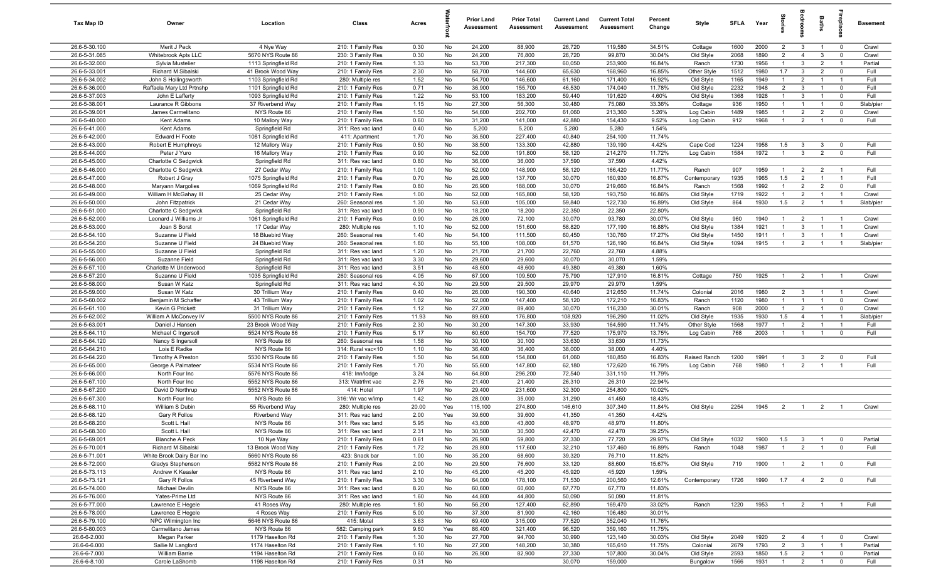| Tax Map ID                     | Owner                                 | Location                          | Class                                  | Acres        |          | <b>Prior Land</b><br>Assessment | <b>Prior Total</b><br>Assessment | <b>Current Land</b><br>Assessment | <b>Current Total</b><br>Assessment | Percent<br>Change | Style        | <b>SFLA</b>  | Year | Stori                            | drooi          | Baths                            | <u>ep</u> la            | Basement  |
|--------------------------------|---------------------------------------|-----------------------------------|----------------------------------------|--------------|----------|---------------------------------|----------------------------------|-----------------------------------|------------------------------------|-------------------|--------------|--------------|------|----------------------------------|----------------|----------------------------------|-------------------------|-----------|
| 26.6-5-30.100                  | Merit J Peck                          | 4 Nye Way                         | 210: 1 Family Res                      | 0.30         | No       | 24,200                          | 88,900                           | 26,720                            | 119,580                            | 34.51%            | Cottage      | 1600         | 2000 | $\overline{2}$                   | $\mathbf{3}$   | $\overline{1}$                   | $\mathbf 0$             | Crawl     |
| 26.6-5-31.085                  | Whitebrook Apts LLC                   | 5670 NYS Route 86                 | 230: 3 Family Res                      | 0.30         | No       | 24,200                          | 76,800                           | 26,720                            | 99,870                             | 30.04%            | Old Style    | 2068         | 1890 | $\overline{2}$                   | $\overline{4}$ | $\mathbf{3}$                     | $\mathbf 0$             | Crawl     |
| 26.6-5-32.000                  | Sylvia Mustelier                      | 1113 Springfield Rd               | 210: 1 Family Res                      | 1.33         | No       | 53,700                          | 217,300                          | 60,050                            | 253,900                            | 16.84%            | Ranch        | 1730         | 1956 | $\mathbf{1}$                     | $\mathbf{3}$   | $\overline{2}$                   | $\overline{1}$          | Partial   |
| 26.6-5-33.001                  | Richard M Sibalski                    | 41 Brook Wood Way                 | 210: 1 Family Res                      | 2.30         | No       | 58,700                          | 144,600                          | 65,630                            | 168,960                            | 16.85%            | Other Style  | 1512         | 1980 | 1.7                              | $\mathbf{3}$   | $\overline{2}$                   | $\mathbf 0$             | Full      |
| 26.6-5-34.002                  | John S Hollingsworth                  | 1103 Springfield Rd               | 280: Multiple res                      | 1.52         | No       | 54,700                          | 146,600                          | 61,160                            | 171,400                            | 16.92%            | Old Style    | 1165         | 1949 | $\mathbf{1}$                     | $\overline{2}$ | $\mathbf{1}$                     | - 1                     | Full      |
| 26.6-5-36.000                  | Raffaela Mary Ltd Prtnshp             | 1101 Springfield Rd               | 210: 1 Family Res                      | 0.71         | No       | 36,900                          | 155,700                          | 46,530                            | 174,040                            | 11.78%            | Old Style    | 2232         | 1948 | $\overline{2}$                   | $\mathbf{3}$   |                                  | $^{\circ}$              | Full      |
| 26.6-5-37.003                  | John E Lafferty                       | 1093 Springfield Rd               | 210: 1 Family Res                      | 1.22         | No       | 53,100                          | 183,200                          | 59,440                            | 191,620                            | 4.60%             | Old Style    | 1368         | 1928 | $\overline{1}$                   | $\mathbf{3}$   | $\overline{1}$                   | $^{\circ}$              | Full      |
| 26.6-5-38.001                  | Laurance R Gibbons                    | 37 Riverbend Way                  | 210: 1 Family Res                      | 1.15         | No       | 27,300                          | 56,300                           | 30,480                            | 75,080                             | 33.36%            | Cottage      | 936          | 1950 | $\overline{1}$                   | $\overline{1}$ | $\overline{1}$                   | $\mathbf 0$             | Slab/pier |
| 26.6-5-39.001                  | James Carmelitano                     | NYS Route 86                      | 210: 1 Family Res                      | 1.50         | No       | 54,600                          | 202,700                          | 61,060                            | 213,360                            | 5.26%             | Log Cabin    | 1489         | 1985 | $\overline{1}$                   | $\overline{2}$ | $\overline{2}$<br>$\overline{1}$ | $\mathbf 0$             | Crawl     |
| 26.6-5-40.000<br>26.6-5-41.000 | Kent Adams<br>Kent Adams              | 10 Mallory Way<br>Springfield Rd  | 210: 1 Family Res                      | 0.60<br>0.40 | No<br>No | 31,200<br>5,200                 | 141,000<br>5,200                 | 42,880<br>5,280                   | 154,430<br>5,280                   | 9.52%<br>1.54%    | Log Cabin    | 912          | 1968 | $\overline{1}$                   | $\overline{2}$ |                                  | $\mathbf 0$             | Full      |
| 26.6-5-42.000                  | Edward H Foote                        | 1081 Springfield Rd               | 311: Res vac land<br>411: Apartment    | 1.70         | No       | 36,500                          | 227,400                          | 40,840                            | 254,100                            | 11.74%            |              |              |      |                                  |                |                                  |                         |           |
| 26.6-5-43.000                  | Robert E Humphreys                    | 12 Mallory Way                    | 210: 1 Family Res                      | 0.50         | No       | 38,500                          | 133,300                          | 42,880                            | 139,190                            | 4.42%             | Cape Cod     | 1224         | 1958 | 1.5                              | $\mathbf{3}$   | 3                                | $\mathbf 0$             | Full      |
| 26.6-5-44.000                  | Peter J Yuro                          | 16 Mallory Way                    | 210: 1 Family Res                      | 0.90         | No       | 52,000                          | 191,800                          | 58,120                            | 214,270                            | 11.72%            | Log Cabin    | 1584         | 1972 | $\overline{1}$                   | $\mathbf{3}$   | $\overline{2}$                   | $\mathbf 0$             | Full      |
| 26.6-5-45.000                  | Charlotte C Sedgwick                  | Springfield Rd                    | 311: Res vac land                      | 0.80         | No       | 36,000                          | 36,000                           | 37,590                            | 37,590                             | 4.42%             |              |              |      |                                  |                |                                  |                         |           |
| 26.6-5-46.000                  | Charlotte C Sedgwick                  | 27 Cedar Way                      | 210: 1 Family Res                      | 1.00         | No       | 52,000                          | 148,900                          | 58,120                            | 166,420                            | 11.77%            | Ranch        | 907          | 1959 | $\mathbf{1}$                     | $\overline{2}$ | $\overline{2}$                   | - 1                     | Full      |
| 26.6-5-47.000                  | Robert J Gray                         | 1075 Springfield Rd               | 210: 1 Family Res                      | 0.70         | No       | 26,900                          | 137,700                          | 30,070                            | 160,930                            | 16.87%            | Contemporary | 1935         | 1965 | 1.5                              | $\overline{2}$ |                                  |                         | Full      |
| 26.6-5-48.000                  | Maryann Margolies                     | 1069 Springfield Rd               | 210: 1 Family Res                      | 0.80         | No       | 26,900                          | 188,000                          | 30,070                            | 219,660                            | 16.84%            | Ranch        | 1568         | 1992 | $\mathbf{1}$                     | $\overline{2}$ | $\overline{2}$                   | $^{\circ}$              | Full      |
| 26.6-5-49.000                  | William H McGahay III                 | 25 Cedar Way                      | 210: 1 Family Res                      | 1.00         | No       | 52,000                          | 165,800                          | 58,120                            | 193,750                            | 16.86%            | Old Style    | 1719         | 1922 | $\overline{1}$                   | $\overline{2}$ |                                  | $\overline{1}$          | Crawl     |
| 26.6-5-50.000                  | John Fitzpatrick                      | 21 Cedar Way                      | 260: Seasonal res                      | 1.30         | No       | 53,600                          | 105,000                          | 59,840                            | 122,730                            | 16.89%            | Old Style    | 864          | 1930 | 1.5                              | $\overline{2}$ |                                  | $\overline{1}$          | Slab/pier |
| 26.6-5-51.000                  | Charlotte C Sedgwick                  | Springfield Rd                    | 311: Res vac land                      | 0.90         | No       | 18,200                          | 18,200                           | 22,350                            | 22,350                             | 22.80%            |              |              |      |                                  |                |                                  |                         |           |
| 26.6-5-52.000                  | Leonard J Williams Jr                 | 1061 Springfield Rd               | 210: 1 Family Res                      | 0.90         | No       | 26,900                          | 72,100                           | 30,070                            | 93,780                             | 30.07%            | Old Style    | 960          | 1940 | $\overline{1}$                   | $\overline{2}$ | $\overline{1}$                   | $\overline{1}$          | Crawl     |
| 26.6-5-53.000                  | Joan S Borst                          | 17 Cedar Way                      | 280: Multiple res                      | 1.10         | No       | 52,000                          | 151,600                          | 58,820                            | 177,190                            | 16.88%            | Old Style    | 1384         | 1921 | $\overline{1}$                   | $\mathbf{3}$   | $\overline{1}$                   | $\overline{1}$          | Crawl     |
| 26.6-5-54.100                  | Suzanne U Field                       | 18 Bluebird Way                   | 260: Seasonal res                      | 1.40         | No       | 54,100                          | 111,500                          | 60,450                            | 130,760                            | 17.27%<br>16.84%  | Old Style    | 1450<br>1094 | 1911 | $\overline{1}$<br>$\overline{1}$ | $\mathbf{3}$   | $\overline{1}$                   | $\overline{1}$          | Crawl     |
| 26.6-5-54.200<br>26.6-5-55.000 | Suzanne U Field<br>Suzanne U Field    | 24 Bluebird Way<br>Springfield Rd | 260: Seasonal res<br>311: Res vac land | 1.60<br>1.20 | No<br>No | 55,100<br>21,700                | 108,000<br>21,700                | 61,570<br>22,760                  | 126,190<br>22,760                  | 4.88%             | Old Style    |              | 1915 |                                  | $\overline{2}$ | $\overline{1}$                   | $\overline{1}$          | Slab/pier |
| 26.6-5-56.000                  | Suzanne Field                         | Springfield Rd                    | 311: Res vac land                      | 3.30         | No       | 29,600                          | 29,600                           | 30,070                            | 30,070                             | 1.59%             |              |              |      |                                  |                |                                  |                         |           |
| 26.6-5-57.100                  | Charlotte M Underwood                 | Springfield Rd                    | 311: Res vac land                      | 3.51         | No       | 48,600                          | 48,600                           | 49,380                            | 49,380                             | 1.60%             |              |              |      |                                  |                |                                  |                         |           |
| 26.6-5-57.200                  | Suzanne U Field                       | 1035 Springfield Rd               | 260: Seasonal res                      | 4.05         | No       | 67,900                          | 109,500                          | 75,790                            | 127,910                            | 16.81%            | Cottage      | 750          | 1925 | $\overline{1}$                   | $\overline{2}$ | $\overline{1}$                   | $\overline{1}$          | Crawl     |
| 26.6-5-58.000                  | Susan W Katz                          | Springfield Rd                    | 311: Res vac land                      | 4.30         | No       | 29,500                          | 29,500                           | 29,970                            | 29,970                             | 1.59%             |              |              |      |                                  |                |                                  |                         |           |
| 26.6-5-59.000                  | Susan W Katz                          | 30 Trillium Way                   | 210: 1 Family Res                      | 0.40         | No       | 26,000                          | 190,300                          | 40,640                            | 212,650                            | 11.74%            | Colonial     | 2016         | 1980 | $\overline{2}$                   | $\mathbf{3}$   |                                  | - 1                     | Crawl     |
| 26.6-5-60.002                  | Benjamin M Schaffer                   | 43 Trillium Way                   | 210: 1 Family Res                      | 1.02         | No       | 52,000                          | 147,400                          | 58,120                            | 172,210                            | 16.83%            | Ranch        | 1120         | 1980 | $\overline{1}$                   | $\overline{1}$ | $\overline{1}$                   | $\mathbf 0$             | Crawl     |
| 26.6-5-61.100                  | Kevin G Prickett                      | 31 Trillium Way                   | 210: 1 Family Res                      | 1.12         | No       | 27,200                          | 89,400                           | 30,070                            | 116,230                            | 30.01%            | Ranch        | 908          | 2000 | $\overline{1}$                   | $\overline{2}$ | $\overline{1}$                   | $\overline{0}$          | Crawl     |
| 26.6-5-62.002                  | William A McConvey IV                 | 5500 NYS Route 86                 | 210: 1 Family Res                      | 11.93        | No       | 89,600                          | 176,800                          | 108,920                           | 196,290                            | 11.02%            | Old Style    | 1935         | 1930 | 1.5                              | $\overline{4}$ | $\overline{1}$                   | $\overline{1}$          | Slab/pier |
| 26.6-5-63.001                  | Daniel J Hansen                       | 23 Brook Wood Way                 | 210: 1 Family Res                      | 2.30         | No       | 30,200                          | 147,300                          | 33,930                            | 164,590                            | 11.74%            | Other Style  | 1568         | 1977 | $\overline{1}$                   | $\overline{2}$ | $\overline{1}$                   | $\overline{1}$          | Full      |
| 26.6-5-64.110                  | Michael C Ingersoll                   | 5524 NYS Route 86                 | 210: 1 Family Res                      | 5.17         | No       | 60,600                          | 154,700                          | 77,520                            | 175,970                            | 13.75%            | Log Cabin    | 768          | 2003 | $\overline{1}$                   | $\overline{1}$ | $\overline{1}$                   | $^{\circ}$              | Full      |
| 26.6-5-64.120                  | Nancy S Ingersoll                     | NYS Route 86                      | 260: Seasonal res                      | 1.58         | No       | 30,100                          | 30,100                           | 33,630                            | 33,630                             | 11.73%            |              |              |      |                                  |                |                                  |                         |           |
| 26.6-5-64.210<br>26.6-5-64.220 | Lois E Radke<br>Timothy A Preston     | NYS Route 86<br>5530 NYS Route 86 | 314: Rural vac<10                      | 1.10<br>1.50 | No<br>No | 36,400<br>54,600                | 36,400<br>154,800                | 38,000<br>61,060                  | 38,000<br>180,850                  | 4.40%<br>16.83%   | Raised Ranch | 1200         | 1991 | $\overline{1}$                   | $\mathbf{3}$   | $\overline{2}$                   | $\Omega$                | Full      |
| 26.6-5-65.000                  | George A Palmateer                    | 5534 NYS Route 86                 | 210: 1 Family Res<br>210: 1 Family Res | 1.70         | No       | 55,600                          | 147,800                          | 62,180                            | 172,620                            | 16.79%            | Log Cabin    | 768          | 1980 | $\overline{1}$                   | $\overline{2}$ | $\overline{1}$                   |                         | Full      |
| 26.6-5-66.000                  | North Four Inc                        | 5576 NYS Route 86                 | 418: Inn/lodge                         | 3.24         | No       | 64,800                          | 296,200                          | 72,540                            | 331,110                            | 11.79%            |              |              |      |                                  |                |                                  |                         |           |
| 26.6-5-67.100                  | North Four Inc                        | 5552 NYS Route 86                 | 313: Watrfrnt vac                      | 2.76         | No       | 21,400                          | 21,400                           | 26,310                            | 26,310                             | 22.94%            |              |              |      |                                  |                |                                  |                         |           |
| 26.6-5-67.200                  | David D Northrup                      | 5552 NYS Route 86                 | 414: Hotel                             | 1.97         | No       | 29,400                          | 231,600                          | 32,300                            | 254,800                            | 10.02%            |              |              |      |                                  |                |                                  |                         |           |
| 26.6-5-67.300                  | North Four Inc                        | NYS Route 86                      | 316: Wr vac w/imp                      | 1.42         | No       | 28,000                          | 35,000                           | 31,290                            | 41,450                             | 18.43%            |              |              |      |                                  |                |                                  |                         |           |
| 26.6-5-68.110                  | William S Dubin                       | 55 Riverbend Way                  | 280: Multiple res                      | 20.00        | Yes      | 115,100                         | 274,800                          | 146,610                           | 307,340                            | 11.84%            | Old Style    | 2254         | 1945 | 2                                | $\overline{1}$ | $\overline{2}$                   |                         | Crawl     |
| 26.6-5-68.120                  | Gary R Follos                         | Riverbend Way                     | 311: Res vac land                      | 2.00         | Yes      | 39,600                          | 39,600                           | 41,350                            | 41,350                             | 4.42%             |              |              |      |                                  |                |                                  |                         |           |
| 26.6-5-68.200                  | Scott L Hall                          | NYS Route 86                      | 311: Res vac land                      | 5.95         | No       | 43,800                          | 43,800                           | 48,970                            | 48,970                             | 11.80%            |              |              |      |                                  |                |                                  |                         |           |
| 26.6-5-68.300                  | Scott L Hall                          | NYS Route 86                      | 311: Res vac land                      | 2.31         | No       | 30,500                          | 30,500                           | 42,470                            | 42,470                             | 39.25%            |              |              |      |                                  |                |                                  |                         |           |
| 26.6-5-69.001                  | <b>Blanche A Peck</b>                 | 10 Nye Way                        | 210: 1 Family Res                      | 0.61         | No       | 26,900                          | 59,800                           | 27,330                            | 77,720                             | 29.97%            | Old Style    | 1032         | 1900 | 1.5                              | $\mathbf{3}$   | $\overline{1}$                   | $\overline{\mathbf{0}}$ | Partial   |
| 26.6-5-70.001                  | Richard M Sibalski                    | 13 Brook Wood Way                 | 210: 1 Family Res                      | 1.72         | No       | 28,800                          | 117,600                          | 32,210                            | 137,460                            | 16.89%            | Ranch        | 1048         | 1987 | $\overline{1}$                   | $\overline{2}$ | $\mathbf{1}$                     | $\mathbf{0}$            | Full      |
| 26.6-5-71.001                  | White Brook Dairy Bar Inc             | 5660 NYS Route 86                 | 423: Snack bar                         | 1.00         | No       | 35,200                          | 68,600                           | 39,320                            | 76,710                             | 11.82%            |              |              |      |                                  |                |                                  |                         |           |
| 26.6-5-72.000<br>26.6-5-73.113 | Gladys Stephenson<br>Andrew K Keasler | 5582 NYS Route 86<br>NYS Route 86 | 210: 1 Family Res<br>311: Res vac land | 2.00<br>2.10 | No<br>No | 29,500<br>45,200                | 76,600<br>45,200                 | 33,120<br>45,920                  | 88,600<br>45,920                   | 15.67%<br>1.59%   | Old Style    | 719          | 1900 | $\overline{1}$                   | $\overline{2}$ | $\mathbf{1}$                     | $\overline{0}$          | Full      |
| 26.6-5-73.121                  | Gary R Follos                         | 45 Riverbend Way                  | 210: 1 Family Res                      | 3.30         | No       | 64,000                          | 178,100                          | 71,530                            | 200,560                            | 12.61%            | Contemporary | 1726         | 1990 | 1.7                              | $\overline{4}$ | $\overline{2}$                   | $\mathbf 0$             | Full      |
| 26.6-5-74.000                  | Michael Devlin                        | NYS Route 86                      | 311: Res vac land                      | 8.20         | No       | 60,600                          | 60,600                           | 67,770                            | 67,770                             | 11.83%            |              |              |      |                                  |                |                                  |                         |           |
| 26.6-5-76.000                  | Yates-Prime Ltd                       | NYS Route 86                      | 311: Res vac land                      | 1.60         | No       | 44,800                          | 44,800                           | 50,090                            | 50,090                             | 11.81%            |              |              |      |                                  |                |                                  |                         |           |
| 26.6-5-77.000                  | Lawrence E Hegele                     | 41 Roses Way                      | 280: Multiple res                      | 1.80         | No       | 56,200                          | 127,400                          | 62,890                            | 169,470                            | 33.02%            | Ranch        | 1220         | 1953 | $\overline{1}$                   | $\overline{2}$ | $\overline{1}$                   |                         | Full      |
| 26.6-5-78.000                  | Lawrence E Hegele                     | 4 Roses Way                       | 210: 1 Family Res                      | 5.00         | No       | 37,300                          | 81,900                           | 42,160                            | 106,480                            | 30.01%            |              |              |      |                                  |                |                                  |                         |           |
| 26.6-5-79.100                  | NPC Wilmington Inc                    | 5646 NYS Route 86                 | 415: Motel                             | 3.63         | No       | 69,400                          | 315,000                          | 77,520                            | 352,040                            | 11.76%            |              |              |      |                                  |                |                                  |                         |           |
| 26.6-5-80.003                  | Carmelitano James                     | NYS Route 86                      | 582: Camping park                      | 9.60         | Yes      | 86,400                          | 321,400                          | 96,520                            | 359,160                            | 11.75%            |              |              |      |                                  |                |                                  |                         |           |
| 26.6-6-2.000                   | Megan Parker                          | 1179 Haselton Rd                  | 210: 1 Family Res                      | 1.30         | No       | 27,700                          | 94,700                           | 30,990                            | 123,140                            | 30.03%            | Old Style    | 2049         | 1920 | $\overline{2}$                   | $\overline{4}$ | $\overline{1}$                   | $\overline{0}$          | Crawl     |
| 26.6-6-6.000                   | Sallie M Langford                     | 1174 Haselton Rd                  | 210: 1 Family Res                      | 1.10         | No       | 27,200                          | 148,200                          | 30,380                            | 165,610                            | 11.75%            | Colonial     | 2679         | 1793 | $\overline{2}$                   | $\mathbf{3}$   | $\mathbf{1}$                     | $\overline{1}$          | Partial   |
| 26.6-6-7.000                   | <b>William Barrie</b>                 | 1194 Haselton Rd                  | 210: 1 Family Res                      | 0.60         | No       | 26,900                          | 82,900                           | 27,330                            | 107,800                            | 30.04%            | Old Style    | 2593         | 1850 | 1.5                              | $\overline{2}$ | $\overline{1}$                   | $\overline{0}$          | Partial   |
| 26.6-6-8.100                   | Carole LaShomb                        | 1198 Haselton Rd                  | 210: 1 Family Res                      | 0.31         | No       |                                 |                                  | 30,070                            | 159,000                            |                   | Bungalow     | 1566         | 1931 | $\overline{1}$                   | $\overline{2}$ | $\overline{1}$                   | $\mathbf 0$             | Full      |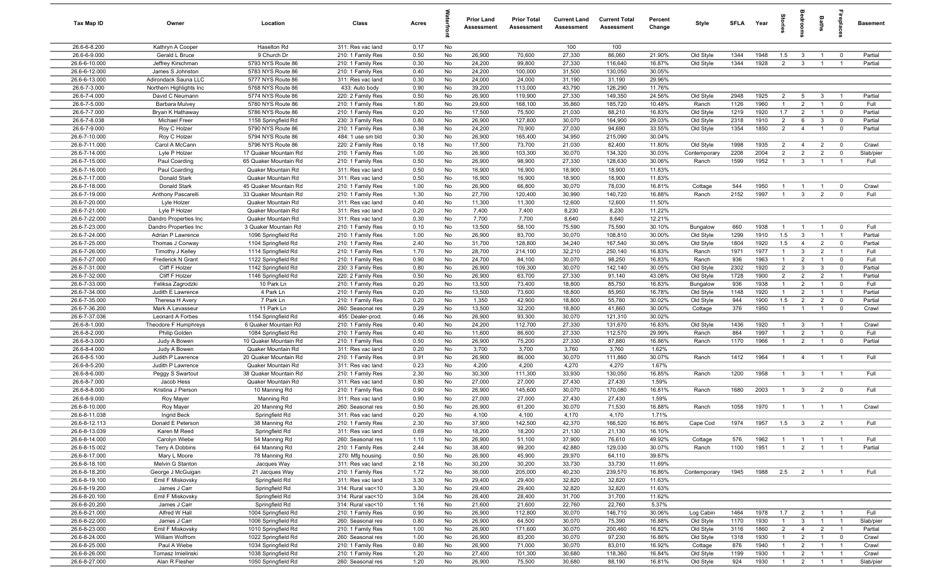| Tax Map ID                    | Owner                          | Location                               | Class                                  | Acres        |          | <b>Prior Land</b><br>Assessment | <b>Prior Total</b><br>Assessment | <b>Current Land</b><br>Assessment | <b>Current Total</b><br>Assessment | Percent<br>Change | Style        | SFI A | Year     | tories         | a<br>Boo                | Baths               | repla                   | <b>Basement</b> |
|-------------------------------|--------------------------------|----------------------------------------|----------------------------------------|--------------|----------|---------------------------------|----------------------------------|-----------------------------------|------------------------------------|-------------------|--------------|-------|----------|----------------|-------------------------|---------------------|-------------------------|-----------------|
| 26.6-6-8.200                  | Kathryn A Cooper               | Haselton Rd                            | 311: Res vac land                      | 0.17         | No       |                                 |                                  | 100                               | 100                                |                   |              |       |          |                |                         |                     |                         |                 |
| 26.6-6-9.000                  | Gerald L Bruce                 | 9 Church Dr                            | 210: 1 Family Res                      | 0.50         | No       | 26,900                          | 70,600                           | 27,330                            | 86,060                             | 21.90%            | Old Style    | 1344  | 1948     | 1.5            | $\mathbf{3}$            | $\overline{1}$      | $\overline{0}$          | Partial         |
| 26.6-6-10.000                 | Jeffrey Kirschman              | 5793 NYS Route 86                      | 210: 1 Family Res                      | 0.30         | No       | 24,200                          | 99,800                           | 27,330                            | 116,640                            | 16.87%            | Old Style    | 1344  | 1928     | $\overline{2}$ | $\mathbf{3}$            | $\overline{1}$      | $\overline{1}$          | Partial         |
| 26.6-6-12.000                 | James S Johnston               | 5783 NYS Route 86                      | 210: 1 Family Res                      | 0.40         | No       | 24,200                          | 100,000                          | 31,500                            | 130,050                            | 30.05%            |              |       |          |                |                         |                     |                         |                 |
| 26.6-6-13.000                 | Adirondack Sauna LLC           | 5777 NYS Route 86                      | 311: Res vac land                      | 0.30         | No       | 24,000                          | 24,000                           | 31,190                            | 31,190                             | 29.96%            |              |       |          |                |                         |                     |                         |                 |
| 26.6-7-3.000                  | Northern Highlights Inc        | 5768 NYS Route 86                      | 433: Auto body                         | 0.90         | No       | 39,200                          | 113,000                          | 43,790                            | 126,290                            | 11.76%            |              |       |          |                |                         |                     |                         |                 |
| 26.6-7-4.000                  | David C Neumann                | 5774 NYS Route 86                      | 220: 2 Family Res                      | 0.50         | No       | 26,900                          | 119,900                          | 27,330                            | 149,350                            | 24.56%            | Old Style    | 2948  | 1925     | $\overline{2}$ | 5                       | 3                   |                         | Partial         |
| 26.6-7-5.000                  | Barbara Mulvey                 | 5780 NYS Route 86                      | 210: 1 Family Res                      | 1.80         | No       | 29,600                          | 168,100                          | 35,860                            | 185,720                            | 10.48%            | Ranch        | 1126  | 1960     | $\overline{1}$ | $\overline{2}$          | $\overline{1}$      | $\mathbf 0$             | Full            |
| 26.6-7-7.000                  | Bryan K Hathaway               | 5786 NYS Route 86                      | 210: 1 Family Res                      | 0.20         | No       | 17,500                          | 75,500                           | 21,030                            | 88,210                             | 16.83%            | Old Style    | 1219  | 1920     | 1.7            | 2                       | $\overline{1}$      | $\overline{\mathbf{0}}$ | Partial         |
| 26.6-7-8.038                  | <b>Michael Freer</b>           | 1158 Springfield Rd                    | 230: 3 Family Res<br>210: 1 Family Res | 0.80         | No       | 26,900                          | 127,800                          | 30,070                            | 164,900                            | 29.03%            | Old Style    | 2318  | 1910     | $\overline{2}$ | 6                       | 3<br>$\overline{1}$ | $\mathbf 0$             | Partial         |
| 26.6-7-9.000<br>26.6-7-10.000 | Roy C Holzer                   | 5790 NYS Route 86<br>5794 NYS Route 86 |                                        | 0.38<br>0.30 | No<br>No | 24,200<br>26,900                | 70,900                           | 27,030<br>34,950                  | 94,690                             | 33.55%<br>30.04%  | Old Style    | 1354  | 1850     | $\overline{2}$ | $\overline{4}$          |                     | $\mathbf 0$             | Partial         |
| 26.6-7-11.000                 | Roy C Holzer<br>Carol A McCann | 5796 NYS Route 86                      | 484: 1 use sm bld<br>220: 2 Family Res | 0.18         | No       | 17,500                          | 165,400<br>73,700                | 21,030                            | 215,090<br>82,400                  | 11.80%            | Old Style    | 1998  | 1935     | $\overline{2}$ | $\overline{4}$          | $\overline{2}$      | $\mathbf 0$             | Crawl           |
| 26.6-7-14.000                 | Lyle P Holzer                  | 17 Quaker Mountain Rd                  | 210: 1 Family Res                      | 1.00         | No       | 26,900                          | 103,300                          | 30,070                            | 134,320                            | 30.03%            | Contemporary | 2208  | 2004     | $\overline{2}$ | $\overline{2}$          | $\overline{2}$      | $\mathbf 0$             | Slab/pier       |
| 26.6-7-15.000                 | Paul Coarding                  | 65 Quaker Mountain Rd                  | 210: 1 Family Res                      | 0.50         | No       | 26,900                          | 98,900                           | 27,330                            | 128,630                            | 30.06%            | Ranch        | 1599  | 1952     | $\overline{1}$ | $\mathbf{3}$            | $\overline{1}$      | $\overline{1}$          | Full            |
| 26.6-7-16.000                 | Paul Coarding                  | Quaker Mountain Rd                     | 311: Res vac land                      | 0.50         | No       | 16,900                          | 16,900                           | 18,900                            | 18,900                             | 11.83%            |              |       |          |                |                         |                     |                         |                 |
| 26.6-7-17.000                 | Donald Stark                   | Quaker Mountain Rd                     | 311: Res vac land                      | 0.50         | No       | 16,900                          | 16,900                           | 18,900                            | 18,900                             | 11.83%            |              |       |          |                |                         |                     |                         |                 |
| 26.6-7-18.000                 | Donald Stark                   | 45 Quaker Mountain Rd                  | 210: 1 Family Res                      | 1.00         | No       | 26,900                          | 66,800                           | 30,070                            | 78,030                             | 16.81%            | Cottage      | 544   | 1950     | -1             |                         | $\mathbf{1}$        | $\mathbf 0$             | Crawl           |
| 26.6-7-19.000                 | Anthony Pascarelli             | 33 Quaker Mountain Rd                  | 210: 1 Family Res                      | 1.30         | No       | 27,700                          | 120,400                          | 30,990                            | 140,720                            | 16.88%            | Ranch        | 2152  | 1997     | $\overline{1}$ | $\mathbf{3}$            | $\overline{2}$      | $\mathbf{0}$            | Full            |
| 26.6-7-20.000                 | Lyle Holzer                    | Quaker Mountain Rd                     | 311: Res vac land                      | 0.40         | No       | 11,300                          | 11,300                           | 12,600                            | 12,600                             | 11.50%            |              |       |          |                |                         |                     |                         |                 |
| 26.6-7-21.000                 | Lyle P Holzer                  | Quaker Mountain Rd                     | 311: Res vac land                      | 0.20         | No       | 7,400                           | 7,400                            | 8,230                             | 8,230                              | 11.22%            |              |       |          |                |                         |                     |                         |                 |
| 26.6-7-22.000                 | Dandro Properties Inc          | Quaker Mountain Rd                     | 311: Res vac land                      | 0.30         | No       | 7,700                           | 7,700                            | 8,640                             | 8,640                              | 12.21%            |              |       |          |                |                         |                     |                         |                 |
| 26.6-7-23.000                 | Dandro Properties Inc          | 3 Quaker Mountain Rd                   | 210: 1 Family Res                      | 0.10         | No       | 13,500                          | 58,100                           | 75,590                            | 75,590                             | 30.10%            | Bungalow     | 660   | 1938     | $\overline{1}$ | $\overline{1}$          | $\overline{1}$      | $\overline{0}$          | Full            |
| 26.6-7-24.000                 | Adrian P Lawrence              | 1096 Springfield Rd                    | 210: 1 Family Res                      | 1.00         | No       | 26,900                          | 83,700                           | 30,070                            | 108,810                            | 30.00%            | Old Style    | 1299  | 1910     | 1.5            | $\mathbf{3}$            | $\overline{1}$      | $\overline{1}$          | Partial         |
| 26.6-7-25.000                 | Thomas J Conway                | 1104 Springfield Rd                    | 210: 1 Family Res                      | 2.40         | No       | 31,700                          | 128,800                          | 34,240                            | 167,540                            | 30.08%            | Old Style    | 1804  | 1920     | 1.5            | $\overline{4}$          | $\overline{2}$      | $\mathbf 0$             | Partial         |
| 26.6-7-26.000                 | Timothy J Kelley               | 1114 Springfield Rd                    | 210: 1 Family Res                      | 1.70         | No       | 28,700                          | 214,100                          | 32,210                            | 250,140                            | 16.83%            | Ranch        | 1971  | 1977     | $\overline{1}$ | 3                       | $\overline{2}$      | $\overline{1}$          | Full            |
| 26.6-7-27.000                 | Frederick N Grant              | 1122 Springfield Rd                    | 210: 1 Family Res                      | 0.90         | No       | 24,700                          | 84,100                           | 30,070                            | 98,250                             | 16.83%            | Ranch        | 936   | 1963     | $\overline{1}$ | 2                       | $\overline{1}$      | $\mathbf 0$             | Full            |
| 26.6-7-31.000                 | Cliff F Holzer                 | 1142 Springfield Rd                    | 230: 3 Family Res                      | 0.80         | No       | 26,900                          | 109,300                          | 30,070                            | 142,140                            | 30.05%            | Old Style    | 2302  | 1920     | $\overline{2}$ | $\mathbf{3}$            | 3                   | $\mathbf 0$             | Partial         |
| 26.6-7-32.000                 | Cliff F Holzer                 | 1146 Springfield Rd                    | 220: 2 Family Res                      | 0.50         | No       | 26,900                          | 63,700                           | 27,330                            | 91,140                             | 43.08%            | Old Style    | 1728  | 1900     | $\overline{2}$ | $\overline{2}$          | $\overline{2}$      | $\overline{1}$          | Partial         |
| 26.6-7-33.000                 | Feliksa Zagrodzki              | 10 Park Ln                             | 210: 1 Family Res                      | 0.20         | No       | 13,500                          | 73,400                           | 18,800                            | 85,750                             | 16.83%            | Bungalow     | 936   | 1938     | $\overline{1}$ | $\overline{2}$          | $\mathbf{1}$        | $\mathbf 0$             | Full            |
| 26.6-7-34.000                 | Judith E Lawrence              | 4 Park Ln                              | 210: 1 Family Res                      | 0.20         | No       | 13,500                          | 73,600                           | 18,800                            | 85,950                             | 16.78%            | Old Style    | 1148  | 1920     | $\mathbf{1}$   | $\overline{2}$          | $\overline{1}$      | $\overline{1}$          | Partial         |
| 26.6-7-35.000                 | Theresa H Avery                | 7 Park Ln                              | 210: 1 Family Res                      | 0.20         | No       | 1,350                           | 42,900                           | 18,800                            | 55,780                             | 30.02%            | Old Style    | 944   | 1900     | 1.5            | $\overline{2}$          | $\overline{2}$      | $\mathbf 0$             | Partial         |
| 26.6-7-36.200                 | Mark A Levasseur               | 11 Park Ln                             | 260: Seasonal res                      | 0.29         | No       | 13,500                          | 32,200                           | 18,800                            | 41,860                             | 30.00%            | Cottage      | 376   | 1950     | $\overline{1}$ | $\overline{1}$          | $\overline{1}$      | $\mathbf 0$             | Crawl           |
| 26.6-7-37.036                 | Leonard A Forbes               | 1154 Springfield Rd                    | 455: Dealer-prod.                      | 0.46         | No       | 26,900                          | 93,300                           | 30,070                            | 121,310                            | 30.02%            |              |       |          |                |                         |                     |                         |                 |
| 26.6-8-1.000                  | Theodore F Humphreys           | 6 Quaker Mountain Rd                   | 210: 1 Family Res                      | 0.40         | No       | 24,200                          | 112,700                          | 27,330                            | 131,670                            | 16.83%            | Old Style    | 1436  | 1920     | $\overline{1}$ | $\mathbf{3}$            | $\overline{1}$      | $\overline{1}$          | Crawl           |
| 26.6-8-2.000                  | Philip Golden                  | 1084 Springfield Rd                    | 210: 1 Family Res                      | 0.40         | No       | 11,600                          | 86,600                           | 27,330                            | 112,570                            | 29.99%            | Ranch        | 864   | 1997     | $\overline{1}$ | $\overline{2}$          | $\overline{1}$      | $\mathbf 0$             | Full            |
| 26.6-8-3.000                  | Judy A Bowen                   | 10 Quaker Mountain Rd                  | 210: 1 Family Res                      | 0.50         | No       | 26,900                          | 75,200                           | 27,330                            | 87,880                             | 16.86%            | Ranch        | 1170  | 1966     | $\overline{1}$ | 2                       | $\overline{1}$      | $\mathbf 0$             | Partial         |
| 26.6-8-4.000                  | Judy A Bowen                   | Quaker Mountain Rd                     | 311: Res vac land                      | 0.20         | No       | 3,700                           | 3,700                            | 3,760                             | 3,760                              | 1.62%             |              |       |          |                |                         |                     |                         |                 |
| 26.6-8-5.100                  | Judith P Lawrence              | 20 Quaker Mountain Rd                  | 210: 1 Family Res                      | 0.91         | No       | 26,900                          | 86,000                           | 30,070                            | 111,860                            | 30.07%            | Ranch        | 1412  | 1964     | $\mathbf{1}$   | $\overline{4}$          | $\overline{1}$      | $\overline{1}$          | Full            |
| 26.6-8-5.200                  | Judith P Lawrence              | Quaker Mountain Rd                     | 311: Res vac land                      | 0.23         | No       | 4,200                           | 4,200                            | 4,270                             | 4,270                              | 1.67%             |              |       |          |                |                         |                     |                         |                 |
| 26.6-8-6.000                  | Peggy S Swartout               | 38 Quaker Mountain Rd                  | 210: 1 Family Res                      | 2.30         | No       | 30,300                          | 111,300                          | 33,930                            | 130,050                            | 16.85%            | Ranch        | 1200  | 1958     | $\overline{1}$ | $\overline{\mathbf{3}}$ | $\overline{1}$      | $\overline{1}$          | Full            |
| 26.6-8-7.000<br>26.6-8-8.000  | Jacob Hess                     | Quaker Mountain Rd                     | 311: Res vac land                      | 0.80         | No       | 27,000                          | 27,000                           | 27,430                            | 27,430                             | 1.59%             | Ranch        | 1680  | 2003     | $\overline{1}$ |                         |                     | $\overline{0}$          | Full            |
| 26.6-8-9.000                  | Kristina J Pierson             | 10 Manning Rd<br>Manning Rd            | 210: 1 Family Res<br>311: Res vac land | 0.90<br>0.90 | No<br>No | 26,900<br>27,000                | 145,600<br>27,000                | 30,070<br>27,430                  | 170,080<br>27,430                  | 16.81%<br>1.59%   |              |       |          |                | $\mathbf{3}$            | $\overline{2}$      |                         |                 |
| 26.6-8-10.000                 | Roy Mayer<br>Roy Mayer         | 20 Manning Rd                          | 260: Seasonal res                      | 0.50         | No       | 26,900                          | 61,200                           | 30,070                            | 71,530                             | 16.88%            | Ranch        | 1058  | 1970     | -1             |                         |                     |                         | Crawl           |
| 26.6-8-11.038                 | Ingrid Beck                    | Springfield Rd                         | 311: Res vac land                      | 0.20         | No       | 4,100                           | 4,100                            | 4,170                             | 4,170                              | 1.71%             |              |       |          |                |                         |                     |                         |                 |
| 26.6-8-12.113                 | Donald E Peterson              | 38 Manning Rd                          | 210: 1 Family Res                      | 2.30         | No       | 37,900                          | 142,500                          | 42,370                            | 166,520                            | 16.86%            | Cape Cod     | 1974  | 1957 1.5 |                | $\overline{\mathbf{3}}$ | 2                   |                         | Full            |
| 26.6-8-13.039                 | Karen M Reed                   | Springfield Rd                         | 311: Res vac land                      | 0.69         | No       | 18,200                          | 18,200                           | 21,130                            | 21,130                             | 16.10%            |              |       |          |                |                         |                     |                         |                 |
| 26.6-8-14.000                 | Carolyn Wiebe                  | 54 Manning Rd                          | 260: Seasonal res                      | 1.10         | No       | 26,900                          | 51,100                           | 37,900                            | 76,610                             | 49.92%            | Cottage      | 576   | 1962     | $\overline{1}$ | $\overline{1}$          | $\overline{1}$      | $\overline{1}$          | Full            |
| 26.6-8-15.002                 | Terry A Dobbins                | 64 Manning Rd                          | 210: 1 Family Res                      | 2.44         | No       | 38,400                          | 99,200                           | 42,880                            | 129,030                            | 30.07%            | Ranch        | 1100  | 1951     | $\overline{1}$ | $\overline{2}$          | $\overline{1}$      | $\overline{1}$          | Partial         |
| 26.6-8-17.000                 | Mary L Moore                   | 78 Manning Rd                          | 270: Mfg housing                       | 0.50         | No       | 26,900                          | 45,900                           | 29,970                            | 64,110                             | 39.67%            |              |       |          |                |                         |                     |                         |                 |
| 26.6-8-18.100                 | Melvin G Stanton               | Jacques Way                            | 311: Res vac land                      | 2.18         | No       | 30,200                          | 30,200                           | 33,730                            | 33,730                             | 11.69%            |              |       |          |                |                         |                     |                         |                 |
| 26.6-8-18.200                 | George J McGuigan              | 21 Jacques Way                         | 210: 1 Family Res                      | 1.72         | No       | 36,000                          | 205,000                          | 40,230                            | 239,570                            | 16.86%            | Contemporary | 1945  | 1988     |                | $2.5$ 2                 | $\overline{1}$      | $\overline{1}$          | Full            |
| 26.6-8-19.100                 | Emil F Miskovsky               | Springfield Rd                         | 311: Res vac land                      | 3.30         | No       | 29,400                          | 29,400                           | 32,820                            | 32,820                             | 11.63%            |              |       |          |                |                         |                     |                         |                 |
| 26.6-8-19.200                 | James J Carr                   | Springfield Rd                         | 314: Rural vac<10                      | 3.30         | No       | 29,400                          | 29,400                           | 32,820                            | 32,820                             | 11.63%            |              |       |          |                |                         |                     |                         |                 |
| 26.6-8-20.100                 | Emil F Miskovsky               | Springfield Rd                         | 314: Rural vac<10                      | 3.04         | No       | 28,400                          | 28,400                           | 31,700                            | 31,700                             | 11.62%            |              |       |          |                |                         |                     |                         |                 |
| 26.6-8-20.200                 | James J Carr                   | Springfield Rd                         | 314: Rural vac<10                      | 1.16         | No       | 21,600                          | 21,600                           | 22,760                            | 22,760                             | 5.37%             |              |       |          |                |                         |                     |                         |                 |
| 26.6-8-21.000                 | Alfred W Hall                  | 1004 Springfield Rd                    | 210: 1 Family Res                      | 0.90         | No       | 26,900                          | 112,800                          | 30,070                            | 146,710                            | 30.06%            | Log Cabin    | 1464  | 1978     | 1.7            | $\overline{2}$          | $\overline{1}$      | $\overline{1}$          | Full            |
| 26.6-8-22.000                 | James J Carr                   | 1006 Springfield Rd                    | 260: Seasonal res                      | 0.80         | No       | 26,900                          | 64,500                           | 30,070                            | 75,390                             | 16.88%            | Old Style    | 1170  | 1930     | $\overline{1}$ | $\overline{3}$          | $\overline{1}$      | $\overline{1}$          | Slab/pier       |
| 26.6-8-23.000                 | Emil F Miskovsky               | 1010 Springfield Rd                    | 210: 1 Family Res                      | 1.00         | No       | 26,900                          | 171,600                          | 30,070                            | 200,460                            | 16.82%            | Old Style    | 3116  | 1860     | $\overline{2}$ | $\overline{4}$          | $\overline{2}$      | $\overline{1}$          | Partial         |
| 26.6-8-24.000                 | William Wolfrom                | 1022 Springfield Rd                    | 260: Seasonal res                      | 1.00         | No       | 26,900                          | 83,200                           | 30,070                            | 97,230                             | 16.86%            | Old Style    | 1318  | 1930     | $\overline{1}$ | $\overline{2}$          | $\overline{1}$      | $\mathbf 0$             | Crawl           |
| 26.6-8-25.000                 | Paul A Wiebe                   | 1034 Springfield Rd                    | 210: 1 Family Res                      | 0.80         | No       | 26,900                          | 71,000                           | 30,070                            | 83,010                             | 16.92%            | Cottage      | 876   | 1940     | $\overline{1}$ | $\overline{2}$          | $\overline{1}$      | $\overline{1}$          | Crawl           |
| 26.6-8-26.000                 | Tomasz Imielinski              | 1038 Springfield Rd                    | 210: 1 Family Res                      | 1.20         | No       | 27,400                          | 101,300                          | 30,680                            | 118,360                            | 16.84%            | Old Style    | 1199  | 1930     | $\overline{1}$ | $\overline{2}$          | $\overline{1}$      | $\overline{1}$          | Crawl           |
| 26.6-8-27.000                 | Alan R Flesher                 | 1050 Springfield Rd                    | 260: Seasonal res                      | 1.20         | No       | 26,900                          | 75,500                           | 30,680                            | 88,190                             | 16.81%            | Old Style    | 924   | 1930     | $\overline{1}$ | $\overline{2}$          | $\overline{1}$      |                         | Slab/pier       |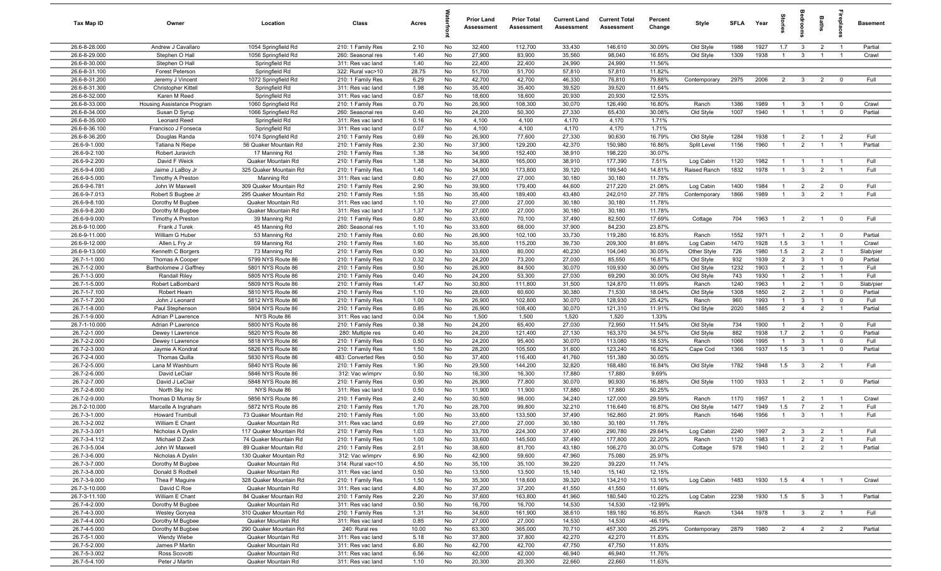| Tax Map ID                     | Owner                                      | Location                                       | Class                                  | Acres        |          | <b>Prior Land</b><br>Assessment | <b>Prior Total</b><br>Assessment | <b>Current Land</b><br>Assessment | <b>Current Total</b><br><b>Assessment</b> | Percent<br>Change | Style              | <b>SFLA</b>  | Year         | tories                           | ăroo                         | Baths                            | epla                             | <b>Basement</b> |
|--------------------------------|--------------------------------------------|------------------------------------------------|----------------------------------------|--------------|----------|---------------------------------|----------------------------------|-----------------------------------|-------------------------------------------|-------------------|--------------------|--------------|--------------|----------------------------------|------------------------------|----------------------------------|----------------------------------|-----------------|
| 26.6-8-28.000                  | Andrew J Cavallaro                         | 1054 Springfield Rd                            | 210: 1 Family Res                      | 2.10         | No       | 32,400                          | 112,700                          | 33,430                            | 146,610                                   | 30.09%            | Old Style          | 1988         | 1927         | 1.7                              | $\mathbf{3}$                 | $\overline{2}$                   | $\overline{1}$                   | Partial         |
| 26.6-8-29.000                  | Stephen O Hall                             | 1056 Springfield Rd                            | 260: Seasonal res                      | 1.40         | No       | 27,900                          | 83,900                           | 35,560                            | 98,040                                    | 16.85%            | Old Style          | 1309         | 1938         | $\overline{1}$                   | $\mathbf{3}$                 | $\overline{1}$                   | $\overline{1}$                   | Crawl           |
| 26.6-8-30.000                  | Stephen O Hall                             | Springfield Rd                                 | 311: Res vac land                      | 1.40         | No       | 22,400                          | 22,400                           | 24,990                            | 24,990                                    | 11.56%            |                    |              |              |                                  |                              |                                  |                                  |                 |
| 26.6-8-31.100                  | Forest Peterson                            | Springfield Rd                                 | 322: Rural vac>10                      | 28.75        | No       | 51,700                          | 51,700                           | 57,810                            | 57,810                                    | 11.82%            |                    |              |              |                                  |                              |                                  |                                  |                 |
| 26.6-8-31.200                  | Jeremy J Vincent                           | 1072 Springfield Rd                            | 210: 1 Family Res                      | 6.29         | No       | 42,700                          | 42,700                           | 46,330                            | 76,810                                    | 79.88%            | Contemporary       | 2975         | 2006         | $\overline{2}$                   | $\mathbf{3}$                 | $\overline{2}$                   | $\overline{0}$                   | Full            |
| 26.6-8-31.300<br>26.6-8-32.000 | <b>Christopher Kittell</b><br>Karen M Reed | Springfield Rd<br>Springfield Rd               | 311: Res vac land                      | 1.98<br>0.67 | No       | 35,400<br>18,600                | 35,400<br>18,600                 | 39,520<br>20,930                  | 39,520<br>20,930                          | 11.64%<br>12.53%  |                    |              |              |                                  |                              |                                  |                                  |                 |
| 26.6-8-33.000                  | Housing Assistance Program                 | 1060 Springfield Rd                            | 311: Res vac land<br>210: 1 Family Res | 0.70         | No<br>No | 26,900                          | 108,300                          | 30,070                            | 126,490                                   | 16.80%            | Ranch              | 1386         | 1989         | $\overline{1}$                   | $\mathbf{3}$                 | $\overline{1}$                   | $\overline{\mathbf{0}}$          | Crawl           |
| 26.6-8-34.000                  | Susan D Syrup                              | 1066 Springfield Rd                            | 260: Seasonal res                      | 0.40         | No       | 24,200                          | 50,300                           | 27,330                            | 65,430                                    | 30.08%            | Old Style          | 1007         | 1940         | $\overline{1}$                   | $\overline{1}$               | $\overline{1}$                   | $\overline{\mathbf{0}}$          | Partial         |
| 26.6-8-35.000                  | Leonard Reed                               | Springfield Rd                                 | 311: Res vac land                      | 0.16         | No       | 4,100                           | 4,100                            | 4,170                             | 4,170                                     | 1.71%             |                    |              |              |                                  |                              |                                  |                                  |                 |
| 26.6-8-36.100                  | Francisco J Fonseca                        | Springfield Rd                                 | 311: Res vac land                      | 0.07         | No       | 4,100                           | 4,100                            | 4,170                             | 4,170                                     | 1.71%             |                    |              |              |                                  |                              |                                  |                                  |                 |
| 26.6-8-36.200                  | Douglas Randa                              | 1074 Springfield Rd                            | 210: 1 Family Res                      | 0.69         | No       | 26,900                          | 77,600                           | 27,330                            | 90,630                                    | 16.79%            | Old Style          | 1284         | 1938         | $\overline{1}$                   | $\overline{2}$               | $\overline{1}$                   | $\overline{2}$                   | Full            |
| 26.6-9-1.000                   | Tatiana N Riepe                            | 56 Quaker Mountain Rd                          | 210: 1 Family Res                      | 2.30         | No       | 37,900                          | 129,200                          | 42,370                            | 150,980                                   | 16.86%            | Split Level        | 1156         | 1960         | $\overline{1}$                   | 2                            | $\overline{1}$                   | $\overline{1}$                   | Partial         |
| 26.6-9-2.100                   | Robert Juravich                            | 17 Manning Rd                                  | 210: 1 Family Res                      | 1.38         | No       | 34,900                          | 152,400                          | 38,910                            | 198,220                                   | 30.07%            |                    |              |              |                                  |                              |                                  |                                  |                 |
| 26.6-9-2.200                   | David F Weick                              | Quaker Mountain Rd                             | 210: 1 Family Res                      | 1.38         | No       | 34,800                          | 165,000                          | 38,910                            | 177,390                                   | 7.51%             | Log Cabin          | 1120         | 1982         | $\overline{1}$                   | $\overline{1}$               | $\overline{1}$                   | $\overline{1}$                   | Full            |
| 26.6-9-4.000                   | Jaime J LaBoy Jr                           | 325 Quaker Mountain Rd                         | 210: 1 Family Res                      | 1.40         | No       | 34,900                          | 173,800                          | 39,120                            | 199,540                                   | 14.81%            | Raised Ranch       | 1832         | 1978         | $\overline{1}$                   | $\mathbf{3}$                 | $\overline{2}$                   | $\overline{1}$                   | Full            |
| 26.6-9-5.000                   | <b>Timothy A Preston</b>                   | Manning Rd                                     | 311: Res vac land                      | 0.80         | No       | 27,000                          | 27,000                           | 30,180                            | 30,180                                    | 11.78%            |                    |              |              |                                  |                              |                                  |                                  |                 |
| 26.6-9-6.781                   | John W Maxwell                             | 309 Quaker Mountain Rd                         | 210: 1 Family Res                      | 2.90         | No       | 39,900                          | 179,400                          | 44,600                            | 217,220                                   | 21.08%            | Log Cabin          | 1400         | 1984         | $\overline{1}$                   | $\overline{2}$               | $\overline{2}$                   | $\mathbf 0$                      | Full            |
| 26.6-9-7.013                   | Robert S Bugbee Jr                         | 295 Quaker Mountain Rd                         | 210: 1 Family Res                      | 1.55         | No       | 35,400                          | 189,400                          | 43,480                            | 242,010                                   | 27.78%            | Contemporary       | 1866         | 1989         | $\overline{1}$                   | $\mathbf{3}$                 | $\overline{2}$                   |                                  | Full            |
| 26.6-9-8.100<br>26.6-9-8.200   | Dorothy M Bugbee                           | Quaker Mountain Rd                             | 311: Res vac land                      | 1.10         | No       | 27,000                          | 27,000                           | 30,180                            | 30,180                                    | 11.78%            |                    |              |              |                                  |                              |                                  |                                  |                 |
| 26.6-9-9.000                   | Dorothy M Bugbee<br>Timothy A Preston      | Quaker Mountain Rd<br>39 Manning Rd            | 311: Res vac land<br>210: 1 Family Res | 1.37<br>0.80 | No<br>No | 27,000<br>33,600                | 27,000<br>70,100                 | 30,180<br>37,490                  | 30,180<br>82,500                          | 11.78%<br>17.69%  |                    | 704          | 1963         | $\overline{1}$                   | $\overline{2}$               | $\overline{1}$                   | $\mathbf 0$                      | Full            |
| 26.6-9-10.000                  | Frank J Turek                              | 45 Manning Rd                                  | 260: Seasonal res                      | 1.10         | No       | 33,600                          | 68,000                           | 37,900                            | 84,230                                    | 23.87%            | Cottage            |              |              |                                  |                              |                                  |                                  |                 |
| 26.6-9-11.000                  | William G Huber                            | 53 Manning Rd                                  | 210: 1 Family Res                      | 0.60         | No       | 26,900                          | 102,100                          | 33,730                            | 119,280                                   | 16.83%            | Ranch              | 1552         | 1971         | $\overline{1}$                   | $\overline{2}$               | $\overline{1}$                   | $\mathbf 0$                      | Partial         |
| 26.6-9-12.000                  | Allen L Fry Jr                             | 59 Manning Rd                                  | 210: 1 Family Res                      | 1.60         | No       | 35,600                          | 115,200                          | 39,730                            | 209,300                                   | 81.68%            | Log Cabin          | 1470         | 1928         | 1.5                              | $\mathbf{3}$                 | $\overline{1}$                   | $\overline{1}$                   | Crawl           |
| 26.6-9-13.000                  | Kenneth C Borgers                          | 73 Manning Rd                                  | 210: 1 Family Res                      | 0.90         | No       | 33,600                          | 80,000                           | 40,230                            | 104,040                                   | 30.05%            | Other Style        | 726          | 1980         | 1.5                              | 2                            | $\overline{2}$                   | $\overline{1}$                   | Slab/pier       |
| 26.7-1-1.000                   | Thomas A Cooper                            | 5799 NYS Route 86                              | 210: 1 Family Res                      | 0.32         | No       | 24,200                          | 73,200                           | 27,030                            | 85,550                                    | 16.87%            | Old Style          | 932          | 1939         | $\overline{2}$                   | $\mathbf{3}$                 | $\overline{1}$                   | $\mathbf 0$                      | Partial         |
| 26.7-1-2.000                   | Bartholomew J Gaffney                      | 5801 NYS Route 86                              | 210: 1 Family Res                      | 0.50         | No       | 26,900                          | 84,500                           | 30,070                            | 109,930                                   | 30.09%            | Old Style          | 1232         | 1903         | $\overline{1}$                   | $\overline{2}$               | $\overline{1}$                   | $\overline{1}$                   | Full            |
| 26.7-1-3.000                   | Randall Riley                              | 5805 NYS Route 86                              | 210: 1 Family Res                      | 0.40         | No       | 24,200                          | 53,300                           | 27,030                            | 69,290                                    | 30.00%            | Old Style          | 743          | 1930         | $\overline{1}$                   | 2                            | $\overline{1}$                   | $\overline{1}$                   | Full            |
| 26.7-1-5.000                   | Robert LaBombard                           | 5809 NYS Route 86                              | 210: 1 Family Res                      | 1.47         | No       | 30,800                          | 111,800                          | 31,500                            | 124,870                                   | 11.69%            | Ranch              | 1240         | 1963         | $\overline{1}$                   | $\overline{2}$               | -1                               | $\mathbf 0$                      | Slab/pier       |
| 26.7-1-7.100                   | Robert Hearn                               | 5810 NYS Route 86                              | 210: 1 Family Res                      | 1.10         | No       | 28,600                          | 60,600                           | 30,380                            | 71,530                                    | 18.04%            | Old Style          | 1308         | 1850         | $\overline{2}$                   | $\overline{2}$               | $\overline{1}$                   | $\mathbf 0$                      | Partial         |
| 26.7-1-7.200                   | John J Leonard                             | 5812 NYS Route 86                              | 210: 1 Family Res                      | 1.00         | No       | 26,900                          | 102,800                          | 30,070                            | 128,930                                   | 25.42%            | Ranch              | 960          | 1993         | $\overline{1}$                   | $\overline{3}$               | $\overline{1}$                   | $\mathbf 0$                      | Full            |
| 26.7-1-8.000                   | Paul Stephenson                            | 5804 NYS Route 86                              | 210: 1 Family Res                      | 0.85         | No       | 26,900                          | 108,400                          | 30,070                            | 121,310                                   | 11.91%            | Old Style          | 2020         | 1885         | $\overline{2}$                   | $\overline{4}$               | $\overline{2}$                   | $\overline{1}$                   | Partial         |
| 26.7-1-9.000                   | Adrian P Lawrence                          | NYS Route 86                                   | 311: Res vac land                      | 0.04         | No       | 1,500                           | 1,500                            | 1,520                             | 1,520                                     | 1.33%             |                    |              |              |                                  |                              |                                  |                                  |                 |
| 26.7-1-10.000<br>26.7-2-1.000  | Adrian P Lawrence                          | 5800 NYS Route 86                              | 210: 1 Family Res                      | 0.38<br>0.40 | No       | 24,200                          | 65,400                           | 27,030                            | 72,950                                    | 11.54%<br>34.57%  | Old Style          | 734<br>882   | 1900<br>1938 | $\overline{1}$<br>1.7            | $\overline{2}$<br>2          | $\overline{1}$<br>$\overline{1}$ | $\mathbf 0$<br>$\mathbf 0$       | Full<br>Partial |
| 26.7-2-2.000                   | Dewey I Lawrence<br>Dewey I Lawrence       | 5820 NYS Route 86<br>5818 NYS Route 86         | 280: Multiple res<br>210: 1 Family Res | 0.50         | No<br>No | 24,200<br>24,200                | 121,400<br>95,400                | 27,130<br>30,070                  | 163,370<br>113,080                        | 18.53%            | Old Style<br>Ranch | 1066         | 1995         | $\overline{1}$                   | 3                            | $\overline{1}$                   | $\mathbf 0$                      | Full            |
| 26.7-2-3.000                   | Jaymie A Kondrat                           | 5826 NYS Route 86                              | 210: 1 Family Res                      | 1.50         | No       | 28,200                          | 105,500                          | 31,600                            | 123,240                                   | 16.82%            | Cape Cod           | 1366         | 1937         | 1.5                              | $\mathbf{3}$                 | $\overline{1}$                   | $\mathbf 0$                      | Partial         |
| 26.7-2-4.000                   | Thomas Quilla                              | 5830 NYS Route 86                              | 483: Converted Res                     | 0.50         | No       | 37,400                          | 116,400                          | 41,760                            | 151,380                                   | 30.05%            |                    |              |              |                                  |                              |                                  |                                  |                 |
| 26.7-2-5.000                   | Lana M Washburn                            | 5840 NYS Route 86                              | 210: 1 Family Res                      | 1.90         | No       | 29,500                          | 144,200                          | 32,820                            | 168,480                                   | 16.84%            | Old Style          | 1782         | 1948         | 1.5                              | $\overline{3}$               | $\overline{2}$                   | $\overline{1}$                   | Full            |
| 26.7-2-6.000                   | David LeClair                              | 5846 NYS Route 86                              | 312: Vac w/imprv                       | 0.50         | No       | 16,300                          | 16,300                           | 17,880                            | 17,880                                    | 9.69%             |                    |              |              |                                  |                              |                                  |                                  |                 |
| 26.7-2-7.000                   | David J LeClair                            | 5848 NYS Route 86                              | 210: 1 Family Res                      | 0.90         | No       | 26,900                          | 77,800                           | 30,070                            | 90,930                                    | 16.88%            | Old Style          | 1100         | 1933         | $\overline{1}$                   | $\overline{2}$               | $\overline{1}$                   | $\overline{\mathbf{0}}$          | Partial         |
| 26.7-2-8.000                   | North Sky Inc                              | NYS Route 86                                   | 311: Res vac land                      | 0.50         | No       | 11,900                          | 11,900                           | 17,880                            | 17,880                                    | 50.25%            |                    |              |              |                                  |                              |                                  |                                  |                 |
| 26.7-2-9.000                   | Thomas D Murray Sr                         | 5856 NYS Route 86                              | 210: 1 Family Res                      | 2.40         | No       | 30,500                          | 98,000                           | 34,240                            | 127,000                                   | 29.59%            | Ranch              | 1170         | 1957         | -1                               | $\overline{2}$               | $\overline{1}$                   |                                  | Crawl           |
| 26.7-2-10.000                  | Marcelle A Ingraham                        | 5872 NYS Route 86                              | 210: 1 Family Res                      | 1.70         | No       | 28,700                          | 99,800                           | 32,210                            | 116,640                                   | 16.87%            | Old Style          | 1477         | 1949         | 1.5                              | $\overline{7}$               | $\overline{2}$                   |                                  | Full            |
| 26.7-3-1.000                   | <b>Howard Trumbull</b>                     | 73 Quaker Mountain Rd                          | 210: 1 Family Res                      | 1.00         | No       | 33,600                          | 133,500                          | 37,490                            | 162,860                                   | 21.99%            | Ranch              | 1646         | 1956         | $\overline{1}$                   | $\mathbf{3}$                 | $\overline{1}$                   | $\overline{1}$                   | Full            |
| 26.7-3-2.002                   | William E Chant                            | Quaker Mountain Rd                             | 311: Res vac land                      | 0.69         | No       | 27,000                          | 27,000                           | 30,180                            | 30,180                                    | 11.78%            |                    |              |              |                                  |                              |                                  |                                  |                 |
| 26.7-3-3.001<br>26.7-3-4.112   | Nicholas A Dyslin                          | 117 Quaker Mountain Rd                         | 210: 1 Family Res<br>210: 1 Family Res | 1.03<br>1.00 | No<br>No | 33,700                          | 224,300<br>145,500               | 37,490<br>37,490                  | 290,780                                   | 29.64%<br>22.20%  | Log Cabin<br>Ranch | 2240<br>1120 | 1997<br>1983 | $\overline{2}$<br>$\overline{1}$ | $\overline{\mathbf{3}}$<br>2 | $\overline{2}$<br>$\overline{2}$ | $\overline{1}$<br>$\overline{1}$ | Full<br>Full    |
| 26.7-3-5.004                   | Michael D Zack<br>John W Maxwell           | 74 Quaker Mountain Rd<br>89 Quaker Mountain Rd | 210: 1 Family Res                      | 2.51         | No       | 33,600<br>38,600                | 81,700                           | 43,180                            | 177,800<br>106,270                        | 30.07%            | Cottage            | 578          | 1940         | $\overline{1}$                   | $\overline{2}$               | $\overline{2}$                   | $\overline{1}$                   | Partial         |
| 26.7-3-6.000                   | Nicholas A Dyslin                          | 130 Quaker Mountain Rd                         | 312: Vac w/imprv                       | 6.90         | No       | 42,900                          | 59,600                           | 47,960                            | 75,080                                    | 25.97%            |                    |              |              |                                  |                              |                                  |                                  |                 |
| 26.7-3-7.000                   | Dorothy M Bugbee                           | Quaker Mountain Rd                             | 314: Rural vac<10                      | 4.50         | No       | 35,100                          | 35,100                           | 39,220                            | 39,220                                    | 11.74%            |                    |              |              |                                  |                              |                                  |                                  |                 |
| 26.7-3-8.000                   | Donald S Rodbell                           | Quaker Mountain Rd                             | 311: Res vac land                      | 0.50         | No       | 13,500                          | 13,500                           | 15,140                            | 15,140                                    | 12.15%            |                    |              |              |                                  |                              |                                  |                                  |                 |
| 26.7-3-9.000                   | Thea F Maguire                             | 328 Quaker Mountain Rd                         | 210: 1 Family Res                      | 1.50         | No       | 35,300                          | 118,600                          | 39,320                            | 134,210                                   | 13.16%            | Log Cabin          | 1483         | 1930         | 1.5                              | $\overline{4}$               | $\overline{1}$                   |                                  | Crawl           |
| 26.7-3-10.000                  | David C Roe                                | Quaker Mountain Rd                             | 311: Res vac land                      | 4.80         | No       | 37,200                          | 37,200                           | 41,550                            | 41,550                                    | 11.69%            |                    |              |              |                                  |                              |                                  |                                  |                 |
| 26.7-3-11.100                  | William E Chant                            | 84 Quaker Mountain Rd                          | 210: 1 Family Res                      | 2.20         | No       | 37,600                          | 163,800                          | 41,960                            | 180,540                                   | 10.22%            | Log Cabin          | 2238         | 1930         | 1.5                              | 5                            | $\mathbf{3}$                     |                                  | Partial         |
| 26.7-4-2.000                   | Dorothy M Bugbee                           | Quaker Mountain Rd                             | 311: Res vac land                      | 0.50         | No       | 16,700                          | 16,700                           | 14,530                            | 14,530                                    | $-12.99%$         |                    |              |              |                                  |                              |                                  |                                  |                 |
| 26.7-4-3.000                   | Wesley Gonyea                              | 310 Quaker Mountain Rd                         | 210: 1 Family Res                      | 1.31         | No       | 34,600                          | 161,900                          | 38,610                            | 189,180                                   | 16.85%            | Ranch              | 1344         | 1978         | $\overline{1}$                   | $\overline{\mathbf{3}}$      | $\overline{2}$                   |                                  | Full            |
| 26.7-4-4.000                   | Dorothy M Bugbee                           | Quaker Mountain Rd                             | 311: Res vac land                      | 0.85         | No       | 27,000                          | 27,000                           | 14,530                            | 14,530                                    | $-46.19%$         |                    |              |              |                                  |                              |                                  |                                  |                 |
| 26.7-4-5.000                   | Dorothy M Bugbee                           | 290 Quaker Mountain Rd                         | 240: Rural res                         | 10.00        | No       | 63,300                          | 365,000                          | 70,710                            | 457,300                                   | 25.29%            | Contemporary       | 2879         | 1980         | 2                                | $\overline{4}$               | $\overline{2}$                   | $\overline{2}$                   | Partial         |
| 26.7-5-1.000                   | Wendy Wiebe                                | Quaker Mountain Rd                             | 311: Res vac land                      | 5.18         | No       | 37,800                          | 37,800                           | 42,270                            | 42,270                                    | 11.83%            |                    |              |              |                                  |                              |                                  |                                  |                 |
| 26.7-5-2.000                   | James P Martin                             | Quaker Mountain Rd                             | 311: Res vac land                      | 6.80         | No       | 42,700                          | 42,700                           | 47,750                            | 47,750                                    | 11.83%            |                    |              |              |                                  |                              |                                  |                                  |                 |
| 26.7-5-3.002<br>26.7-5-4.100   | Ross Scovotti                              | Quaker Mountain Rd<br>Quaker Mountain Rd       | 311: Res vac land                      | 6.56         | No       | 42,000                          | 42,000                           | 46,940                            | 46,940                                    | 11.76%            |                    |              |              |                                  |                              |                                  |                                  |                 |
|                                | Peter J Martin                             |                                                | 311: Res vac land                      | 1.10         | No       | 20,300                          | 20,300                           | 22,660                            | 22,660                                    | 11.63%            |                    |              |              |                                  |                              |                                  |                                  |                 |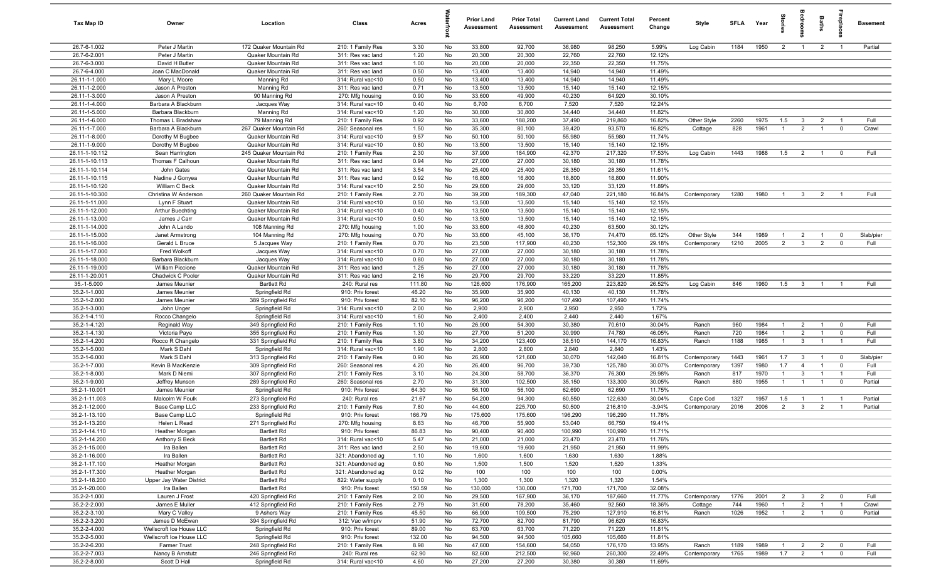| Tax Map ID                       | Owner                                                | Location                                     | Class                                  | Acres          |          | <b>Prior Land</b><br>Assessment | <b>Prior Total</b><br>Assessment | <b>Current Land</b><br><b>Assessment</b> | <b>Current Total</b><br>Assessment | Percent<br>Change  | Style        | <b>SFI A</b> | Year         | tories         | oup            | Baths          | ireplace       | <b>Basement</b> |
|----------------------------------|------------------------------------------------------|----------------------------------------------|----------------------------------------|----------------|----------|---------------------------------|----------------------------------|------------------------------------------|------------------------------------|--------------------|--------------|--------------|--------------|----------------|----------------|----------------|----------------|-----------------|
| 26.7-6-1.002                     | Peter J Martin                                       | 172 Quaker Mountain Rd                       | 210: 1 Family Res                      | 3.30           | No       | 33,800                          | 92,700                           | 36,980                                   | 98,250                             | 5.99%              | Log Cabin    | 1184         | 1950         | $\overline{2}$ | $\overline{1}$ | $\overline{2}$ | $\overline{1}$ | Partial         |
| 26.7-6-2.001                     | Peter J Martin                                       | Quaker Mountain Rd                           | 311: Res vac land                      | 1.20           | No       | 20,300                          | 20,300                           | 22,760                                   | 22,760                             | 12.12%             |              |              |              |                |                |                |                |                 |
| 26.7-6-3.000                     | David H Butler                                       | Quaker Mountain Rd                           | 311: Res vac land                      | 1.00           | No       | 20,000                          | 20,000                           | 22,350                                   | 22,350                             | 11.75%             |              |              |              |                |                |                |                |                 |
| 26.7-6-4.000                     | Joan C MacDonald                                     | Quaker Mountain Rd                           | 311: Res vac land                      | 0.50           | No       | 13,400                          | 13,400                           | 14,940                                   | 14,940                             | 11.49%             |              |              |              |                |                |                |                |                 |
| 26.11-1-1.000<br>26.11-1-2.000   | Mary L Moore                                         | Manning Rd<br>Manning Rd                     | 314: Rural vac<10<br>311: Res vac land | 0.50<br>0.71   | No<br>No | 13,400<br>13,500                | 13,400<br>13,500                 | 14,940<br>15,140                         | 14,940<br>15,140                   | 11.49%<br>12.15%   |              |              |              |                |                |                |                |                 |
| 26.11-1-3.000                    | Jason A Preston<br>Jason A Preston                   | 90 Manning Rd                                | 270: Mfg housing                       | 0.90           | No       | 33,600                          | 49,900                           | 40,230                                   | 64,920                             | 30.10%             |              |              |              |                |                |                |                |                 |
| 26.11-1-4.000                    | Barbara A Blackburn                                  | Jacques Way                                  | 314: Rural vac<10                      | 0.40           | No       | 6,700                           | 6,700                            | 7,520                                    | 7,520                              | 12.24%             |              |              |              |                |                |                |                |                 |
| 26.11-1-5.000                    | Barbara Blackburn                                    | Manning Rd                                   | 314: Rural vac<10                      | 1.20           | No       | 30,800                          | 30,800                           | 34,440                                   | 34,440                             | 11.82%             |              |              |              |                |                |                |                |                 |
| 26.11-1-6.000                    | Thomas L Bradshaw                                    | 79 Manning Rd                                | 210: 1 Family Res                      | 0.92           | No       | 33,600                          | 188,200                          | 37,490                                   | 219,860                            | 16.82%             | Other Style  | 2260         | 1975         | 1.5            | $\mathbf{3}$   | $\overline{2}$ | $\overline{1}$ | Full            |
| 26.11-1-7.000                    | Barbara A Blackburn                                  | 267 Quaker Mountain Rd                       | 260: Seasonal res                      | 1.50           | No       | 35,300                          | 80,100                           | 39,420                                   | 93,570                             | 16.82%             | Cottage      | 828          | 1961         | $\overline{1}$ | $\overline{2}$ | $\overline{1}$ | $\mathbf 0$    | Crawl           |
| 26.11-1-8.000                    | Dorothy M Bugbee                                     | Quaker Mountain Rd                           | 314: Rural vac<10                      | 9.57           | No       | 50,100                          | 50,100                           | 55,980                                   | 55,980                             | 11.74%             |              |              |              |                |                |                |                |                 |
| 26.11-1-9.000                    | Dorothy M Bugbee                                     | Quaker Mountain Rd                           | 314: Rural vac<10                      | 0.80           | No       | 13,500                          | 13,500                           | 15,140                                   | 15,140                             | 12.15%             |              |              |              |                |                |                |                |                 |
| 26.11-1-10.112                   | Sean Harrington                                      | 245 Quaker Mountain Rd                       | 210: 1 Family Res                      | 2.30           | No       | 37,900                          | 184,900                          | 42,370                                   | 217,320                            | 17.53%             | Log Cabin    | 1443         | 1988         | 1.5            | $\overline{2}$ | $\overline{1}$ | $^{\circ}$     | Full            |
| 26.11-1-10.113                   | Thomas F Calhoun                                     | Quaker Mountain Rd                           | 311: Res vac land                      | 0.94           | No       | 27,000                          | 27,000                           | 30,180                                   | 30,180                             | 11.78%             |              |              |              |                |                |                |                |                 |
| 26.11-1-10.114                   | John Gates                                           | Quaker Mountain Rd                           | 311: Res vac land                      | 3.54           | No       | 25,400                          | 25,400                           | 28,350                                   | 28,350                             | 11.61%             |              |              |              |                |                |                |                |                 |
| 26.11-1-10.115                   | Nadine J Gonyea                                      | Quaker Mountain Rd                           | 311: Res vac land                      | 0.92           | No       | 16,800                          | 16,800                           | 18,800                                   | 18,800                             | 11.90%             |              |              |              |                |                |                |                |                 |
| 26.11-1-10.120<br>26.11-1-10.300 | William C Beck                                       | Quaker Mountain Rd<br>260 Quaker Mountain Rd | 314: Rural vac<10                      | 2.50<br>2.70   | No<br>No | 29,600<br>39,200                | 29,600<br>189,300                | 33,120<br>47,040                         | 33,120<br>221,180                  | 11.89%<br>16.84%   |              | 1280         | 1980         | $\overline{1}$ |                |                |                | Full            |
| 26.11-1-11.000                   | Christina W Anderson<br>Lynn F Stuart                | Quaker Mountain Rd                           | 210: 1 Family Res<br>314: Rural vac<10 | 0.50           | No       | 13,500                          | 13,500                           | 15,140                                   | 15,140                             | 12.15%             | Contemporary |              |              |                | $\mathbf{3}$   | $\overline{2}$ |                |                 |
| 26.11-1-12.000                   | Arthur Buechting                                     | Quaker Mountain Rd                           | 314: Rural vac<10                      | 0.40           | No       | 13,500                          | 13,500                           | 15,140                                   | 15,140                             | 12.15%             |              |              |              |                |                |                |                |                 |
| 26.11-1-13.000                   | James J Carr                                         | Quaker Mountain Rd                           | 314: Rural vac<10                      | 0.50           | No       | 13,500                          | 13,500                           | 15,140                                   | 15,140                             | 12.15%             |              |              |              |                |                |                |                |                 |
| 26.11-1-14.000                   | John A Lando                                         | 108 Manning Rd                               | 270: Mfg housing                       | 1.00           | No       | 33,600                          | 48,800                           | 40,230                                   | 63,500                             | 30.12%             |              |              |              |                |                |                |                |                 |
| 26.11-1-15.000                   | Janet Armstrong                                      | 104 Manning Rd                               | 270: Mfg housing                       | 0.70           | No       | 33,600                          | 45,100                           | 36,170                                   | 74,470                             | 65.12%             | Other Style  | 344          | 1989         | $\overline{1}$ | $\overline{2}$ | $\overline{1}$ | $\Omega$       | Slab/pier       |
| 26.11-1-16.000                   | Gerald L Bruce                                       | 5 Jacques Way                                | 210: 1 Family Res                      | 0.70           | No       | 23,500                          | 117,900                          | 40,230                                   | 152,300                            | 29.18%             | Contemporary | 1210         | 2005         | $\overline{2}$ | $\mathbf{3}$   | $\overline{2}$ | $^{\circ}$     | Full            |
| 26.11-1-17.000                   | Fred Wolkoff                                         | Jacques Way                                  | 314: Rural vac<10                      | 0.70           | No       | 27,000                          | 27,000                           | 30,180                                   | 30,180                             | 11.78%             |              |              |              |                |                |                |                |                 |
| 26.11-1-18.000                   | Barbara Blackburn                                    | Jacques Way                                  | 314: Rural vac<10                      | 0.80           | No       | 27,000                          | 27,000                           | 30,180                                   | 30,180                             | 11.78%             |              |              |              |                |                |                |                |                 |
| 26.11-1-19.000                   | William Piccione                                     | Quaker Mountain Rd                           | 311: Res vac land                      | 1.25           | No       | 27,000                          | 27,000                           | 30,180                                   | 30,180                             | 11.78%             |              |              |              |                |                |                |                |                 |
| 26.11-1-20.001                   | Chadwick C Pooler                                    | Quaker Mountain Rd                           | 311: Res vac land                      | 2.16           | No       | 29,700                          | 29,700                           | 33,220                                   | 33,220                             | 11.85%             |              |              |              |                |                |                |                |                 |
| 35.-1-5.000                      | James Meunier                                        | <b>Bartlett Rd</b>                           | 240: Rural res                         | 111.80         | No       | 126,600                         | 176,900                          | 165,200                                  | 223,820                            | 26.52%             | Log Cabin    | 846          | 1960         | 1.5            | $\mathbf{3}$   |                |                | Full            |
| 35.2-1-1.000                     | James Meunier                                        | Springfield Rd                               | 910: Priv forest                       | 46.20          | No       | 35,900                          | 35,900                           | 40,130                                   | 40,130                             | 11.78%             |              |              |              |                |                |                |                |                 |
| 35.2-1-2.000<br>35.2-1-3.000     | James Meunier                                        | 389 Springfield Rd                           | 910: Priv forest                       | 82.10<br>2.00  | No<br>No | 96,200<br>2,900                 | 96,200<br>2,900                  | 107,490<br>2,950                         | 107,490<br>2,950                   | 11.74%<br>1.72%    |              |              |              |                |                |                |                |                 |
| 35.2-1-4.110                     | John Unger                                           | Springfield Rd<br>Springfield Rd             | 314: Rural vac<10<br>314: Rural vac<10 | 1.60           | No       | 2,400                           | 2,400                            | 2,440                                    | 2,440                              | 1.67%              |              |              |              |                |                |                |                |                 |
| 35.2-1-4.120                     | Rocco Changelo<br>Reginald Way                       | 349 Springfield Rd                           | 210: 1 Family Res                      | 1.10           | No       | 26,900                          | 54,300                           | 30,380                                   | 70,610                             | 30.04%             | Ranch        | 960          | 1984         | $\overline{1}$ | $\overline{2}$ | $\overline{1}$ | $^{\circ}$     | Full            |
| 35.2-1-4.130                     | Victoria Paye                                        | 355 Springfield Rd                           | 210: 1 Family Res                      | 1.30           | No       | 27,700                          | 51,200                           | 30,990                                   | 74,780                             | 46.05%             | Ranch        | 720          | 1984         | $\overline{1}$ | $\overline{2}$ | $\overline{1}$ | $\mathbf 0$    | Full            |
| 35.2-1-4.200                     | Rocco R Changelo                                     | 331 Springfield Rd                           | 210: 1 Family Res                      | 3.80           | No       | 34,200                          | 123,400                          | 38,510                                   | 144,170                            | 16.83%             | Ranch        | 1188         | 1985         | $\overline{1}$ | $\mathbf{3}$   | $\overline{1}$ | $\overline{1}$ | Full            |
| 35.2-1-5.000                     | Mark S Dahl                                          | Springfield Rd                               | 314: Rural vac<10                      | 1.90           | No       | 2,800                           | 2,800                            | 2,840                                    | 2,840                              | 1.43%              |              |              |              |                |                |                |                |                 |
| 35.2-1-6.000                     | Mark S Dahl                                          | 313 Springfield Rd                           | 210: 1 Family Res                      | 0.90           | No       | 26,900                          | 121,600                          | 30,070                                   | 142,040                            | 16.81%             | Contemporary | 1443         | 1961         | 1.7            | $\mathbf{3}$   | $\overline{1}$ | $\mathbf 0$    | Slab/pier       |
| 35.2-1-7.000                     | Kevin B MacKenzie                                    | 309 Springfield Rd                           | 260: Seasonal res                      | 4.20           | No       | 26,400                          | 96,700                           | 39,730                                   | 125,780                            | 30.07%             | Contemporary | 1397         | 1980         | 1.7            | $\overline{4}$ | $\overline{1}$ | $\mathbf 0$    | Full            |
| 35.2-1-8.000                     | Mark D Niemi                                         | 307 Springfield Rd                           | 210: 1 Family Res                      | 3.10           | No       | 24,300                          | 58,700                           | 36,370                                   | 76,300                             | 29.98%             | Ranch        | 817          | 1970         | $\overline{1}$ | $\mathbf{3}$   | $\overline{1}$ | $\overline{1}$ | Full            |
| 35.2-1-9.000                     | Jeffrey Munson                                       | 289 Springfield Rd                           | 260: Seasonal res                      | 2.70           | No       | 31,300                          | 102,500                          | 35,150                                   | 133,300                            | 30.05%             | Ranch        | 880          | 1955         | $\overline{1}$ | $\overline{1}$ | $\overline{1}$ | $\overline{0}$ | Partial         |
| 35.2-1-10.001                    | James Meunier                                        | Springfield Rd                               | 910: Priv forest                       | 64.30          | No       | 56,100                          | 56,100                           | 62,690                                   | 62,690                             | 11.75%             |              |              |              |                |                |                |                |                 |
| 35.2-1-11.003                    | Malcolm W Foulk                                      | 273 Springfield Rd                           | 240: Rural res                         | 21.67          | No       | 54,200                          | 94,300                           | 60,550                                   | 122,630                            | 30.04%             | Cape Cod     | 1327         | 1957<br>2006 | 1.5            |                |                | - 1            | Partial         |
| 35.2-1-12.000<br>35.2-1-13.100   | Base Camp LLC<br>Base Camp LLC                       | 233 Springfield Rd                           | 210: 1 Family Res<br>910: Priv forest  | 7.80<br>166.79 | No<br>No | 44,600<br>175,600               | 225,700<br>175,600               | 50,500<br>196,290                        | 216,810<br>196,290                 | $-3.94%$<br>11.78% | Contemporary | 2016         |              | $\overline{2}$ | $\mathbf{3}$   | $\overline{2}$ |                | Partial         |
| 35.2-1-13.200                    | Helen L Read                                         | Springfield Rd<br>271 Springfield Rd         | 270: Mfg housing                       | 8.63           | No       | 46,700                          | 55,900                           | 53,040                                   | 66,750                             | 19.41%             |              |              |              |                |                |                |                |                 |
| 35.2-1-14.110                    | Heather Morgan                                       | <b>Bartlett Rd</b>                           | 910: Priv forest                       | 86.83          | No       | 90,400                          | 90,400                           | 100,990                                  | 100,990                            | 11.71%             |              |              |              |                |                |                |                |                 |
| 35.2-1-14.200                    | Anthony S Beck                                       | <b>Bartlett Rd</b>                           | 314: Rural vac<10                      | 5.47           | No       | 21,000                          | 21,000                           | 23,470                                   | 23,470                             | 11.76%             |              |              |              |                |                |                |                |                 |
| 35.2-1-15.000                    | Ira Ballen                                           | <b>Bartlett Rd</b>                           | 311: Res vac land                      | 2.50           | No       | 19,600                          | 19,600                           | 21,950                                   | 21,950                             | 11.99%             |              |              |              |                |                |                |                |                 |
| 35.2-1-16.000                    | Ira Ballen                                           | <b>Bartlett Rd</b>                           | 321: Abandoned ag                      | 1.10           | No       | 1,600                           | 1,600                            | 1,630                                    | 1,630                              | 1.88%              |              |              |              |                |                |                |                |                 |
| 35.2-1-17.100                    | Heather Morgan                                       | <b>Bartlett Rd</b>                           | 321: Abandoned ag                      | 0.80           | No       | 1,500                           | 1,500                            | 1,520                                    | 1,520                              | 1.33%              |              |              |              |                |                |                |                |                 |
| 35.2-1-17.300                    | Heather Morgan                                       | <b>Bartlett Rd</b>                           | 321: Abandoned ag                      | 0.02           | No       | 100                             | 100                              | 100                                      | 100                                | 0.00%              |              |              |              |                |                |                |                |                 |
| 35.2-1-18.200                    | Upper Jay Water District                             | <b>Bartlett Rd</b>                           | 822: Water supply                      | 0.10           | No       | 1,300                           | 1,300                            | 1,320                                    | 1,320                              | 1.54%              |              |              |              |                |                |                |                |                 |
| 35.2-1-20.000                    | Ira Ballen                                           | <b>Bartlett Rd</b>                           | 910: Priv forest                       | 150.59         | No       | 130,000                         | 130,000                          | 171,700                                  | 171,700                            | 32.08%             |              |              |              |                |                |                |                |                 |
| 35.2-2-1.000                     | Lauren J Frost                                       | 420 Springfield Rd                           | 210: 1 Family Res                      | 2.00           | No       | 29,500                          | 167,900                          | 36,170                                   | 187,660                            | 11.77%             | Contemporary | 1776         | 2001         | $\overline{2}$ | $\mathbf{3}$   | $\overline{2}$ | $\overline{0}$ | Full            |
| 35.2-2-2.000                     | James E Muller                                       | 412 Springfield Rd                           | 210: 1 Family Res                      | 2.79           | No       | 31,600                          | 78,200                           | 35,460                                   | 92,560                             | 18.36%             | Cottage      | 744          | 1960         | $\mathbf{1}$   | $\overline{2}$ | $\overline{1}$ | $\overline{1}$ | Crawl           |
| 35.2-2-3.100                     | Mary C Valley                                        | 9 Ashers Way                                 | 210: 1 Family Res                      | 45.50          | No       | 66,900                          | 109,500                          | 75,290                                   | 127,910                            | 16.81%             | Ranch        | 1026         | 1952         | $\overline{1}$ | $\overline{2}$ | $\overline{1}$ | $\mathbf 0$    | Partial         |
| 35.2-2-3.200<br>35.2-2-4.000     | James D McEwen                                       | 394 Springfield Rd<br>Springfield Rd         | 312: Vac w/imprv<br>910: Priv forest   | 51.90<br>89.00 | No<br>No | 72,700<br>63,700                | 82,700                           | 81,790                                   | 96,620<br>71,220                   | 16.83%<br>11.81%   |              |              |              |                |                |                |                |                 |
| 35.2-2-5.000                     | Wellscroft Ice House LLC<br>Wellscroft Ice House LLC | Springfield Rd                               | 910: Priv forest                       | 132.00         | No       | 94,500                          | 63,700<br>94,500                 | 71,220<br>105,660                        | 105,660                            | 11.81%             |              |              |              |                |                |                |                |                 |
| 35.2-2-6.200                     | Farmer Trust                                         | 248 Springfield Rd                           | 210: 1 Family Res                      | 8.98           | No       | 47,600                          | 154,600                          | 54,050                                   | 176,170                            | 13.95%             | Ranch        | 1189         | 1989         | $\overline{1}$ | $\overline{2}$ | $\overline{2}$ | $\overline{0}$ | Full            |
| 35.2-2-7.003                     | Nancy B Amstutz                                      | 246 Springfield Rd                           | 240: Rural res                         | 62.90          | No       | 82,600                          | 212,500                          | 92,960                                   | 260,300                            | 22.49%             | Contemporary | 1765         | 1989         | 1.7            | $\overline{2}$ | $\mathbf{1}$   | $\mathbf 0$    | Full            |
| 35.2-2-8.000                     | Scott D Hall                                         | Springfield Rd                               | 314: Rural vac<10                      | 4.60           | No       | 27,200                          | 27,200                           | 30,380                                   | 30,380                             | 11.69%             |              |              |              |                |                |                |                |                 |